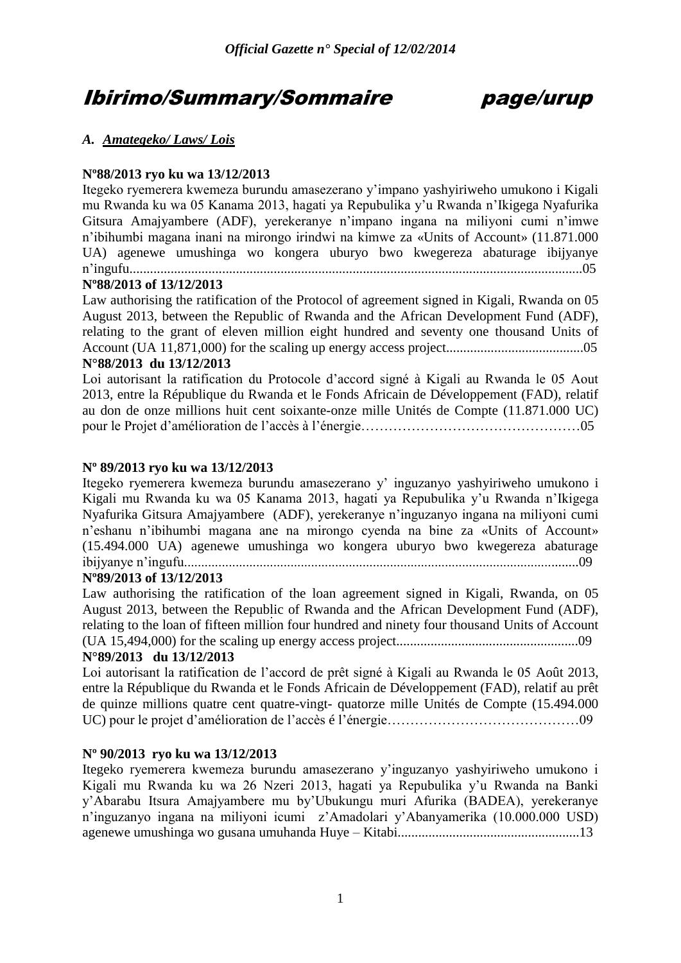# Ibirimo/Summary/Sommaire page/urup

# *A. Amategeko/ Laws/ Lois*

# **Nº88/2013 ryo ku wa 13/12/2013**

Itegeko ryemerera kwemeza burundu amasezerano y'impano yashyiriweho umukono i Kigali mu Rwanda ku wa 05 Kanama 2013, hagati ya Repubulika y'u Rwanda n'Ikigega Nyafurika Gitsura Amajyambere (ADF), yerekeranye n'impano ingana na miliyoni cumi n'imwe n'ibihumbi magana inani na mirongo irindwi na kimwe za «Units of Account» (11.871.000 UA) agenewe umushinga wo kongera uburyo bwo kwegereza abaturage ibijyanye n'ingufu....................................................................................................................................05

# **Nº88/2013 of 13/12/2013**

Law authorising the ratification of the Protocol of agreement signed in Kigali, Rwanda on 05 August 2013, between the Republic of Rwanda and the African Development Fund (ADF), relating to the grant of eleven million eight hundred and seventy one thousand Units of Account (UA 11,871,000) for the scaling up energy access project........................................05 **N°88/2013 du 13/12/2013** 

Loi autorisant la ratification du Protocole d'accord signé à Kigali au Rwanda le 05 Aout 2013, entre la République du Rwanda et le Fonds Africain de Développement (FAD), relatif au don de onze millions huit cent soixante-onze mille Unités de Compte (11.871.000 UC) pour le Projet d'amélioration de l'accès à l'énergie…………………………………………05

# **Nº 89/2013 ryo ku wa 13/12/2013**

Itegeko ryemerera kwemeza burundu amasezerano y' inguzanyo yashyiriweho umukono i Kigali mu Rwanda ku wa 05 Kanama 2013, hagati ya Repubulika y'u Rwanda n'Ikigega Nyafurika Gitsura Amajyambere (ADF), yerekeranye n'inguzanyo ingana na miliyoni cumi n'eshanu n'ibihumbi magana ane na mirongo cyenda na bine za «Units of Account» (15.494.000 UA) agenewe umushinga wo kongera uburyo bwo kwegereza abaturage ibijyanye n'ingufu...................................................................................................................09

# **Nº89/2013 of 13/12/2013**

Law authorising the ratification of the loan agreement signed in Kigali, Rwanda, on 05 August 2013, between the Republic of Rwanda and the African Development Fund (ADF), relating to the loan of fifteen million four hundred and ninety four thousand Units of Account (UA 15,494,000) for the scaling up energy access project.....................................................09

# **N°89/2013 du 13/12/2013**

Loi autorisant la ratification de l'accord de prêt signé à Kigali au Rwanda le 05 Août 2013, entre la République du Rwanda et le Fonds Africain de Développement (FAD), relatif au prêt de quinze millions quatre cent quatre-vingt- quatorze mille Unités de Compte (15.494.000 UC) pour le projet d'amélioration de l'accès é l'énergie……………………………………09

# **Nº 90/2013 ryo ku wa 13/12/2013**

Itegeko ryemerera kwemeza burundu amasezerano y'inguzanyo yashyiriweho umukono i Kigali mu Rwanda ku wa 26 Nzeri 2013, hagati ya Repubulika y'u Rwanda na Banki y'Abarabu Itsura Amajyambere mu by'Ubukungu muri Afurika (BADEA), yerekeranye n'inguzanyo ingana na miliyoni icumi z'Amadolari y'Abanyamerika (10.000.000 USD) agenewe umushinga wo gusana umuhanda Huye – Kitabi.....................................................13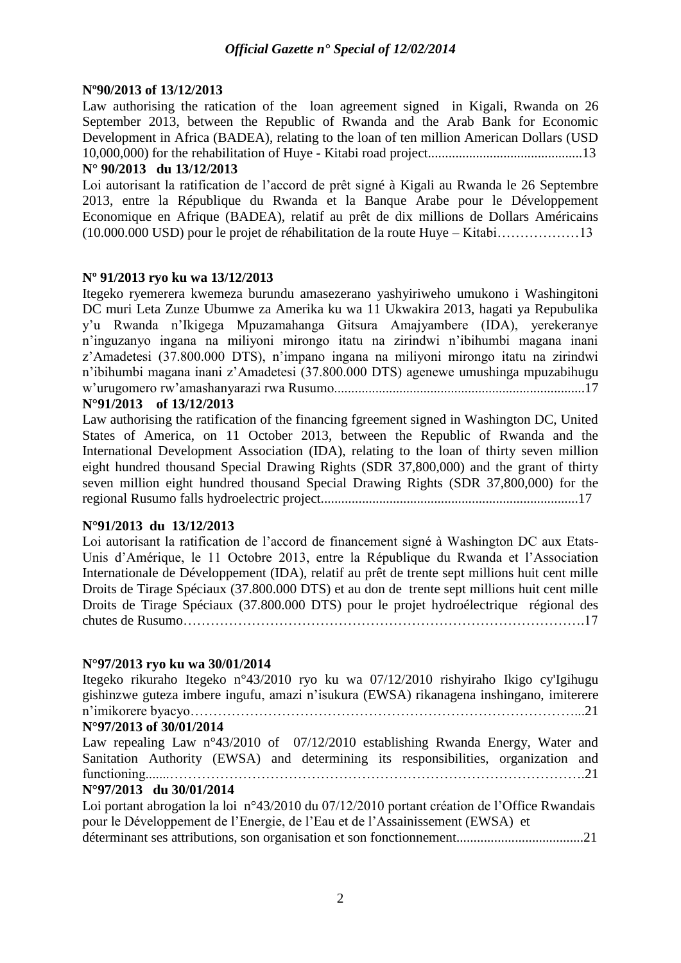# **Nº90/2013 of 13/12/2013**

Law authorising the ratication of the loan agreement signed in Kigali, Rwanda on 26 September 2013, between the Republic of Rwanda and the Arab Bank for Economic Development in Africa (BADEA), relating to the loan of ten million American Dollars (USD 10,000,000) for the rehabilitation of Huye - Kitabi road project.............................................13

# **N° 90/2013 du 13/12/2013**

Loi autorisant la ratification de l'accord de prêt signé à Kigali au Rwanda le 26 Septembre 2013, entre la République du Rwanda et la Banque Arabe pour le Développement Economique en Afrique (BADEA), relatif au prêt de dix millions de Dollars Américains (10.000.000 USD) pour le projet de réhabilitation de la route Huye – Kitabi………………13

# **Nº 91/2013 ryo ku wa 13/12/2013**

Itegeko ryemerera kwemeza burundu amasezerano yashyiriweho umukono i Washingitoni DC muri Leta Zunze Ubumwe za Amerika ku wa 11 Ukwakira 2013, hagati ya Repubulika y'u Rwanda n'Ikigega Mpuzamahanga Gitsura Amajyambere (IDA), yerekeranye n'inguzanyo ingana na miliyoni mirongo itatu na zirindwi n'ibihumbi magana inani z'Amadetesi (37.800.000 DTS), n'impano ingana na miliyoni mirongo itatu na zirindwi n'ibihumbi magana inani z'Amadetesi (37.800.000 DTS) agenewe umushinga mpuzabihugu w'urugomero rw'amashanyarazi rwa Rusumo.........................................................................17

# **N°91/2013 of 13/12/2013**

Law authorising the ratification of the financing fgreement signed in Washington DC, United States of America, on 11 October 2013, between the Republic of Rwanda and the International Development Association (IDA), relating to the loan of thirty seven million eight hundred thousand Special Drawing Rights (SDR 37,800,000) and the grant of thirty seven million eight hundred thousand Special Drawing Rights (SDR 37,800,000) for the regional Rusumo falls hydroelectric project...........................................................................17

# **N°91/2013 du 13/12/2013**

Loi autorisant la ratification de l'accord de financement signé à Washington DC aux Etats-Unis d'Amérique, le 11 Octobre 2013, entre la République du Rwanda et l'Association Internationale de Développement (IDA), relatif au prêt de trente sept millions huit cent mille Droits de Tirage Spéciaux (37.800.000 DTS) et au don de trente sept millions huit cent mille Droits de Tirage Spéciaux (37.800.000 DTS) pour le projet hydroélectrique régional des chutes de Rusumo…………………………………………………………………………….17

# **N°97/2013 ryo ku wa 30/01/2014**

Itegeko rikuraho Itegeko n°43/2010 ryo ku wa 07/12/2010 rishyiraho Ikigo cy'Igihugu gishinzwe guteza imbere ingufu, amazi n'isukura (EWSA) rikanagena inshingano, imiterere n'imikorere byacyo…………………………………………………………………………...21 **N°97/2013 of 30/01/2014** Law repealing Law n°43/2010 of 07/12/2010 establishing Rwanda Energy, Water and Sanitation Authority (EWSA) and determining its responsibilities, organization and functioning.......……………………………………………………………………………….21 **N°97/2013 du 30/01/2014**

Loi portant abrogation la loi n°43/2010 du 07/12/2010 portant création de l'Office Rwandais pour le Développement de l'Energie, de l'Eau et de l'Assainissement (EWSA) et déterminant ses attributions, son organisation et son fonctionnement.....................................21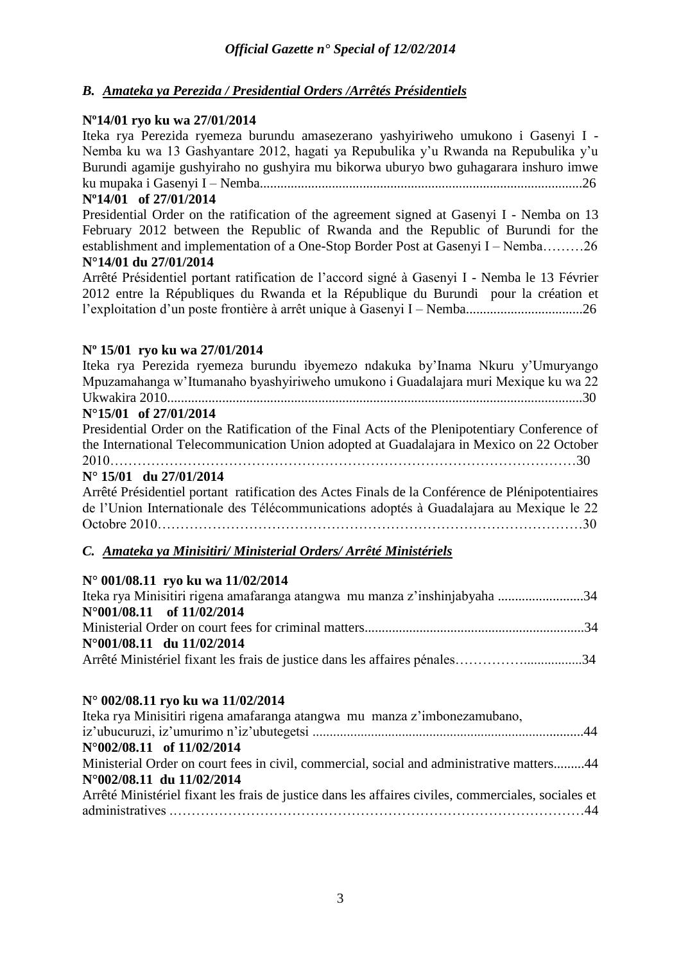# *B. Amateka ya Perezida / Presidential Orders /Arrêtés Présidentiels*

# **Nº14/01 ryo ku wa 27/01/2014**

Iteka rya Perezida ryemeza burundu amasezerano yashyiriweho umukono i Gasenyi I - Nemba ku wa 13 Gashyantare 2012, hagati ya Repubulika y'u Rwanda na Repubulika y'u Burundi agamije gushyiraho no gushyira mu bikorwa uburyo bwo guhagarara inshuro imwe ku mupaka i Gasenyi I – Nemba..............................................................................................26

# **Nº14/01 of 27/01/2014**

Presidential Order on the ratification of the agreement signed at Gasenyi I - Nemba on 13 February 2012 between the Republic of Rwanda and the Republic of Burundi for the establishment and implementation of a One-Stop Border Post at Gasenyi I – Nemba………26 **N°14/01 du 27/01/2014** 

Arrêté Présidentiel portant ratification de l'accord signé à Gasenyi I - Nemba le 13 Février 2012 entre la Républiques du Rwanda et la République du Burundi pour la création et l'exploitation d'un poste frontière à arrêt unique à Gasenyi I – Nemba..................................26

# **Nº 15/01 ryo ku wa 27/01/2014**

| Iteka rya Perezida ryemeza burundu ibyemezo ndakuka by'Inama Nkuru y'Umuryango                                                                                                                                                                        |
|-------------------------------------------------------------------------------------------------------------------------------------------------------------------------------------------------------------------------------------------------------|
| Mpuzamahanga w'Itumanaho byashyiriweho umukono i Guadalajara muri Mexique ku wa 22                                                                                                                                                                    |
|                                                                                                                                                                                                                                                       |
| $N^{\circ}15/01$ of 27/01/2014                                                                                                                                                                                                                        |
| Presidential Order on the Ratification of the Final Acts of the Plenipotentiary Conference of                                                                                                                                                         |
| the International Telecommunication Union adopted at Guadalajara in Mexico on 22 October                                                                                                                                                              |
|                                                                                                                                                                                                                                                       |
| $N^{\circ}$ 15/01 du 27/01/2014                                                                                                                                                                                                                       |
| Arrêté Présidentiel portant ratification des Actes Finals de la Conférence de Plénipotentiaires                                                                                                                                                       |
| de l'Union Internationale des Télécommunications adoptés à Guadalajara au Mexique le 22                                                                                                                                                               |
|                                                                                                                                                                                                                                                       |
| C. Amateka ya Minisitiri/ Ministerial Orders/ Arrêté Ministériels                                                                                                                                                                                     |
| N° 001/08.11 ryo ku wa 11/02/2014                                                                                                                                                                                                                     |
| $T_1$ 1 $M_1$ $M_2$ $M_3$ $M_4$ $M_5$ $M_7$ $M_8$ $M_9$ $M_9$ $M_9$ $M_9$ $M_9$ $M_9$ $M_9$ $M_9$ $M_9$ $M_9$ $M_9$ $M_9$ $M_9$ $M_9$ $M_9$ $M_9$ $M_9$ $M_9$ $M_9$ $M_9$ $M_9$ $M_9$ $M_9$ $M_9$ $M_9$ $M_9$ $M_9$ $M_9$ $M_$<br>$\bigcap$ $\bigcap$ |

| Iteka rya Minisitiri rigena amafaranga atangwa mu manza z'inshinjabyaha 34 |  |
|----------------------------------------------------------------------------|--|
| $N^{\circ}001/08.11$ of $11/02/2014$                                       |  |
|                                                                            |  |
| $N^{\circ}001/08.11$ du $11/02/2014$                                       |  |
| Arrêté Ministériel fixant les frais de justice dans les affaires pénales34 |  |

# **N° 002/08.11 ryo ku wa 11/02/2014**

| Iteka rya Minisitiri rigena amafaranga atangwa mu manza z'imbonezamubano,                           |
|-----------------------------------------------------------------------------------------------------|
|                                                                                                     |
| $N^{\circ}002/08.11$ of $11/02/2014$                                                                |
| Ministerial Order on court fees in civil, commercial, social and administrative matters44           |
| N°002/08.11 du 11/02/2014                                                                           |
| Arrêté Ministériel fixant les frais de justice dans les affaires civiles, commerciales, sociales et |
|                                                                                                     |
|                                                                                                     |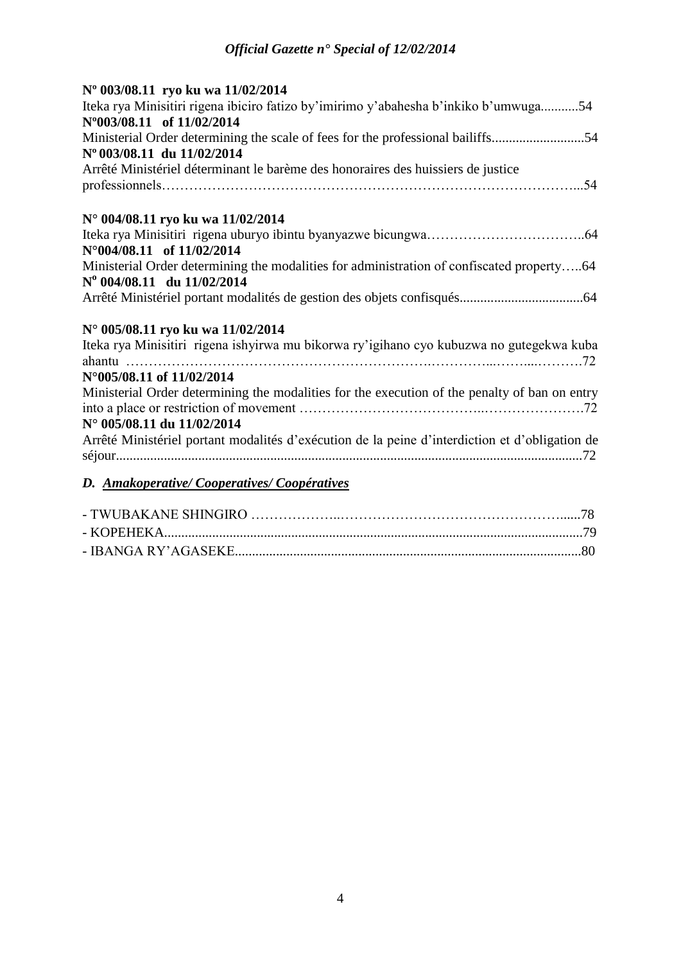| Nº 003/08.11 ryo ku wa 11/02/2014<br>Iteka rya Minisitiri rigena ibiciro fatizo by'imirimo y'abahesha b'inkiko b'umwuga54<br>N°003/08.11 of 11/02/2014 |
|--------------------------------------------------------------------------------------------------------------------------------------------------------|
| Ministerial Order determining the scale of fees for the professional bailiffs54                                                                        |
| N° 003/08.11 du 11/02/2014                                                                                                                             |
| Arrêté Ministériel déterminant le barème des honoraires des huissiers de justice                                                                       |
|                                                                                                                                                        |
| N° 004/08.11 ryo ku wa 11/02/2014                                                                                                                      |
|                                                                                                                                                        |
| N°004/08.11 of 11/02/2014                                                                                                                              |
| Ministerial Order determining the modalities for administration of confiscated property64                                                              |
| Nº 004/08.11 du 11/02/2014                                                                                                                             |
|                                                                                                                                                        |
| N° 005/08.11 ryo ku wa 11/02/2014                                                                                                                      |
| Iteka rya Minisitiri rigena ishyirwa mu bikorwa ry'igihano cyo kubuzwa no gutegekwa kuba                                                               |
| N°005/08.11 of 11/02/2014                                                                                                                              |
| Ministerial Order determining the modalities for the execution of the penalty of ban on entry                                                          |
|                                                                                                                                                        |
| N° 005/08.11 du 11/02/2014                                                                                                                             |
| Arrêté Ministériel portant modalités d'exécution de la peine d'interdiction et d'obligation de                                                         |
|                                                                                                                                                        |
| D. Amakoperative/Cooperatives/Coopératives                                                                                                             |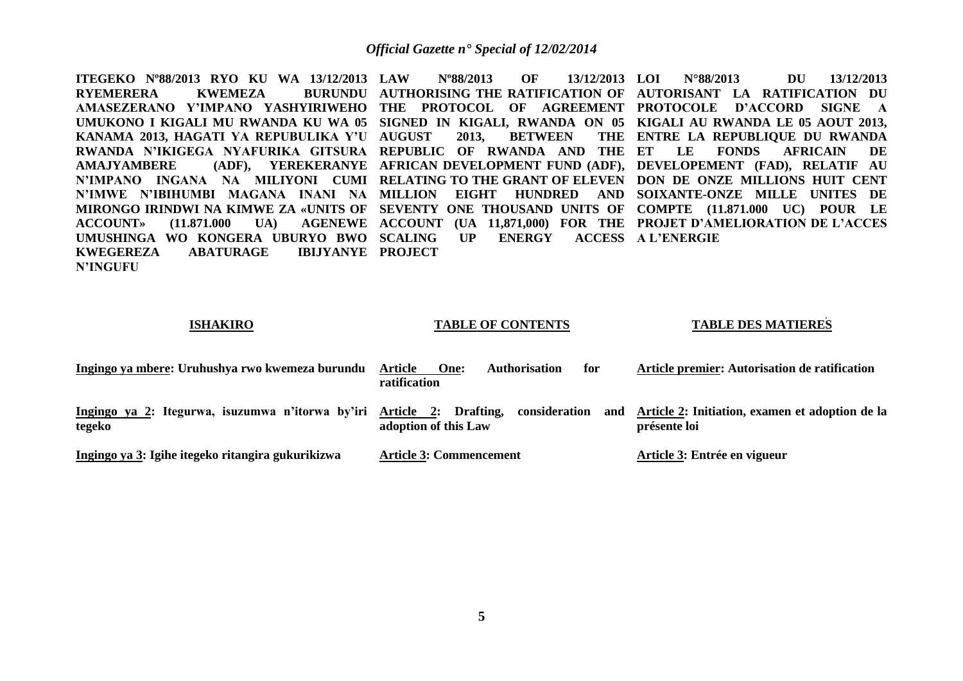**ITEGEKO Nº88/2013 RYO KU WA 13/12/2013**  RYEMERERA KWEMEZA **AMASEZERANO Y'IMPANO YASHYIRIWEHO THE PROTOCOL OF AGREEMENT PROTOCOLE D'ACCORD SIGNE A UMUKONO I KIGALI MU RWANDA KU WA 05 SIGNED IN KIGALI, RWANDA ON 05 KIGALI AU RWANDA LE 05 AOUT 2013, KANAMA 2013, HAGATI YA REPUBULIKA Y'U RWANDA N'IKIGEGA NYAFURIKA GITSURA REPUBLIC OF RWANDA AND THE AMAJYAMBERE (ADF), YEREKERANYE AFRICAN DEVELOPMENT FUND (ADF), DEVELOPEMENT (FAD), RELATIF AU N'IMPANO INGANA NA MILIYONI CUMI RELATING TO THE GRANT OF ELEVEN DON DE ONZE MILLIONS HUIT CENT N'IMWE N'IBIHUMBI MAGANA INANI NA MILLION EIGHT HUNDRED AND SOIXANTE-ONZE MILLE UNITES DE MIRONGO IRINDWI NA KIMWE ZA «UNITS OF SEVENTY ONE THOUSAND UNITS OF COMPTE (11.871.000 UC) POUR LE ACCOUNT» (11.871.000 UA) AGENEWE ACCOUNT (UA 11,871,000) FOR THE PROJET D'AMELIORATION DE L'ACCES UMUSHINGA WO KONGERA UBURYO BWO KWEGEREZA ABATURAGE N'INGUFU LAW Nº88/2013 OF 13/12/2013 AUTHORISING THE RATIFICATION OF AUTORISANT LA RATIFICATION DU 2013. BETWEEN** UP ENERGY **IBIJYANYE PROJECT LOI N°88/2013 DU 13/12/2013 ENTRE LA REPUBLIQUE DU RWANDA ET LE FONDS AFRICAIN DE ACCESS A L'ENERGIE** 

| <b>ISHAKIRO</b> |
|-----------------|
|-----------------|

# **TABLE OF CONTENTS**

### **TABLE DES MATIERES**

| Ingingo ya mbere: Uruhushya rwo kwemeza burundu                                 | <b>Authorisation</b><br>Article<br>One:<br>for<br>ratification | Article premier: Autorisation de ratification                   |
|---------------------------------------------------------------------------------|----------------------------------------------------------------|-----------------------------------------------------------------|
| Ingingo ya 2: Itegurwa, isuzumwa n'itorwa by'iri Article 2: Drafting,<br>tegeko | consideration<br>and<br>adoption of this Law                   | Article 2: Initiation, examen et adoption de la<br>présente loi |
| Ingingo ya 3: Igihe itegeko ritangira gukurikizwa                               | <b>Article 3: Commencement</b>                                 | Article 3: Entrée en vigueur                                    |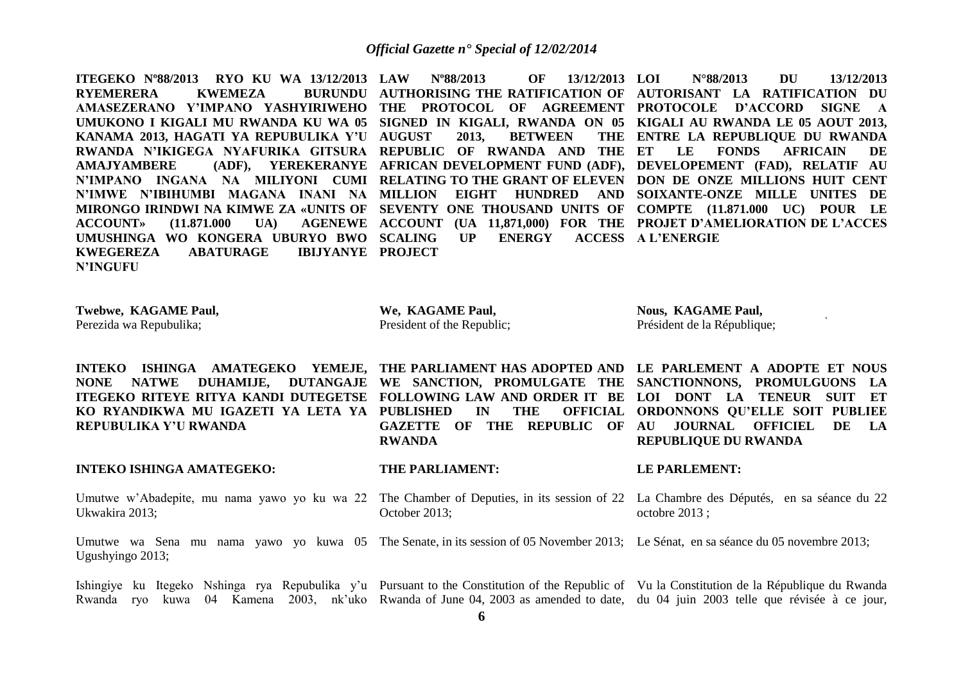**ITEGEKO Nº88/2013 RYO KU WA 13/12/2013 RYEMERERA KWEMEZA AMASEZERANO Y'IMPANO YASHYIRIWEHO THE PROTOCOL OF AGREEMENT PROTOCOLE D'ACCORD SIGNE A UMUKONO I KIGALI MU RWANDA KU WA 05 SIGNED IN KIGALI, RWANDA ON 05 KIGALI AU RWANDA LE 05 AOUT 2013, KANAMA 2013, HAGATI YA REPUBULIKA Y'U RWANDA N'IKIGEGA NYAFURIKA GITSURA REPUBLIC OF RWANDA AND THE AMAJYAMBERE (ADF), YEREKERANYE AFRICAN DEVELOPMENT FUND (ADF), DEVELOPEMENT (FAD), RELATIF AU N'IMPANO INGANA NA MILIYONI CUMI RELATING TO THE GRANT OF ELEVEN DON DE ONZE MILLIONS HUIT CENT N'IMWE N'IBIHUMBI MAGANA INANI NA MILLION EIGHT HUNDRED AND SOIXANTE-ONZE MILLE UNITES DE MIRONGO IRINDWI NA KIMWE ZA «UNITS OF SEVENTY ONE THOUSAND UNITS OF COMPTE (11.871.000 UC) POUR LE ACCOUNT» (11.871.000 UA) AGENEWE ACCOUNT (UA 11,871,000) FOR THE PROJET D'AMELIORATION DE L'ACCES UMUSHINGA WO KONGERA UBURYO BWO SCALING UP ENERGY ACCESS KWEGEREZA ABATURAGE N'INGUFU LAW Nº88/2013 OF 13/12/2013 AUTHORISING THE RATIFICATION OF AUTORISANT LA RATIFICATION DU 2013. BETWEEN IBIJYANYE PROJECT LOI N°88/2013 DU 13/12/2013 ENTRE LA REPUBLIQUE DU RWANDA ET LE FONDS AFRICAIN DE ACCESS A L'ENERGIE** 

| Twebwe, KAGAME Paul,    | We, KAGAME Paul,           | <b>Nous, KAGAME Paul,</b>   |  |  |
|-------------------------|----------------------------|-----------------------------|--|--|
| Perezida wa Repubulika; | President of the Republic; | Président de la République; |  |  |
|                         |                            |                             |  |  |

**INTEKO ISHINGA AMATEGEKO YEMEJE, THE PARLIAMENT HAS ADOPTED AND LE PARLEMENT A ADOPTE ET NOUS NONE NATWE DUHAMIJE, DUTANGAJE WE SANCTION, PROMULGATE THE SANCTIONNONS, PROMULGUONS LA ITEGEKO RITEYE RITYA KANDI DUTEGETSE FOLLOWING LAW AND ORDER IT BE LOI DONT LA TENEUR SUIT ET KO RYANDIKWA MU IGAZETI YA LETA YA PUBLISHED IN THE OFFICIAL REPUBULIKA Y'U RWANDA**

**RWANDA**

**GAZETTE OF THE REPUBLIC OF AU JOURNAL OFFICIEL DE LA ORDONNONS QU'ELLE SOIT PUBLIEE REPUBLIQUE DU RWANDA**

# **INTEKO ISHINGA AMATEGEKO:**

# **THE PARLIAMENT:**

**LE PARLEMENT:**

Umutwe w'Abadepite, mu nama yawo yo ku wa 22 The Chamber of Deputies, in its session of 22 La Chambre des Députés, en sa séance du 22 Ukwakira 2013; October 2013; octobre 2013 ;

Umutwe wa Sena mu nama yawo yo kuwa 05 The Senate, in its session of 05 November 2013; Le Sénat, en sa séance du 05 novembre 2013; Ugushyingo 2013;

Ishingiye ku Itegeko Nshinga rya Repubulika y'u Pursuant to the Constitution of the Republic of Vu la Constitution de la République du Rwanda Rwanda ryo kuwa 04 Kamena 2003, nk'uko Rwanda of June 04, 2003 as amended to date, du 04 juin 2003 telle que révisée à ce jour,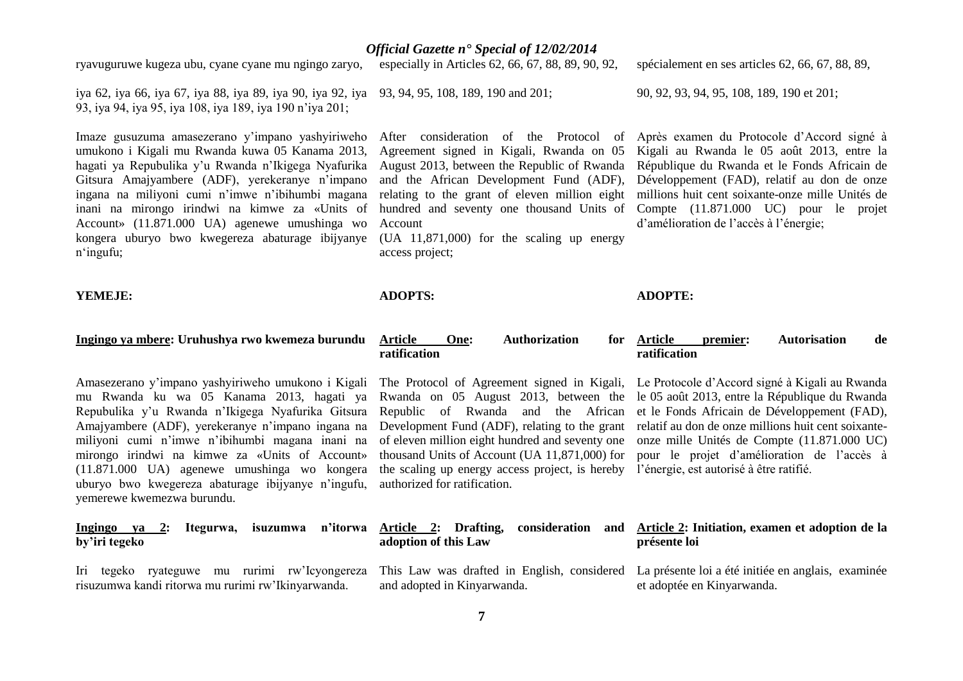# August 2013, between the Republic of Rwanda

and the African Development Fund (ADF), relating to the grant of eleven million eight Account

Agreement signed in Kigali, Rwanda on 05

(UA 11,871,000) for the scaling up energy access project;

# **ADOPTS:**

# spécialement en ses articles 62, 66, 67, 88, 89,

90, 92, 93, 94, 95, 108, 189, 190 et 201;

**ADOPTE:**

**ratification**

hundred and seventy one thousand Units of Compte (11.871.000 UC) pour le projet Après examen du Protocole d'Accord signé à Kigali au Rwanda le 05 août 2013, entre la République du Rwanda et le Fonds Africain de Développement (FAD), relatif au don de onze millions huit cent soixante-onze mille Unités de d'amélioration de l'accès à l'énergie;

**Premier:** Autorisation de

pour le projet d'amélioration de l'accès à

# **YEMEJE:**

n'ingufu;

# **Ingingo ya mbere: Uruhushya rwo kwemeza burundu**

ryavuguruwe kugeza ubu, cyane cyane mu ngingo zaryo,

umukono i Kigali mu Rwanda kuwa 05 Kanama 2013, hagati ya Repubulika y'u Rwanda n'Ikigega Nyafurika Gitsura Amajyambere (ADF), yerekeranye n'impano ingana na miliyoni cumi n'imwe n'ibihumbi magana inani na mirongo irindwi na kimwe za «Units of Account» (11.871.000 UA) agenewe umushinga wo kongera uburyo bwo kwegereza abaturage ibijyanye

93, iya 94, iya 95, iya 108, iya 189, iya 190 n'iya 201;

iya 62, iya 66, iya 67, iya 88, iya 89, iya 90, iya 92, iya 93, 94, 95, 108, 189, 190 and 201;

Imaze gusuzuma amasezerano y'impano yashyiriweho After consideration of the Protocol of

Amasezerano y'impano yashyiriweho umukono i Kigali The Protocol of Agreement signed in Kigali, Le Protocole d'Accord signé à Kigali au Rwanda mu Rwanda ku wa 05 Kanama 2013, hagati ya Repubulika y'u Rwanda n'Ikigega Nyafurika Gitsura Amajyambere (ADF), yerekeranye n'impano ingana na miliyoni cumi n'imwe n'ibihumbi magana inani na mirongo irindwi na kimwe za «Units of Account» (11.871.000 UA) agenewe umushinga wo kongera uburyo bwo kwegereza abaturage ibijyanye n'ingufu, yemerewe kwemezwa burundu.

| isuzumwa n'itorwa<br>Itegurwa,<br><b>2:</b><br>Ingingo ya<br>by'iri tegeko | Article 2: Drafting,<br>consideration<br>adoption of this Law | and Article 2: Initiation, examen et adoption de la<br>présente loi                                                                                             |  |
|----------------------------------------------------------------------------|---------------------------------------------------------------|-----------------------------------------------------------------------------------------------------------------------------------------------------------------|--|
| Iri tegeko<br>risuzumwa kandi ritorwa mu rurimi rw'Ikinyarwanda.           | and adopted in Kinyarwanda.                                   | ryateguwe mu rurimi rw'Icyongereza This Law was drafted in English, considered La présente loi a été initiée en anglais, examinée<br>et adoptée en Kinyarwanda. |  |

*Official Gazette n° Special of 12/02/2014*

especially in Articles 62, 66, 67, 88, 89, 90, 92,

# **Article One: Authorization for ratification**

Rwanda on 05 August 2013, between the le 05 août 2013, entre la République du Rwanda Republic of Rwanda and the African et le Fonds Africain de Développement (FAD), Development Fund (ADF), relating to the grant relatif au don de onze millions huit cent soixanteof eleven million eight hundred and seventy one onze mille Unités de Compte (11.871.000 UC) thousand Units of Account (UA 11,871,000) for the scaling up energy access project, is hereby l'énergie, est autorisé à être ratifié. authorized for ratification.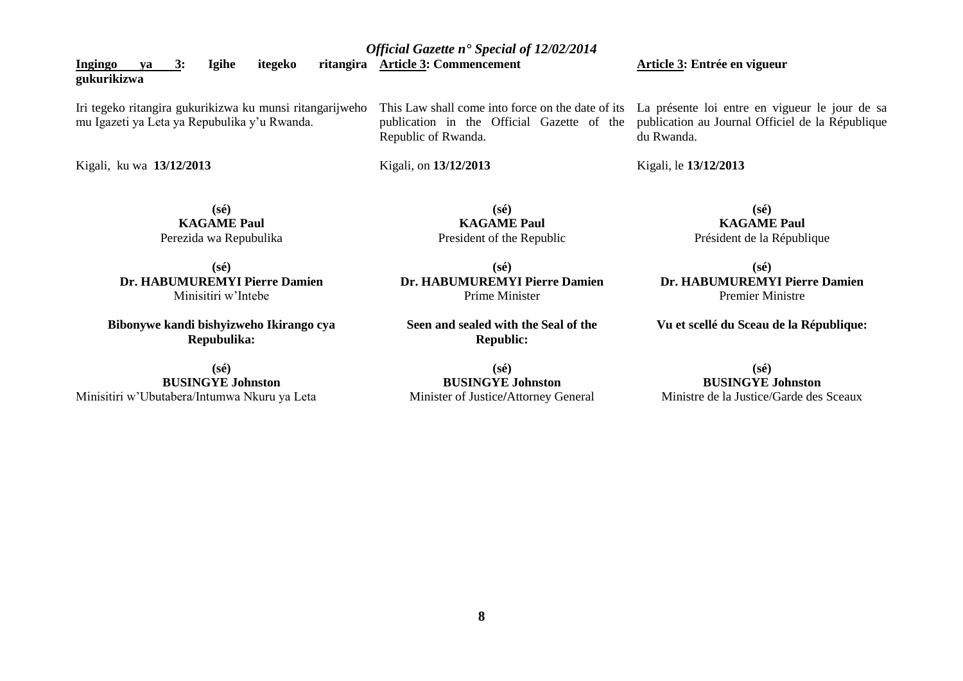| Ingingo<br><b>Igihe</b><br>ritangira<br>itegeko<br>3:<br>va<br>gukurikizwa                               | <b>Article 3: Commencement</b> | Article 3: Entrée en vigueur                                                                                                                                                                                  |
|----------------------------------------------------------------------------------------------------------|--------------------------------|---------------------------------------------------------------------------------------------------------------------------------------------------------------------------------------------------------------|
| Iri tegeko ritangira gukurikizwa ku munsi ritangarijweho<br>mu Igazeti ya Leta ya Repubulika y'u Rwanda. | Republic of Rwanda.            | This Law shall come into force on the date of its La présente loi entre en vigueur le jour de sa<br>publication in the Official Gazette of the publication au Journal Officiel de la République<br>du Rwanda. |
| Kigali, ku wa 13/12/2013                                                                                 | Kigali, on 13/12/2013          | Kigali, le 13/12/2013                                                                                                                                                                                         |

**(sé) KAGAME Paul** Perezida wa Repubulika

**(sé) Dr. HABUMUREMYI Pierre Damien** Minisitiri w'Intebe

**Bibonywe kandi bishyizweho Ikirango cya Repubulika:**

**(sé) BUSINGYE Johnston** Minisitiri w'Ubutabera/Intumwa Nkuru ya Leta President of the Republic **(sé)**

**(sé) KAGAME Paul**

**Dr. HABUMUREMYI Pierre Damien** Prime Minister

**Seen and sealed with the Seal of the Republic:**

**(sé) BUSINGYE Johnston** Minister of Justice**/**Attorney General

**(sé) KAGAME Paul** Président de la République

**(sé) Dr. HABUMUREMYI Pierre Damien** Premier Ministre

**Vu et scellé du Sceau de la République:**

# **(sé) BUSINGYE Johnston**

Ministre de la Justice/Garde des Sceaux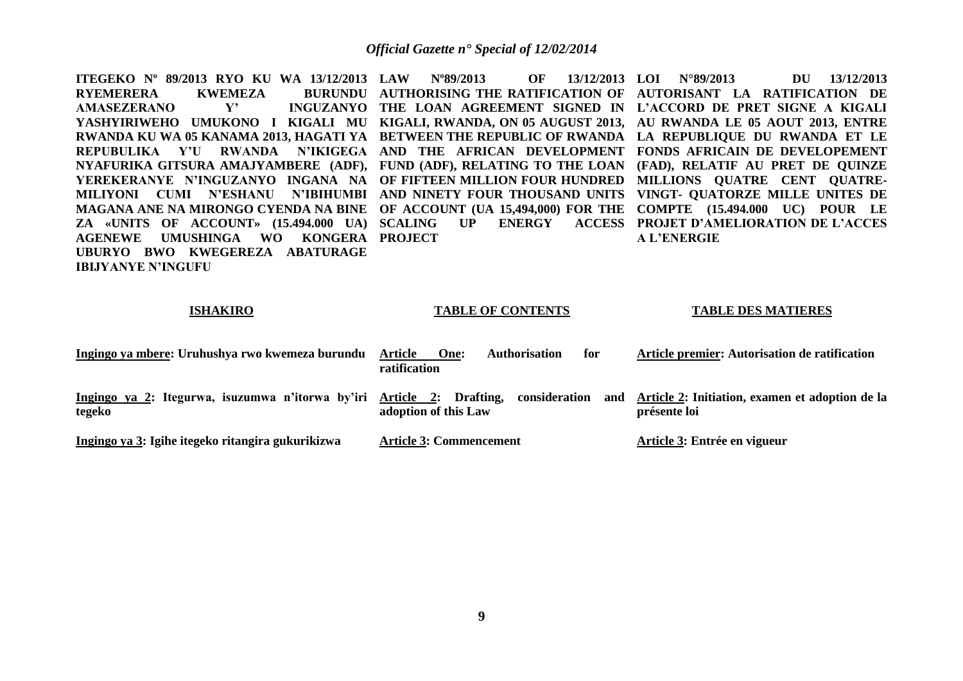**ITEGEKO Nº 89/2013 RYO KU WA 13/12/2013 LAW Nº89/2013 OF 13/12/2013 RYEMERERA KWEMEZA AMASEZERANO** Y' **YASHYIRIWEHO UMUKONO I KIGALI MU KIGALI, RWANDA, ON 05 AUGUST 2013, AU RWANDA LE 05 AOUT 2013, ENTRE RWANDA KU WA 05 KANAMA 2013, HAGATI YA BETWEEN THE REPUBLIC OF RWANDA LA REPUBLIQUE DU RWANDA ET LE REPUBULIKA Y'U RWANDA N'IKIGEGA AND THE AFRICAN DEVELOPMENT FONDS AFRICAIN DE DEVELOPEMENT NYAFURIKA GITSURA AMAJYAMBERE (ADF), FUND (ADF), RELATING TO THE LOAN (FAD), RELATIF AU PRET DE QUINZE YEREKERANYE N'INGUZANYO INGANA NA OF FIFTEEN MILLION FOUR HUNDRED MILLIONS QUATRE CENT QUATRE-MILIYONI CUMI N'ESHANU N'IBIHUMBI AND NINETY FOUR THOUSAND UNITS VINGT- QUATORZE MILLE UNITES DE MAGANA ANE NA MIRONGO CYENDA NA BINE OF ACCOUNT (UA 15,494,000) FOR THE COMPTE (15.494.000 UC) POUR LE ZA «UNITS OF ACCOUNT» (15.494.000 UA) SCALING UP ENERGY ACCESS PROJET D'AMELIORATION DE L'ACCES AGENEWE UMUSHINGA WO KONGERA PROJECT UBURYO BWO KWEGEREZA ABATURAGE IBIJYANYE N'INGUFU AUTHORISING THE RATIFICATION OF AUTORISANT LA RATIFICATION DE THE LOAN AGREEMENT SIGNED IN L'ACCORD DE PRET SIGNE A KIGALI LOI N°89/2013 DU 13/12/2013 A L'ENERGIE**

## **ISHAKIRO**

# **TABLE OF CONTENTS**

### **TABLE DES MATIERES**

| Ingingo ya mbere: Uruhushya rwo kwemeza burundu                                 | Article<br><b>Authorisation</b><br>One:<br>for<br>ratification | Article premier: Autorisation de ratification                       |
|---------------------------------------------------------------------------------|----------------------------------------------------------------|---------------------------------------------------------------------|
| Ingingo ya 2: Itegurwa, isuzumwa n'itorwa by'iri Article 2: Drafting,<br>tegeko | consideration<br>adoption of this Law                          | and Article 2: Initiation, examen et adoption de la<br>présente loi |
| Ingingo ya 3: Igihe itegeko ritangira gukurikizwa                               | <b>Article 3: Commencement</b>                                 | Article 3: Entrée en vigueur                                        |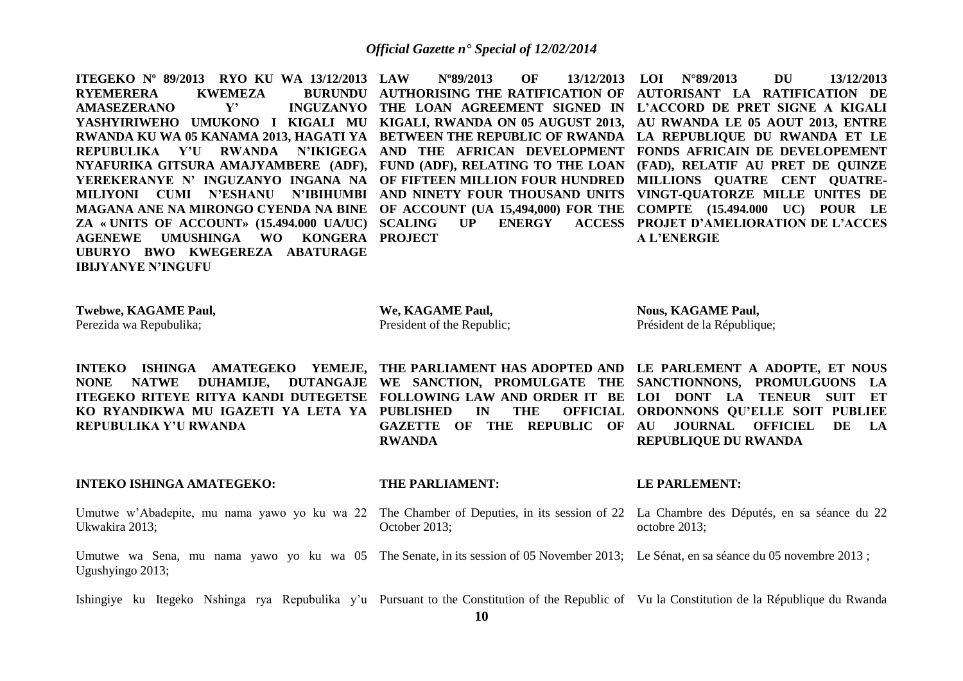**ITEGEKO Nº 89/2013 RYO KU WA 13/12/2013 RYEMERERA KWEMEZA AMASEZERANO** Y' **YASHYIRIWEHO UMUKONO I KIGALI MU KIGALI, RWANDA ON 05 AUGUST 2013, AU RWANDA LE 05 AOUT 2013, ENTRE RWANDA KU WA 05 KANAMA 2013, HAGATI YA BETWEEN THE REPUBLIC OF RWANDA LA REPUBLIQUE DU RWANDA ET LE REPUBULIKA Y'U RWANDA N'IKIGEGA AND THE AFRICAN DEVELOPMENT FONDS AFRICAIN DE DEVELOPEMENT NYAFURIKA GITSURA AMAJYAMBERE (ADF), FUND (ADF), RELATING TO THE LOAN (FAD), RELATIF AU PRET DE QUINZE YEREKERANYE N' INGUZANYO INGANA NA OF FIFTEEN MILLION FOUR HUNDRED MILLIONS QUATRE CENT QUATRE-MILIYONI CUMI N'ESHANU N'IBIHUMBI AND NINETY FOUR THOUSAND UNITS VINGT-QUATORZE MILLE UNITES DE MAGANA ANE NA MIRONGO CYENDA NA BINE OF ACCOUNT (UA 15,494,000) FOR THE COMPTE (15.494.000 UC) POUR LE ZA « UNITS OF ACCOUNT» (15.494.000 UA/UC) SCALING UP ENERGY ACCESS AGENEWE UMUSHINGA WO KONGERA PROJECT UBURYO BWO KWEGEREZA ABATURAGE IBIJYANYE N'INGUFU** 

**LAW Nº89/2013 OF 13/12/2013 LOI N°89/2013 DU 13/12/2013 AUTHORISING THE RATIFICATION OF AUTORISANT LA RATIFICATION DE THE LOAN AGREEMENT SIGNED IN L'ACCORD DE PRET SIGNE A KIGALI PROJET D'AMELIORATION DE L'ACCES A L'ENERGIE**

**Twebwe, KAGAME Paul,** Perezida wa Repubulika;

**We, KAGAME Paul,** President of the Republic; **Nous, KAGAME Paul,** Président de la République;

**INTEKO ISHINGA AMATEGEKO YEMEJE, THE PARLIAMENT HAS ADOPTED AND LE PARLEMENT A ADOPTE, ET NOUS NONE NATWE DUHAMIJE, DUTANGAJE WE SANCTION, PROMULGATE THE SANCTIONNONS, PROMULGUONS LA ITEGEKO RITEYE RITYA KANDI DUTEGETSE FOLLOWING LAW AND ORDER IT BE LOI DONT LA TENEUR SUIT ET KO RYANDIKWA MU IGAZETI YA LETA YA PUBLISHED IN THE OFFICIAL REPUBULIKA Y'U RWANDA**

**RWANDA**

**GAZETTE OF THE REPUBLIC OF AU JOURNAL OFFICIEL DE LA ORDONNONS QU'ELLE SOIT PUBLIEE REPUBLIQUE DU RWANDA**

# **INTEKO ISHINGA AMATEGEKO:**

# **THE PARLIAMENT:**

**LE PARLEMENT:**

Umutwe w'Abadepite, mu nama yawo yo ku wa 22 The Chamber of Deputies, in its session of 22 La Chambre des Députés, en sa séance du 22 Ukwakira 2013; October 2013; octobre 2013;

Umutwe wa Sena, mu nama yawo yo ku wa 05 The Senate, in its session of 05 November 2013; Le Sénat, en sa séance du 05 novembre 2013; Ugushyingo 2013;

Ishingiye ku Itegeko Nshinga rya Repubulika y'u Pursuant to the Constitution of the Republic of Vu la Constitution de la République du Rwanda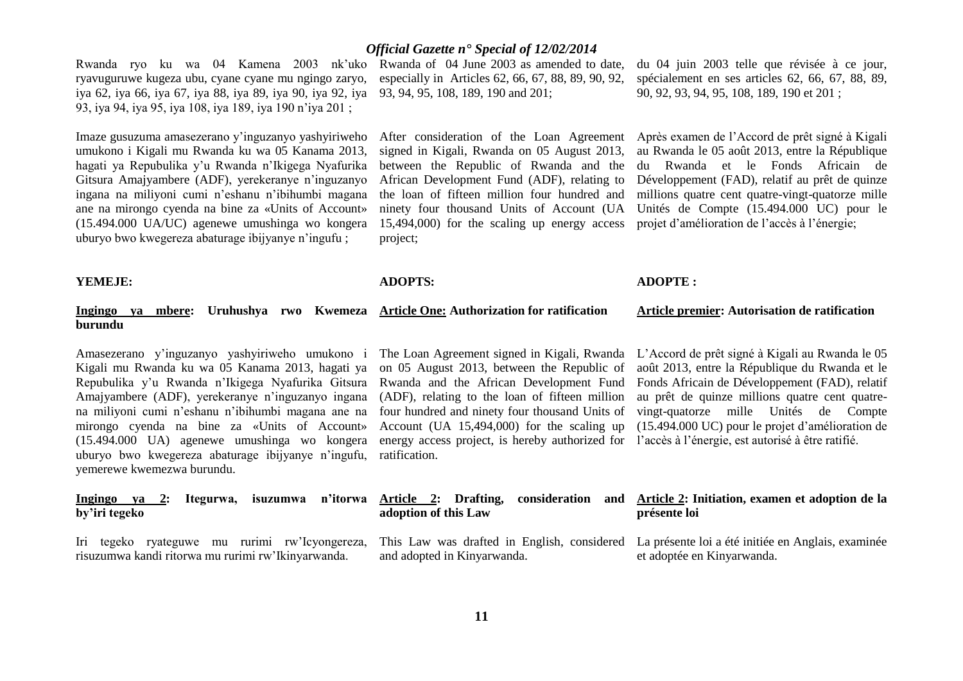Rwanda ryo ku wa 04 Kamena 2003 nk'uko Rwanda of 04 June 2003 as amended to date, ryavuguruwe kugeza ubu, cyane cyane mu ngingo zaryo, especially in Articles 62, 66, 67, 88, 89, 90, 92, iya 62, iya 66, iya 67, iya 88, iya 89, iya 90, iya 92, iya 93, 94, 95, 108, 189, 190 and 201; 93, iya 94, iya 95, iya 108, iya 189, iya 190 n'iya 201 ;

Imaze gusuzuma amasezerano y'inguzanyo yashyiriweho umukono i Kigali mu Rwanda ku wa 05 Kanama 2013, hagati ya Repubulika y'u Rwanda n'Ikigega Nyafurika Gitsura Amajyambere (ADF), yerekeranye n'inguzanyo ingana na miliyoni cumi n'eshanu n'ibihumbi magana ane na mirongo cyenda na bine za «Units of Account» (15.494.000 UA/UC) agenewe umushinga wo kongera uburyo bwo kwegereza abaturage ibijyanye n'ingufu ;

# *Official Gazette n° Special of 12/02/2014*

After consideration of the Loan Agreement signed in Kigali, Rwanda on 05 August 2013, between the Republic of Rwanda and the African Development Fund (ADF), relating to the loan of fifteen million four hundred and ninety four thousand Units of Account (UA 15,494,000) for the scaling up energy access project;

du 04 juin 2003 telle que révisée à ce jour, spécialement en ses articles 62, 66, 67, 88, 89, 90, 92, 93, 94, 95, 108, 189, 190 et 201 ;

Après examen de l'Accord de prêt signé à Kigali au Rwanda le 05 août 2013, entre la République du Rwanda et le Fonds Africain de Développement (FAD), relatif au prêt de quinze millions quatre cent quatre-vingt-quatorze mille Unités de Compte (15.494.000 UC) pour le projet d'amélioration de l'accès à l'énergie;

# **YEMEJE:**

**burundu** 

# **ADOPTS:**

### **Ingingo ya mbere: Uruhushya rwo Kwemeza Article One: Authorization for ratification Article premier: Autorisation de ratification**

**ADOPTE :**

Amasezerano y'inguzanyo yashyiriweho umukono i Kigali mu Rwanda ku wa 05 Kanama 2013, hagati ya Repubulika y'u Rwanda n'Ikigega Nyafurika Gitsura Amajyambere (ADF), yerekeranye n'inguzanyo ingana na miliyoni cumi n'eshanu n'ibihumbi magana ane na mirongo cyenda na bine za «Units of Account» (15.494.000 UA) agenewe umushinga wo kongera energy access project, is hereby authorized for l'accès à l'énergie, est autorisé à être ratifié. uburyo bwo kwegereza abaturage ibijyanye n'ingufu, yemerewe kwemezwa burundu.

risuzumwa kandi ritorwa mu rurimi rw'Ikinyarwanda.

on 05 August 2013, between the Republic of Rwanda and the African Development Fund (ADF), relating to the loan of fifteen million four hundred and ninety four thousand Units of Account (UA 15,494,000) for the scaling up ratification.

The Loan Agreement signed in Kigali, Rwanda L'Accord de prêt signé à Kigali au Rwanda le 05 août 2013, entre la République du Rwanda et le Fonds Africain de Développement (FAD), relatif au prêt de quinze millions quatre cent quatrevingt-quatorze mille Unités de Compte (15.494.000 UC) pour le projet d'amélioration de

et adoptée en Kinyarwanda.

| by'iri tegeko |  | Ingingo ya 2: Itegurwa, |  | adoption of this Law |  |  | isuzumwa n'itorwa Article 2: Drafting, consideration and Article 2: Initiation, examen et adoption de la<br>présente loi           |
|---------------|--|-------------------------|--|----------------------|--|--|------------------------------------------------------------------------------------------------------------------------------------|
| Iri tegeko    |  |                         |  |                      |  |  | ryateguwe mu rurimi rw'lcyongereza, This Law was drafted in English, considered La présente loi a été initiée en Anglais, examinée |

and adopted in Kinyarwanda.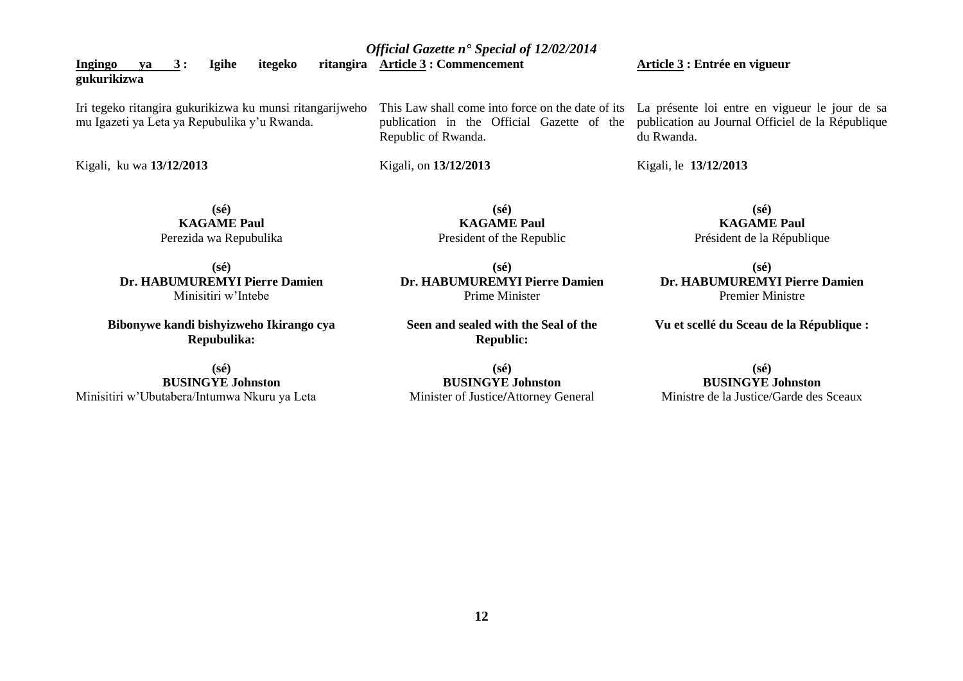**Ingingo** va 3: Igihe itegeko **gukurikizwa** Iri tegeko ritangira gukurikizwa ku munsi ritangarijweho mu Igazeti ya Leta ya Repubulika y'u Rwanda. This Law shall come into force on the date of its publication in the Official Gazette of the **Article 3 : Entrée en vigueur**  La présente loi entre en vigueur le jour de sa

Kigali, ku wa **13/12/2013**

**(sé) KAGAME Paul** Perezida wa Repubulika

**(sé) Dr. HABUMUREMYI Pierre Damien** Minisitiri w'Intebe

**Bibonywe kandi bishyizweho Ikirango cya Repubulika:**

**(sé) BUSINGYE Johnston** Minisitiri w'Ubutabera/Intumwa Nkuru ya Leta Republic of Rwanda.

Kigali, on **13/12/2013** 

**(sé) KAGAME Paul** President of the Republic

**(sé) Dr. HABUMUREMYI Pierre Damien** Prime Minister

**Seen and sealed with the Seal of the Republic:**

**(sé) BUSINGYE Johnston** Minister of Justice**/**Attorney General publication au Journal Officiel de la République du Rwanda.

Kigali, le **13/12/2013** 

**(sé) KAGAME Paul** Président de la République

**(sé) Dr. HABUMUREMYI Pierre Damien** Premier Ministre

**Vu et scellé du Sceau de la République :**

# **(sé) BUSINGYE Johnston**

Ministre de la Justice/Garde des Sceaux

*Official Gazette n° Special of 12/02/2014*

**Article 3 : Commencement**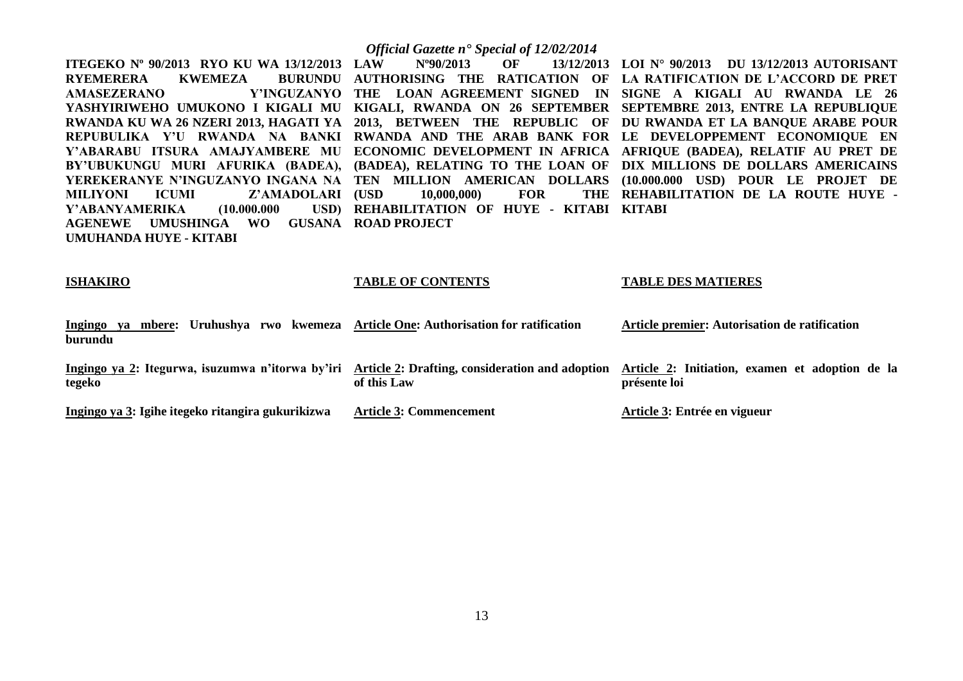|                                                                                                       | <b>Official Gazette n<sup>•</sup> Special of 12/02/2014</b> |                                                                         |
|-------------------------------------------------------------------------------------------------------|-------------------------------------------------------------|-------------------------------------------------------------------------|
| <b>ITEGEKO Nº 90/2013 RYO KU WA 13/12/2013 LAW</b>                                                    | $N^{\circ}90/2013$ OF<br>13/12/2013                         | LOI Nº 90/2013 DU 13/12/2013 AUTORISANT                                 |
| <b>RYEMERERA</b><br><b>BURUNDU</b><br>KWEMEZA                                                         |                                                             | AUTHORISING THE RATICATION OF LA RATIFICATION DE L'ACCORD DE PRET       |
| <b>AMASEZERANO</b>                                                                                    |                                                             | Y'INGUZANYO THE LOAN AGREEMENT SIGNED IN SIGNE A KIGALI AU RWANDA LE 26 |
| YASHYIRIWEHO UMUKONO I KIGALI MU KIGALI, RWANDA ON 26 SEPTEMBER SEPTEMBRE 2013, ENTRE LA REPUBLIQUE   |                                                             |                                                                         |
| RWANDA KU WA 26 NZERI 2013, HAGATI YA 2013, BETWEEN THE REPUBLIC OF DU RWANDA ET LA BANQUE ARABE POUR |                                                             |                                                                         |
| REPUBULIKA Y'U RWANDA NA BANKI RWANDA AND THE ARAB BANK FOR LE DEVELOPPEMENT ECONOMIQUE EN            |                                                             |                                                                         |
| Y'ABARABU ITSURA AMAJYAMBERE MU ECONOMIC DEVELOPMENT IN AFRICA AFRIQUE (BADEA), RELATIF AU PRET DE    |                                                             |                                                                         |
| BY'UBUKUNGU MURI AFURIKA (BADEA), (BADEA), RELATING TO THE LOAN OF DIX MILLIONS DE DOLLARS AMERICAINS |                                                             |                                                                         |
| YEREKERANYE N'INGUZANYO INGANA NA TEN MILLION AMERICAN DOLLARS (10.000.000 USD) POUR LE PROJET DE     |                                                             |                                                                         |
| MILIYONI<br>ICUMI<br>Z'AMADOLARI (USD                                                                 | 10,000,000)<br><b>FOR</b>                                   | THE REHABILITATION DE LA ROUTE HUYE -                                   |
| Y'ABANYAMERIKA                                                                                        | (10.000.000 USD) REHABILITATION OF HUYE - KITABI KITABI     |                                                                         |
| UMUSHINGA WO GUSANA ROAD PROJECT<br><b>AGENEWE</b>                                                    |                                                             |                                                                         |
| UMUHANDA HUYE - KITABI                                                                                |                                                             |                                                                         |
|                                                                                                       |                                                             |                                                                         |
|                                                                                                       |                                                             |                                                                         |

# **ISHAKIRO**

# **TABLE OF CONTENTS**

# **TABLE DES MATIERES**

| mbere: Uruhushya<br>Ingingo<br>rwo kwemeza<br>va<br>burundu | <b>Article One: Authorisation for ratification</b>             | Article premier: Autorisation de ratification                          |
|-------------------------------------------------------------|----------------------------------------------------------------|------------------------------------------------------------------------|
| Ingingo ya 2: Itegurwa, isuzumwa n'itorwa by'iri<br>tegeko  | Article 2: Drafting, consideration and adoption<br>of this Law | Article 2: Initiation, examen et adoption de la<br><b>présente loi</b> |
| Ingingo ya 3: Igihe itegeko ritangira gukurikizwa           | <b>Article 3: Commencement</b>                                 | Article 3: Entrée en vigueur                                           |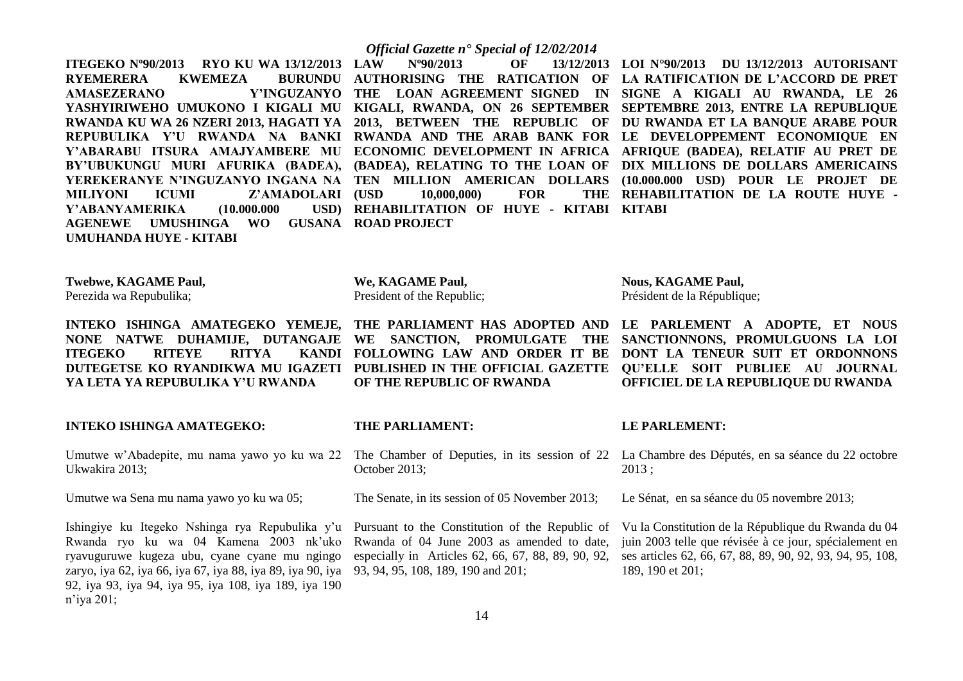**ITEGEKO Nº90/2013 RYO KU WA 13/12/2013 RYEMERERA KWEMEZA AMASEZERANO MILIYONI ICUMI Z'AMADOLARI (USD Y'ABANYAMERIKA** (10.000.000) **AGENEWE UMUSHINGA WO GUSANA ROAD PROJECT UMUHANDA HUYE - KITABI**

# *Official Gazette n° Special of 12/02/2014*

**(10,000,000)** FOR **REHABILITATION OF HUYE - KITABI KITABI**

**YASHYIRIWEHO UMUKONO I KIGALI MU KIGALI, RWANDA, ON 26 SEPTEMBER SEPTEMBRE 2013, ENTRE LA REPUBLIQUE RWANDA KU WA 26 NZERI 2013, HAGATI YA 2013, BETWEEN THE REPUBLIC OF DU RWANDA ET LA BANQUE ARABE POUR REPUBULIKA Y'U RWANDA NA BANKI RWANDA AND THE ARAB BANK FOR LE DEVELOPPEMENT ECONOMIQUE EN Y'ABARABU ITSURA AMAJYAMBERE MU ECONOMIC DEVELOPMENT IN AFRICA AFRIQUE (BADEA), RELATIF AU PRET DE BY'UBUKUNGU MURI AFURIKA (BADEA), (BADEA), RELATING TO THE LOAN OF DIX MILLIONS DE DOLLARS AMERICAINS YEREKERANYE N'INGUZANYO INGANA NA TEN MILLION AMERICAN DOLLARS (10.000.000 USD) POUR LE PROJET DE LAW Nº90/2013 OF 13/12/2013 LOI N°90/2013 DU 13/12/2013 AUTORISANT AUTHORISING THE RATICATION OF LA RATIFICATION DE L'ACCORD DE PRET THE LOAN AGREEMENT SIGNED IN SIGNE A KIGALI AU RWANDA, LE 26 REHABILITATION DE LA ROUTE HUYE -**

**Twebwe, KAGAME Paul,**

Perezida wa Repubulika;

**ITEGEKO RITEYE RITYA YA LETA YA REPUBULIKA Y'U RWANDA**

**INTEKO ISHINGA AMATEGEKO:**

Ukwakira 2013;

Umutwe wa Sena mu nama yawo yo ku wa 05;

Ishingiye ku Itegeko Nshinga rya Repubulika y'u Pursuant to the Constitution of the Republic of Rwanda ryo ku wa 04 Kamena 2003 nk'uko ryavuguruwe kugeza ubu, cyane cyane mu ngingo zaryo, iya 62, iya 66, iya 67, iya 88, iya 89, iya 90, iya 93, 94, 95, 108, 189, 190 and 201; 92, iya 93, iya 94, iya 95, iya 108, iya 189, iya 190 n'iya 201;

# **We, KAGAME Paul,** President of the Republic;

**THE PARLIAMENT:**

October 2013;

**OF THE REPUBLIC OF RWANDA**

**Nous, KAGAME Paul,** Président de la République;

**INTEKO ISHINGA AMATEGEKO YEMEJE, THE PARLIAMENT HAS ADOPTED AND LE PARLEMENT A ADOPTE, ET NOUS NONE NATWE DUHAMIJE, DUTANGAJE WE SANCTION, PROMULGATE THE SANCTIONNONS, PROMULGUONS LA LOI DUTEGETSE KO RYANDIKWA MU IGAZETI PUBLISHED IN THE OFFICIAL GAZETTE QU'ELLE SOIT PUBLIEE AU JOURNAL FOLLOWING LAW AND ORDER IT BE DONT LA TENEUR SUIT ET ORDONNONS OFFICIEL DE LA REPUBLIQUE DU RWANDA**

# **LE PARLEMENT:**

Umutwe w'Abadepite, mu nama yawo yo ku wa 22 The Chamber of Deputies, in its session of 22 La Chambre des Députés, en sa séance du 22 octobre 2013 ;

Le Sénat, en sa séance du 05 novembre 2013;

Vu la Constitution de la République du Rwanda du 04 juin 2003 telle que révisée à ce jour, spécialement en ses articles 62, 66, 67, 88, 89, 90, 92, 93, 94, 95, 108, 189, 190 et 201;

The Senate, in its session of 05 November 2013;

Rwanda of 04 June 2003 as amended to date, especially in Articles 62, 66, 67, 88, 89, 90, 92,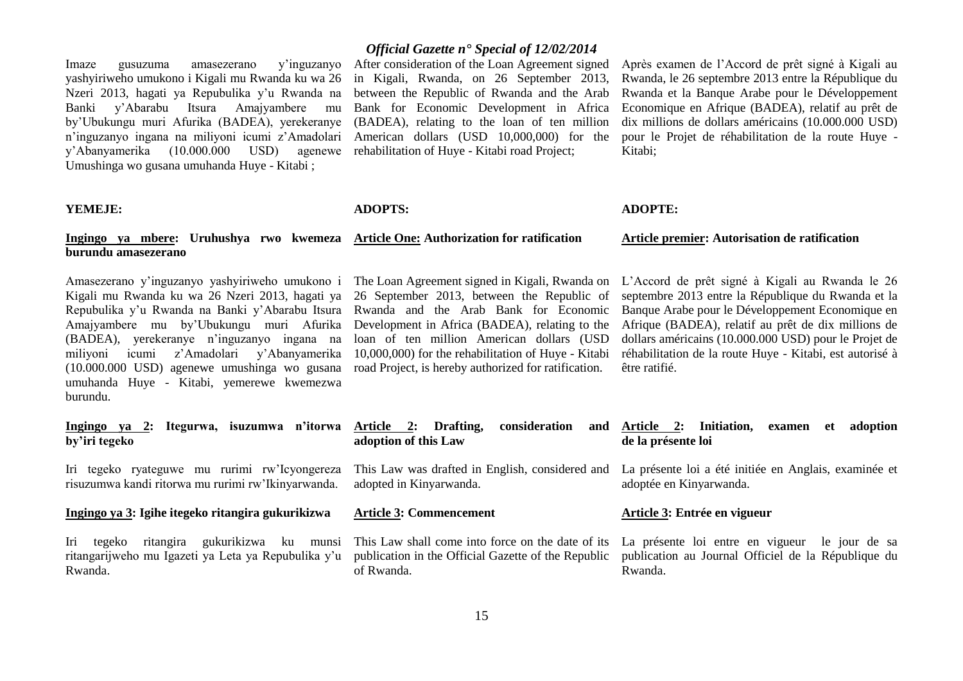Imaze gusuzuma amasezerano y'inguzanyo After consideration of the Loan Agreement signed yashyiriweho umukono i Kigali mu Rwanda ku wa 26 Nzeri 2013, hagati ya Repubulika y'u Rwanda na Banki y'Abarabu Itsura Amajyambere mu by'Ubukungu muri Afurika (BADEA), yerekeranye n'inguzanyo ingana na miliyoni icumi z'Amadolari American dollars (USD 10,000,000) for the y'Abanyamerika (10.000.000 USD) agenewe rehabilitation of Huye - Kitabi road Project; Umushinga wo gusana umuhanda Huye - Kitabi ;

# **YEMEJE:**

# **Ingingo ya mbere: Uruhushya rwo kwemeza Article One: Authorization for ratification burundu amasezerano**

Kigali mu Rwanda ku wa 26 Nzeri 2013, hagati ya Repubulika y'u Rwanda na Banki y'Abarabu Itsura Amajyambere mu by'Ubukungu muri Afurika (BADEA), yerekeranye n'inguzanyo ingana na miliyoni icumi z'Amadolari y'Abanyamerika (10.000.000 USD) agenewe umushinga wo gusana road Project, is hereby authorized for ratification. umuhanda Huye - Kitabi, yemerewe kwemezwa burundu.

**Ingingo ya 2: Itegurwa, isuzumwa n'itorwa by'iri tegeko**

Iri tegeko ryateguwe mu rurimi rw'Icyongereza risuzumwa kandi ritorwa mu rurimi rw'Ikinyarwanda.

# **Ingingo ya 3: Igihe itegeko ritangira gukurikizwa**

ritangarijweho mu Igazeti ya Leta ya Repubulika y'u Rwanda.

# *Official Gazette n° Special of 12/02/2014*

in Kigali, Rwanda, on 26 September 2013, between the Republic of Rwanda and the Arab Bank for Economic Development in Africa (BADEA), relating to the loan of ten million

Après examen de l'Accord de prêt signé à Kigali au Rwanda, le 26 septembre 2013 entre la République du Rwanda et la Banque Arabe pour le Développement Economique en Afrique (BADEA), relatif au prêt de dix millions de dollars américains (10.000.000 USD) pour le Projet de réhabilitation de la route Huye - Kitabi;

# **ADOPTS:**

26 September 2013, between the Republic of Rwanda and the Arab Bank for Economic Development in Africa (BADEA), relating to the loan of ten million American dollars (USD

# **ADOPTE:**

## **Article premier: Autorisation de ratification**

Amasezerano y'inguzanyo yashyiriweho umukono i The Loan Agreement signed in Kigali, Rwanda on L'Accord de prêt signé à Kigali au Rwanda le 26 10,000,000) for the rehabilitation of Huye - Kitabi réhabilitation de la route Huye - Kitabi, est autorisé à septembre 2013 entre la République du Rwanda et la Banque Arabe pour le Développement Economique en Afrique (BADEA), relatif au prêt de dix millions de dollars américains (10.000.000 USD) pour le Projet de être ratifié.

| consideration<br>Article 2: Drafting,<br>adoption of this Law | and Article 2: Initiation, examen et adoption<br>de la présente loi                                                              |
|---------------------------------------------------------------|----------------------------------------------------------------------------------------------------------------------------------|
| adopted in Kinyarwanda.                                       | This Law was drafted in English, considered and La présente loi a été initiée en Anglais, examinée et<br>adoptée en Kinyarwanda. |
| <b>Article 3: Commencement</b>                                | Article 3: Entrée en vigueur                                                                                                     |

of Rwanda.

Iri tegeko ritangira gukurikizwa ku munsi This Law shall come into force on the date of its La présente loi entre en vigueur le jour de sa publication in the Official Gazette of the Republic publication au Journal Officiel de la République du Rwanda.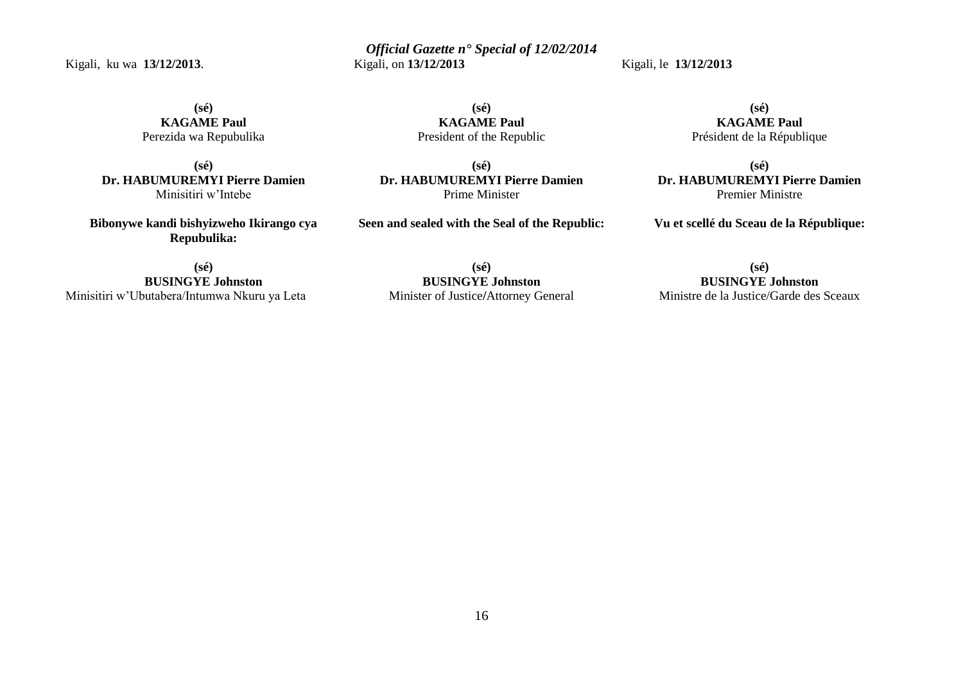Kigali, ku wa **13/12/2013**.

*Official Gazette n° Special of 12/02/2014* Kigali, on **13/12/2013** 

Kigali, le **13/12/2013** 

**(sé) KAGAME Paul** Perezida wa Repubulika

**(sé) Dr. HABUMUREMYI Pierre Damien** Minisitiri w'Intebe

**Bibonywe kandi bishyizweho Ikirango cya Repubulika:**

**(sé) BUSINGYE Johnston** Minisitiri w'Ubutabera/Intumwa Nkuru ya Leta

**(sé) KAGAME Paul** President of the Republic

**(sé) Dr. HABUMUREMYI Pierre Damien** Prime Minister

**Seen and sealed with the Seal of the Republic:**

**(sé) BUSINGYE Johnston**  Minister of Justice**/**Attorney General

**(sé) KAGAME Paul** Président de la République

**(sé) Dr. HABUMUREMYI Pierre Damien** Premier Ministre

**Vu et scellé du Sceau de la République:**

**(sé) BUSINGYE Johnston**  Ministre de la Justice/Garde des Sceaux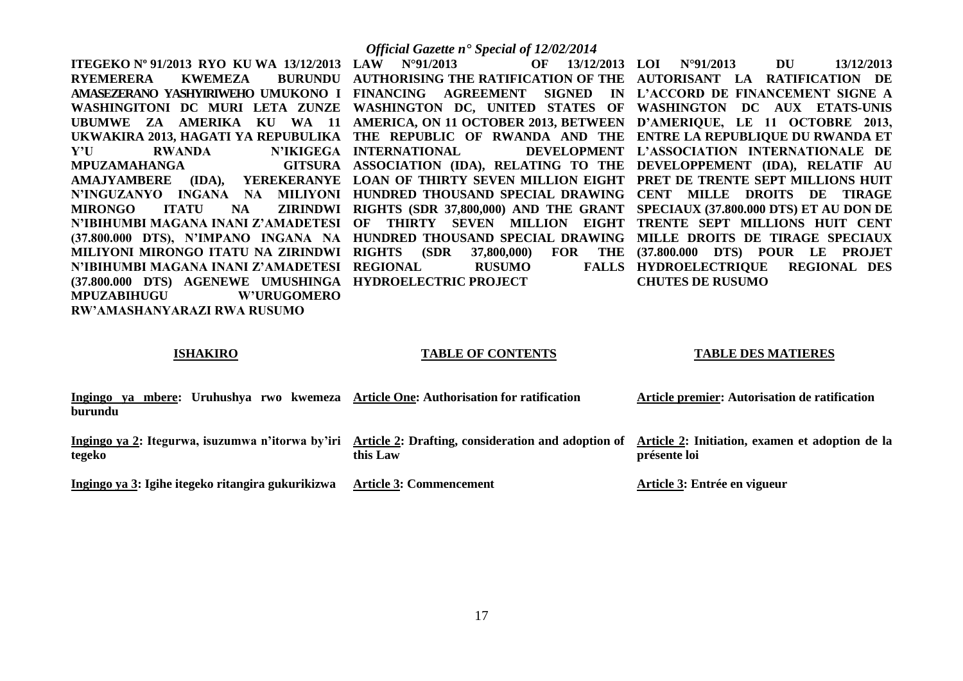**ITEGEKO Nº 91/2013 RYO KU WA 13/12/2013 LAW N°91/2013 OF 13/12/2013 RYEMERERA KWEMEZA AMASEZERANO YASHYIRIWEHO UMUKONO I FINANCING AGREEMENT SIGNED IN L'ACCORD DE FINANCEMENT SIGNE A WASHINGITONI DC MURI LETA ZUNZE WASHINGTON DC, UNITED STATES OF WASHINGTON DC AUX ETATS-UNIS UBUMWE ZA AMERIKA KU WA 11 AMERICA, ON 11 OCTOBER 2013, BETWEEN D'AMERIQUE, LE 11 OCTOBRE 2013, UKWAKIRA 2013, HAGATI YA REPUBULIKA THE REPUBLIC OF RWANDA AND THE ENTRE LA REPUBLIQUE DU RWANDA ET Y'U RWANDA N'IKIGEGA INTERNATIONAL DEVELOPMENT MPUZAMAHANGA AMAJYAMBERE (IDA), YEREKERANYE LOAN OF THIRTY SEVEN MILLION EIGHT PRET DE TRENTE SEPT MILLIONS HUIT N'INGUZANYO INGANA NA MILIYONI HUNDRED THOUSAND SPECIAL DRAWING CENT MILLE DROITS DE TIRAGE MIRONGO ITATU NA ZIRINDWI RIGHTS (SDR 37,800,000) AND THE GRANT SPECIAUX (37.800.000 DTS) ET AU DON DE N'IBIHUMBI MAGANA INANI Z'AMADETESI OF THIRTY SEVEN MILLION EIGHT TRENTE SEPT MILLIONS HUIT CENT (37.800.000 DTS), N'IMPANO INGANA NA HUNDRED THOUSAND SPECIAL DRAWING MILLE DROITS DE TIRAGE SPECIAUX MILIYONI MIRONGO ITATU NA ZIRINDWI RIGHTS (SDR 37,800,000) FOR THE (37.800.000 DTS) POUR LE PROJET N'IBIHUMBI MAGANA INANI Z'AMADETESI REGIONAL RUSUMO FALLS (37.800.000 DTS) AGENEWE UMUSHINGA HYDROELECTRIC PROJECT MPUZABIHUGU W'URUGOMERO RW'AMASHANYARAZI RWA RUSUMO** 

# *Official Gazette n° Special of 12/02/2014*

**AUTHORISING THE RATIFICATION OF THE AUTORISANT LA RATIFICATION DE ASSOCIATION (IDA), RELATING TO THE DEVELOPPEMENT (IDA), RELATIF AU** 

**LOI N°91/2013 DU 13/12/2013 L'ASSOCIATION INTERNATIONALE DE**  FALLS HYDROELECTRIQUE REGIONAL DES **CHUTES DE RUSUMO** 

# **ISHAKIRO**

# **TABLE OF CONTENTS**

# **TABLE DES MATIERES**

| ya mbere: Uruhushya rwo kwemeza<br>Ingingo<br>burundu | <b>Article One: Authorisation for ratification</b>                                                              | Article premier: Autorisation de ratification                   |
|-------------------------------------------------------|-----------------------------------------------------------------------------------------------------------------|-----------------------------------------------------------------|
| tegeko                                                | Ingingo ya 2: Itegurwa, isuzumwa n'itorwa by'iri Article 2: Drafting, consideration and adoption of<br>this Law | Article 2: Initiation, examen et adoption de la<br>présente loi |
| Ingingo ya 3: Igihe itegeko ritangira gukurikizwa     | <b>Article 3: Commencement</b>                                                                                  | Article 3: Entrée en vigueur                                    |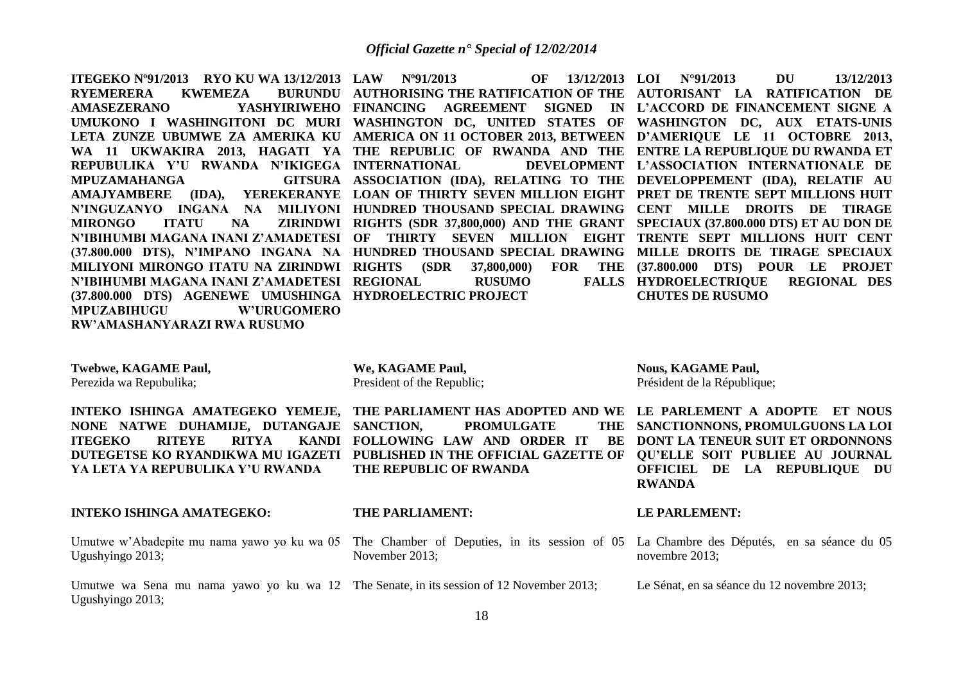**ITEGEKO Nº91/2013 RYO KU WA 13/12/2013 LAW Nº91/2013 OF 13/12/2013 RYEMERERA KWEMEZA AMASEZERANO YASHYIRIWEHO FINANCING AGREEMENT SIGNED IN L'ACCORD DE FINANCEMENT SIGNE A UMUKONO I WASHINGITONI DC MURI WASHINGTON DC, UNITED STATES OF WASHINGTON DC, AUX ETATS-UNIS LETA ZUNZE UBUMWE ZA AMERIKA KU AMERICA ON 11 OCTOBER 2013, BETWEEN D'AMERIQUE LE 11 OCTOBRE 2013, WA 11 UKWAKIRA 2013, HAGATI YA THE REPUBLIC OF RWANDA AND THE ENTRE LA REPUBLIQUE DU RWANDA ET REPUBULIKA Y'U RWANDA N'IKIGEGA INTERNATIONAL DEVELOPMENT MPUZAMAHANGA AMAJYAMBERE (IDA), YEREKERANYE LOAN OF THIRTY SEVEN MILLION EIGHT PRET DE TRENTE SEPT MILLIONS HUIT N'INGUZANYO INGANA NA MILIYONI HUNDRED THOUSAND SPECIAL DRAWING CENT MILLE DROITS DE TIRAGE MIRONGO ITATU NA ZIRINDWI RIGHTS (SDR 37,800,000) AND THE GRANT SPECIAUX (37.800.000 DTS) ET AU DON DE N'IBIHUMBI MAGANA INANI Z'AMADETESI OF THIRTY SEVEN MILLION EIGHT TRENTE SEPT MILLIONS HUIT CENT (37.800.000 DTS), N'IMPANO INGANA NA HUNDRED THOUSAND SPECIAL DRAWING MILLE DROITS DE TIRAGE SPECIAUX MILIYONI MIRONGO ITATU NA ZIRINDWI RIGHTS (SDR 37,800,000) FOR THE N'IBIHUMBI MAGANA INANI Z'AMADETESI REGIONAL RUSUMO FALLS (37.800.000 DTS) AGENEWE UMUSHINGA HYDROELECTRIC PROJECT MPUZABIHUGU W'URUGOMERO RW'AMASHANYARAZI RWA RUSUMO** 

**AUTHORISING THE RATIFICATION OF THE AUTORISANT LA RATIFICATION DE ASSOCIATION (IDA), RELATING TO THE DEVELOPPEMENT (IDA), RELATIF AU** 

**We, KAGAME Paul,** President of the Republic;

**THE PARLIAMENT:**

November 2013;

**THE REPUBLIC OF RWANDA**

**LOI N°91/2013 DU 13/12/2013 L'ASSOCIATION INTERNATIONALE DE (37.800.000 DTS) POUR LE PROJET HYDROELECTRIQUE REGIONAL DES CHUTES DE RUSUMO** 

**Twebwe, KAGAME Paul,**

Perezida wa Repubulika;

**INTEKO ISHINGA AMATEGEKO YEMEJE, THE PARLIAMENT HAS ADOPTED AND WE LE PARLEMENT A ADOPTE ET NOUS NONE NATWE DUHAMIJE, DUTANGAJE ITEGEKO RITEYE RITYA DUTEGETSE KO RYANDIKWA MU IGAZETI PUBLISHED IN THE OFFICIAL GAZETTE OF QU'ELLE SOIT PUBLIEE AU JOURNAL YA LETA YA REPUBULIKA Y'U RWANDA KANDI FOLLOWING LAW AND ORDER IT** 

# **INTEKO ISHINGA AMATEGEKO:**

Umutwe w'Abadepite mu nama yawo yo ku wa 05 The Chamber of Deputies, in its session of 05 La Chambre des Députés, en sa séance du 05 Ugushyingo 2013;

Umutwe wa Sena mu nama yawo yo ku wa 12 The Senate, in its session of 12 November 2013; Ugushyingo 2013;

**Nous, KAGAME Paul,** Président de la République;

THE SANCTIONNONS, PROMULGUONS LA LOI BE DONT LA TENEUR SUIT ET ORDONNONS **OFFICIEL DE LA REPUBLIQUE DU RWANDA**

# **LE PARLEMENT:**

novembre 2013;

Le Sénat, en sa séance du 12 novembre 2013;

**PROMULGATE**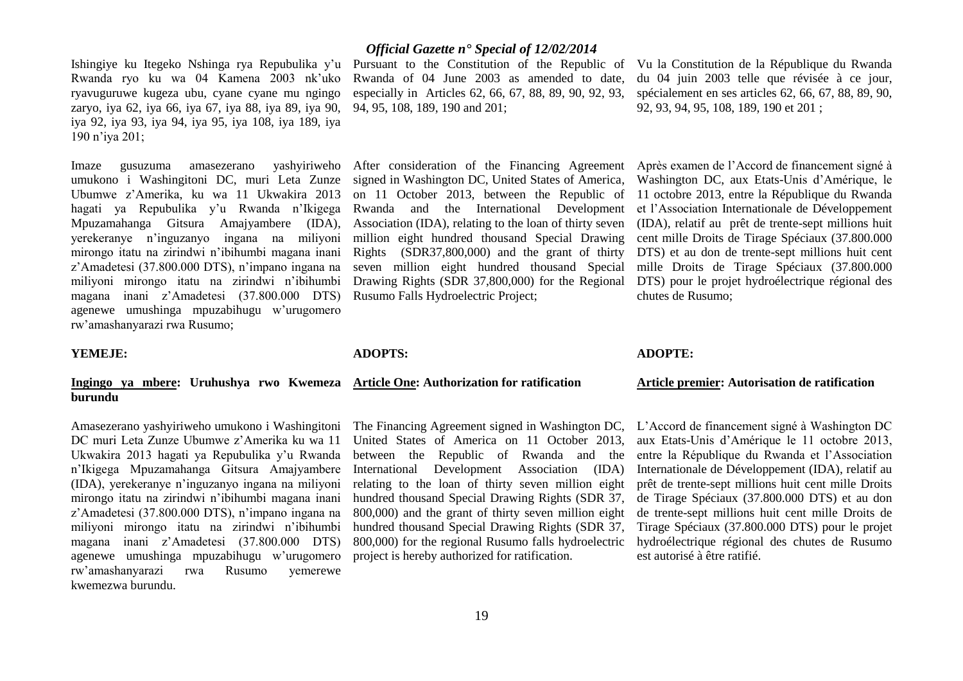Ishingiye ku Itegeko Nshinga rya Repubulika y'u Pursuant to the Constitution of the Republic of Vu la Constitution de la République du Rwanda Rwanda ryo ku wa 04 Kamena 2003 nk'uko ryavuguruwe kugeza ubu, cyane cyane mu ngingo zaryo, iya 62, iya 66, iya 67, iya 88, iya 89, iya 90, iya 92, iya 93, iya 94, iya 95, iya 108, iya 189, iya 190 n'iya 201;

Imaze gusuzuma amasezerano yashyiriweho umukono i Washingitoni DC, muri Leta Zunze signed in Washington DC, United States of America, Ubumwe z'Amerika, ku wa 11 Ukwakira 2013 hagati ya Repubulika y'u Rwanda n'Ikigega Mpuzamahanga Gitsura Amajyambere (IDA), yerekeranye n'inguzanyo ingana na miliyoni mirongo itatu na zirindwi n'ibihumbi magana inani z'Amadetesi (37.800.000 DTS), n'impano ingana na miliyoni mirongo itatu na zirindwi n'ibihumbi magana inani z'Amadetesi (37.800.000 DTS) agenewe umushinga mpuzabihugu w'urugomero rw'amashanyarazi rwa Rusumo;

# **YEMEJE:**

# **Ingingo ya mbere: Uruhushya rwo Kwemeza Article One: Authorization for ratification burundu**

Amasezerano yashyiriweho umukono i Washingitoni The Financing Agreement signed in Washington DC, DC muri Leta Zunze Ubumwe z'Amerika ku wa 11 Ukwakira 2013 hagati ya Repubulika y'u Rwanda n'Ikigega Mpuzamahanga Gitsura Amajyambere (IDA), yerekeranye n'inguzanyo ingana na miliyoni mirongo itatu na zirindwi n'ibihumbi magana inani z'Amadetesi (37.800.000 DTS), n'impano ingana na miliyoni mirongo itatu na zirindwi n'ibihumbi magana inani z'Amadetesi (37.800.000 DTS) agenewe umushinga mpuzabihugu w'urugomero rw'amashanyarazi rwa Rusumo yemerewe kwemezwa burundu.

# *Official Gazette n° Special of 12/02/2014*

Rwanda of 04 June 2003 as amended to date, especially in Articles 62, 66, 67, 88, 89, 90, 92, 93, 94, 95, 108, 189, 190 and 201;

After consideration of the Financing Agreement on 11 October 2013, between the Republic of Rwanda and the International Development Association (IDA), relating to the loan of thirty seven million eight hundred thousand Special Drawing Rights (SDR37,800,000) and the grant of thirty seven million eight hundred thousand Special Drawing Rights (SDR 37,800,000) for the Regional Rusumo Falls Hydroelectric Project;

# **ADOPTS:**

United States of America on 11 October 2013, between the Republic of Rwanda and the International Development Association (IDA) relating to the loan of thirty seven million eight hundred thousand Special Drawing Rights (SDR 37, 800,000) and the grant of thirty seven million eight hundred thousand Special Drawing Rights (SDR 37, 800,000) for the regional Rusumo falls hydroelectric project is hereby authorized for ratification.

# du 04 juin 2003 telle que révisée à ce jour, spécialement en ses articles 62, 66, 67, 88, 89, 90, 92, 93, 94, 95, 108, 189, 190 et 201 ;

Après examen de l'Accord de financement signé à Washington DC, aux Etats-Unis d'Amérique, le 11 octobre 2013, entre la République du Rwanda et l'Association Internationale de Développement (IDA), relatif au prêt de trente-sept millions huit cent mille Droits de Tirage Spéciaux (37.800.000 DTS) et au don de trente-sept millions huit cent mille Droits de Tirage Spéciaux (37.800.000 DTS) pour le projet hydroélectrique régional des chutes de Rusumo;

# **ADOPTE:**

# **Article premier: Autorisation de ratification**

L'Accord de financement signé à Washington DC aux Etats-Unis d'Amérique le 11 octobre 2013, entre la République du Rwanda et l'Association Internationale de Développement (IDA), relatif au prêt de trente-sept millions huit cent mille Droits de Tirage Spéciaux (37.800.000 DTS) et au don de trente-sept millions huit cent mille Droits de Tirage Spéciaux (37.800.000 DTS) pour le projet hydroélectrique régional des chutes de Rusumo est autorisé à être ratifié.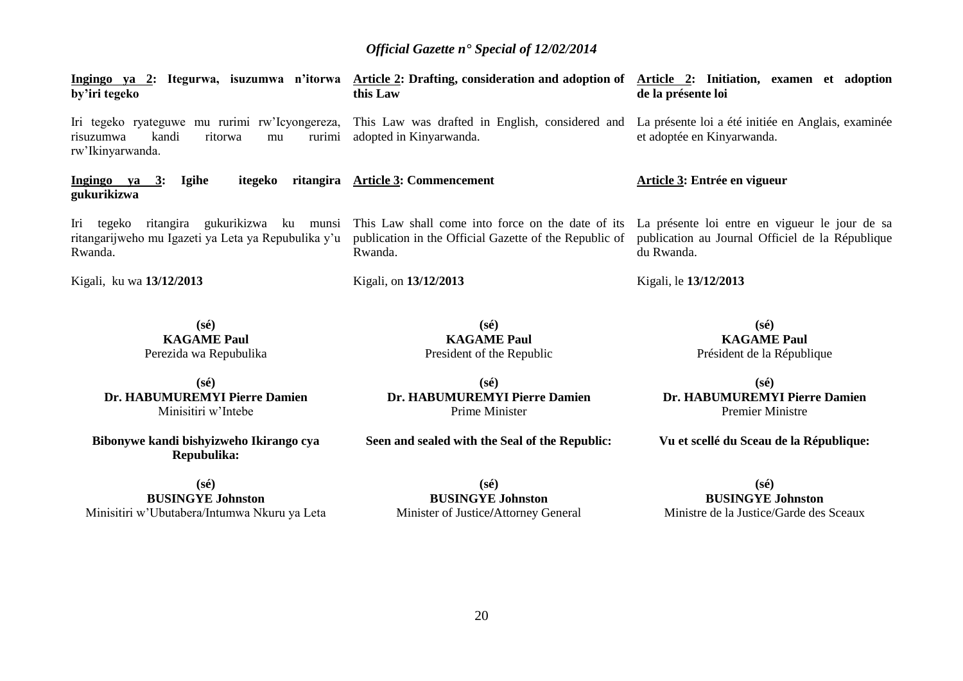| Ingingo ya 2: Itegurwa, isuzumwa n'itorwa<br>by'iri tegeko                                                          | <b>Article 2: Drafting, consideration and adoption of</b><br>this Law                                                  | Article 2: Initiation, examen et adoption<br>de la présente loi                                                  |
|---------------------------------------------------------------------------------------------------------------------|------------------------------------------------------------------------------------------------------------------------|------------------------------------------------------------------------------------------------------------------|
| Iri tegeko ryateguwe mu rurimi rw'Icyongereza,<br>kandi<br>ritorwa<br>risuzumwa<br>rurimi<br>mu<br>rw'Ikinyarwanda. | This Law was drafted in English, considered and<br>adopted in Kinyarwanda.                                             | La présente loi a été initiée en Anglais, examinée<br>et adoptée en Kinyarwanda.                                 |
| Ingingo ya $3$ :<br><b>Igihe</b><br>itegeko<br>ritangira<br>gukurikizwa                                             | <b>Article 3: Commencement</b>                                                                                         | Article 3: Entrée en vigueur                                                                                     |
| ritangira gukurikizwa ku munsi<br>Iri<br>tegeko<br>ritangarijweho mu Igazeti ya Leta ya Repubulika y'u<br>Rwanda.   | This Law shall come into force on the date of its<br>publication in the Official Gazette of the Republic of<br>Rwanda. | La présente loi entre en vigueur le jour de sa<br>publication au Journal Officiel de la République<br>du Rwanda. |
| Kigali, ku wa 13/12/2013                                                                                            | Kigali, on 13/12/2013                                                                                                  | Kigali, le 13/12/2013                                                                                            |
| $(s\acute{e})$<br><b>KAGAME Paul</b><br>Perezida wa Repubulika                                                      | $(s\acute{e})$<br><b>KAGAME Paul</b><br>President of the Republic                                                      | $(s\acute{e})$<br><b>KAGAME Paul</b><br>Président de la République                                               |
| $(s\acute{e})$                                                                                                      | $(s\acute{e})$                                                                                                         | $(s\acute{e})$                                                                                                   |

**Dr. HABUMUREMYI Pierre Damien** Minisitiri w'Intebe

**Bibonywe kandi bishyizweho Ikirango cya Repubulika:**

**(sé) BUSINGYE Johnston**  Minisitiri w'Ubutabera/Intumwa Nkuru ya Leta

**(sé) Dr. HABUMUREMYI Pierre Damien** Prime Minister

**Seen and sealed with the Seal of the Republic:**

**(sé) BUSINGYE Johnston**  Minister of Justice**/**Attorney General

Premier Ministre **Vu et scellé du Sceau de la République:**

**(sé)**

**Dr. HABUMUREMYI Pierre Damien**

**BUSINGYE Johnston**  Ministre de la Justice/Garde des Sceaux

20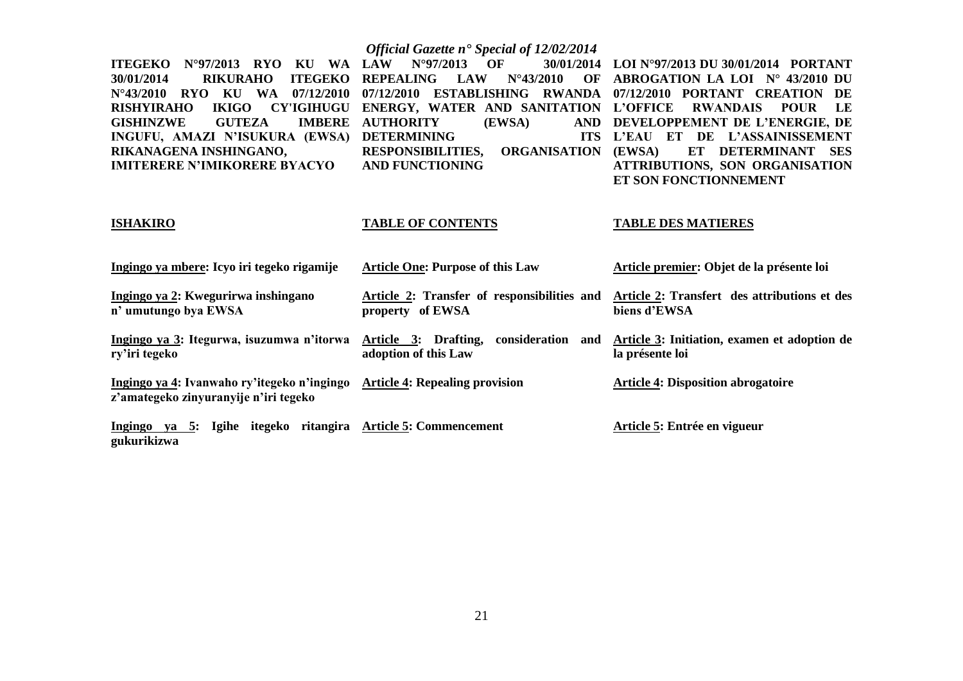|                                                                                                                                                                                                                                                                                                                                                                                                                  | Official Gazette n <sup>•</sup> Special of 12/02/2014                                                                                                                                                                                                                                                                                                          |                                                                                                                                                                                                                                                                                                                                                  |
|------------------------------------------------------------------------------------------------------------------------------------------------------------------------------------------------------------------------------------------------------------------------------------------------------------------------------------------------------------------------------------------------------------------|----------------------------------------------------------------------------------------------------------------------------------------------------------------------------------------------------------------------------------------------------------------------------------------------------------------------------------------------------------------|--------------------------------------------------------------------------------------------------------------------------------------------------------------------------------------------------------------------------------------------------------------------------------------------------------------------------------------------------|
| <b>ITEGEKO</b><br>$N^{\circ}97/2013$<br><b>RYO</b><br>KU<br><b>WA</b><br><b>ITEGEKO</b><br>30/01/2014<br><b>RIKURAHO</b><br>$N^{\circ}43/2010$<br><b>RYO</b><br>KU<br><b>WA</b><br>07/12/2010<br><b>IKIGO</b><br><b>RISHYIRAHO</b><br><b>CY'IGIHUGU</b><br><b>IMBERE</b><br><b>GISHINZWE</b><br><b>GUTEZA</b><br>INGUFU, AMAZI N'ISUKURA (EWSA)<br>RIKANAGENA INSHINGANO,<br><b>IMITERERE N'IMIKORERE BYACYO</b> | $N^{\circ}97/2013$<br>OF<br>30/01/2014<br><b>LAW</b><br><b>REPEALING</b><br><b>LAW</b><br>$N^{\circ}43/2010$<br>OF<br>07/12/2010<br><b>ESTABLISHING</b><br>RWANDA<br>ENERGY, WATER AND SANITATION<br><b>AUTHORITY</b><br>(EWSA)<br><b>AND</b><br><b>DETERMINING</b><br><b>ITS</b><br><b>RESPONSIBILITIES,</b><br><b>ORGANISATION</b><br><b>AND FUNCTIONING</b> | LOI N°97/2013 DU 30/01/2014 PORTANT<br>ABROGATION LA LOI Nº 43/2010 DU<br>07/12/2010 PORTANT CREATION<br>DE<br><b>L'OFFICE</b><br><b>RWANDAIS</b><br>LE<br><b>POUR</b><br>DEVELOPPEMENT DE L'ENERGIE, DE<br>L'EAU ET DE L'ASSAINISSEMENT<br>ET<br>DETERMINANT<br>(EWSA)<br><b>SES</b><br>ATTRIBUTIONS, SON ORGANISATION<br>ET SON FONCTIONNEMENT |
| <b>ISHAKIRO</b>                                                                                                                                                                                                                                                                                                                                                                                                  | <b>TABLE OF CONTENTS</b>                                                                                                                                                                                                                                                                                                                                       | <b>TABLE DES MATIERES</b>                                                                                                                                                                                                                                                                                                                        |
| Ingingo ya mbere: Icyo iri tegeko rigamije                                                                                                                                                                                                                                                                                                                                                                       | <b>Article One: Purpose of this Law</b>                                                                                                                                                                                                                                                                                                                        | Article premier: Objet de la présente loi                                                                                                                                                                                                                                                                                                        |
| Ingingo ya 2: Kwegurirwa inshingano<br>n' umutungo bya EWSA                                                                                                                                                                                                                                                                                                                                                      | Article 2: Transfer of responsibilities and<br>property of EWSA                                                                                                                                                                                                                                                                                                | Article 2: Transfert des attributions et des<br>biens d'EWSA                                                                                                                                                                                                                                                                                     |
| Ingingo ya 3: Itegurwa, isuzumwa n'itorwa<br>ry'iri tegeko                                                                                                                                                                                                                                                                                                                                                       | Article 3: Drafting, consideration and<br>adoption of this Law                                                                                                                                                                                                                                                                                                 | Article 3: Initiation, examen et adoption de<br>la présente loi                                                                                                                                                                                                                                                                                  |
| Ingingo ya 4: Ivanwaho ry'itegeko n'ingingo<br>z'amategeko zinyuranyije n'iri tegeko                                                                                                                                                                                                                                                                                                                             | <b>Article 4: Repealing provision</b>                                                                                                                                                                                                                                                                                                                          | <b>Article 4: Disposition abrogatoire</b>                                                                                                                                                                                                                                                                                                        |
| Ingingo ya 5: Igihe itegeko ritangira Article 5: Commencement<br>gukurikizwa                                                                                                                                                                                                                                                                                                                                     |                                                                                                                                                                                                                                                                                                                                                                | Article 5: Entrée en vigueur                                                                                                                                                                                                                                                                                                                     |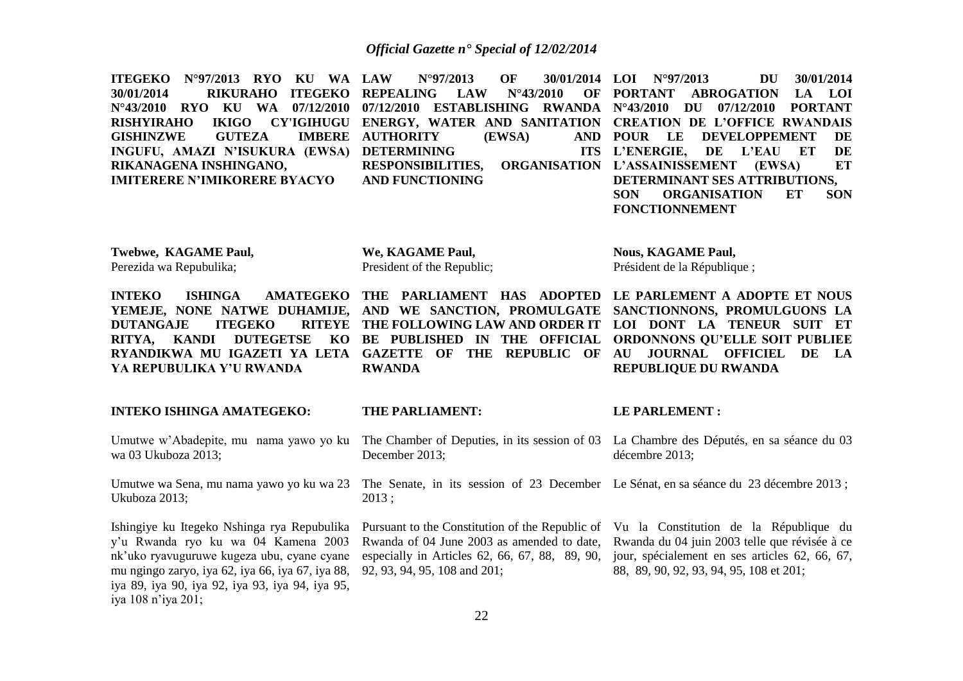**ITEGEKO N°97/2013 RYO KU WA 30/01/2014 RIKURAHO ITEGEKO REPEALING LAW N°43/2010 OF N°43/2010 RYO KU WA 07/12/2010 07/12/2010 ESTABLISHING RWANDA N°43/2010 DU 07/12/2010 PORTANT RISHYIRAHO IKIGO CY'IGIHUGU ENERGY, WATER AND SANITATION CREATION DE L'OFFICE RWANDAIS GISHINZWE GUTEZA INGUFU, AMAZI N'ISUKURA (EWSA) DETERMINING ITS RIKANAGENA INSHINGANO, IMITERERE N'IMIKORERE BYACYO LAW N°97/2013 OF 30/01/2014 LOI N°97/2013 DU 30/01/2014 IMBERE AUTHORITY (EWSA) RESPONSIBILITIES, AND FUNCTIONING PORTANT ABROGATION LA LOI POUR LE DEVELOPPEMENT DE L'ENERGIE, DE L'EAU ET DE L'ASSAINISSEMENT (EWSA) ET DETERMINANT SES ATTRIBUTIONS, SON ORGANISATION ET SON FONCTIONNEMENT**

**Twebwe, KAGAME Paul,** Perezida wa Repubulika;

**We, KAGAME Paul,** President of the Republic;

**Nous, KAGAME Paul,** Président de la République ;

**INTEKO** ISHINGA AMATEGEKO THE PARLIAMENT HAS ADOPTED LE PARLEMENT A ADOPTE ET NOUS **YEMEJE, NONE NATWE DUHAMIJE, AND WE SANCTION, PROMULGATE SANCTIONNONS, PROMULGUONS LA DUTANGAJE ITEGEKO RITYA, KANDI DUTEGETSE KO BE PUBLISHED IN THE OFFICIAL ORDONNONS QU'ELLE SOIT PUBLIEE**  RYANDIKWA MU IGAZETI YA LETA GAZETTE OF THE REPUBLIC OF AU JOURNAL OFFICIEL DE LA **YA REPUBULIKA Y'U RWANDA**

**RWANDA**

# **THE FOLLOWING LAW AND ORDER IT LOI DONT LA TENEUR SUIT ET REPUBLIQUE DU RWANDA**

# **THE PARLIAMENT:**

wa 03 Ukuboza 2013;

**INTEKO ISHINGA AMATEGEKO:**

Ukuboza 2013;

Ishingiye ku Itegeko Nshinga rya Repubulika y'u Rwanda ryo ku wa 04 Kamena 2003 nk'uko ryavuguruwe kugeza ubu, cyane cyane mu ngingo zaryo, iya 62, iya 66, iya 67, iya 88, iya 89, iya 90, iya 92, iya 93, iya 94, iya 95, iya 108 n'iya 201;

## **LE PARLEMENT :**

Umutwe w'Abadepite, mu nama yawo yo ku The Chamber of Deputies, in its session of 03 La Chambre des Députés, en sa séance du 03 Umutwe wa Sena, mu nama yawo yo ku wa 23 The Senate, in its session of 23 December Le Sénat, en sa séance du 23 décembre 2013; December 2013; 2013 ; décembre 2013;

> Rwanda of 04 June 2003 as amended to date, especially in Articles 62, 66, 67, 88, 89, 90, 92, 93, 94, 95, 108 and 201;

Pursuant to the Constitution of the Republic of Vu la Constitution de la République du Rwanda du 04 juin 2003 telle que révisée à ce jour, spécialement en ses articles 62, 66, 67, 88, 89, 90, 92, 93, 94, 95, 108 et 201;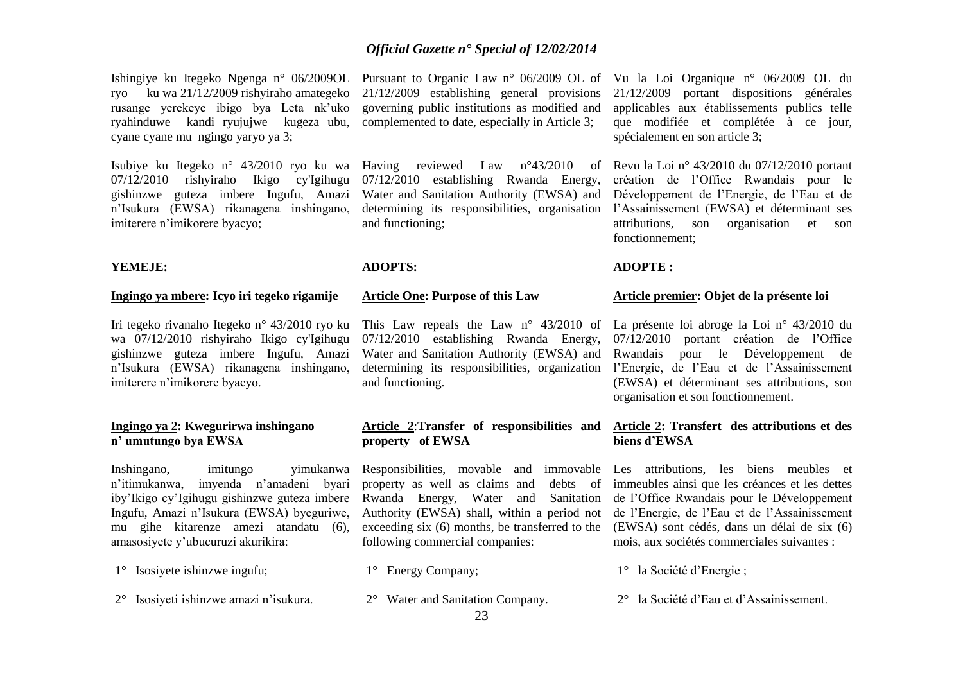Ishingiye ku Itegeko Ngenga n° 06/2009OL Pursuant to Organic Law n° 06/2009 OL of Vu la Loi Organique n° 06/2009 OL du ryo ku wa 21/12/2009 rishyiraho amategeko rusange yerekeye ibigo bya Leta nk'uko ryahinduwe kandi ryujujwe kugeza ubu, complemented to date, especially in Article 3; cyane cyane mu ngingo yaryo ya 3;

Isubiye ku Itegeko n° 43/2010 ryo ku wa Having reviewed Law n°43/2010 of gishinzwe guteza imbere Ingufu, Amazi n'Isukura (EWSA) rikanagena inshingano, imiterere n'imikorere byacyo;

# **YEMEJE:**

# **Ingingo ya mbere: Icyo iri tegeko rigamije**

Iri tegeko rivanaho Itegeko n° 43/2010 ryo ku wa 07/12/2010 rishyiraho Ikigo cy'Igihugu gishinzwe guteza imbere Ingufu, Amazi n'Isukura (EWSA) rikanagena inshingano, imiterere n'imikorere byacyo.

# **Ingingo ya 2: Kwegurirwa inshingano n' umutungo bya EWSA**

n'itimukanwa, imyenda n'amadeni byari Ingufu, Amazi n'Isukura (EWSA) byeguriwe, mu gihe kitarenze amezi atandatu (6), amasosiyete y'ubucuruzi akurikira:

- 1° Isosiyete ishinzwe ingufu;
- 2° Isosiyeti ishinzwe amazi n'isukura.

21/12/2009 establishing general provisions governing public institutions as modified and

07/12/2010 rishyiraho Ikigo cy'Igihugu 07/12/2010 establishing Rwanda Energy, Water and Sanitation Authority (EWSA) and determining its responsibilities, organisation and functioning;

# **ADOPTS:**

# **Article One: Purpose of this Law**

07/12/2010 establishing Rwanda Energy, 07/12/2010 portant création de l'Office Water and Sanitation Authority (EWSA) and Rwandais pour le Développement de determining its responsibilities, organization l'Energie, de l'Eau et de l'Assainissement and functioning.

# **Article 2**:**Transfer of responsibilities and Article 2: Transfert des attributions et des property of EWSA**

Inshingano, imitungo yimukanwa Responsibilities, movable and immovable Les attributions, les biens meubles et iby'Ikigo cy'Igihugu gishinzwe guteza imbere Rwanda Energy, Water and Sanitation de l'Office Rwandais pour le Développement property as well as claims and debts of immeubles ainsi que les créances et les dettes Authority (EWSA) shall, within a period not de l'Energie, de l'Eau et de l'Assainissement exceeding six (6) months, be transferred to the (EWSA) sont cédés, dans un délai de six (6) following commercial companies:

- 1° Energy Company;
- 2° Water and Sanitation Company.

21/12/2009 portant dispositions générales applicables aux établissements publics telle que modifiée et complétée à ce jour, spécialement en son article 3;

Revu la Loi n° 43/2010 du 07/12/2010 portant création de l'Office Rwandais pour le Développement de l'Energie, de l'Eau et de l'Assainissement (EWSA) et déterminant ses attributions, son organisation et son fonctionnement;

# **ADOPTE :**

# **Article premier: Objet de la présente loi**

This Law repeals the Law n° 43/2010 of La présente loi abroge la Loi n° 43/2010 du (EWSA) et déterminant ses attributions, son organisation et son fonctionnement.

# **biens d'EWSA**

mois, aux sociétés commerciales suivantes :

- 1° la Société d'Energie ;
- 2° la Société d'Eau et d'Assainissement.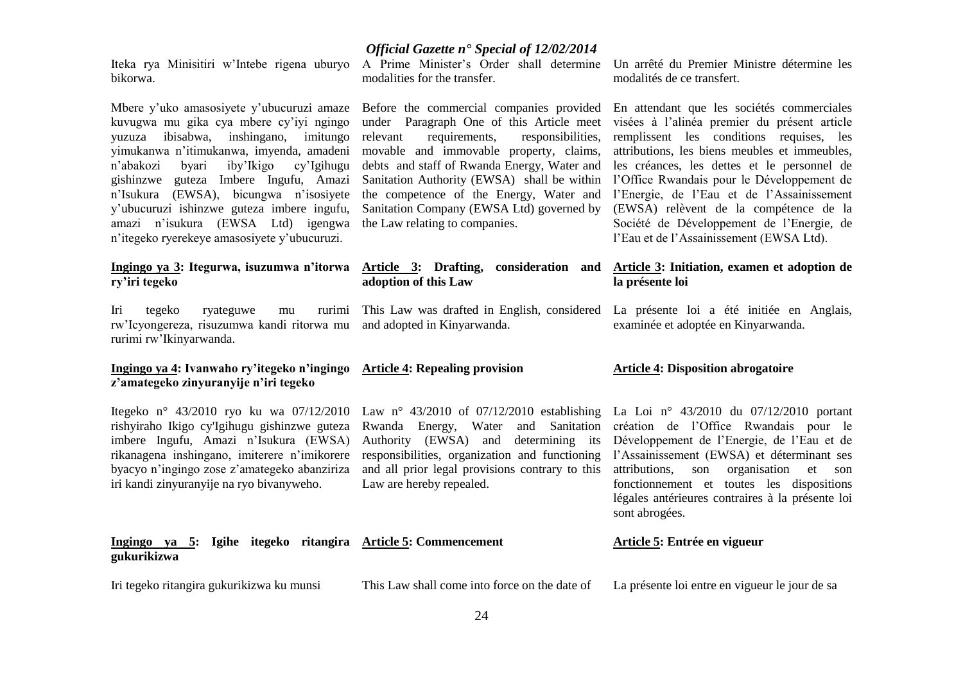bikorwa.

Mbere y'uko amasosiyete y'ubucuruzi amaze kuvugwa mu gika cya mbere cy'iyi ngingo yuzuza ibisabwa, inshingano, imitungo yimukanwa n'itimukanwa, imyenda, amadeni n'abakozi byari iby'Ikigo cy'Igihugu gishinzwe guteza Imbere Ingufu, Amazi n'Isukura (EWSA), bicungwa n'isosiyete y'ubucuruzi ishinzwe guteza imbere ingufu, amazi n'isukura (EWSA Ltd) igengwa n'itegeko ryerekeye amasosiyete y'ubucuruzi.

# **ry'iri tegeko**

Iri tegeko ryateguwe mu rurimi rw'Icyongereza, risuzumwa kandi ritorwa mu and adopted in Kinyarwanda. rurimi rw'Ikinyarwanda.

# **Ingingo ya 4: Ivanwaho ry'itegeko n'ingingo Article 4: Repealing provision z'amategeko zinyuranyije n'iri tegeko**

Itegeko n° 43/2010 ryo ku wa 07/12/2010 Law n° 43/2010 of 07/12/2010 establishing La Loi n° 43/2010 du 07/12/2010 portant imbere Ingufu, Amazi n'Isukura (EWSA) rikanagena inshingano, imiterere n'imikorere byacyo n'ingingo zose z'amategeko abanziriza iri kandi zinyuranyije na ryo bivanyweho.

Iri tegeko ritangira gukurikizwa ku munsi

*Official Gazette n° Special of 12/02/2014*

Iteka rya Minisitiri w'Intebe rigena uburyo A Prime Minister's Order shall determine Un arrêté du Premier Ministre détermine les modalities for the transfer.

> Before the commercial companies provided under Paragraph One of this Article meet relevant requirements, responsibilities, movable and immovable property, claims, debts and staff of Rwanda Energy, Water and Sanitation Authority (EWSA) shall be within l'Office Rwandais pour le Développement de the competence of the Energy, Water and Sanitation Company (EWSA Ltd) governed by the Law relating to companies.

# **Ingingo ya 3: Itegurwa, isuzumwa n'itorwa Article 3: Drafting, consideration and adoption of this Law**

rishyiraho Ikigo cy'Igihugu gishinzwe guteza Rwanda Energy, Water and Sanitation création de l'Office Rwandais pour le Authority (EWSA) and determining its Développement de l'Energie, de l'Eau et de responsibilities, organization and functioning l'Assainissement (EWSA) et déterminant ses and all prior legal provisions contrary to this attributions, son organisation et son Law are hereby repealed.

modalités de ce transfert.

En attendant que les sociétés commerciales visées à l'alinéa premier du présent article remplissent les conditions requises, les attributions, les biens meubles et immeubles, les créances, les dettes et le personnel de l'Energie, de l'Eau et de l'Assainissement (EWSA) relèvent de la compétence de la Société de Développement de l'Energie, de l'Eau et de l'Assainissement (EWSA Ltd).

# **Article 3: Initiation, examen et adoption de la présente loi**

This Law was drafted in English, considered La présente loi a été initiée en Anglais, examinée et adoptée en Kinyarwanda.

# **Article 4: Disposition abrogatoire**

fonctionnement et toutes les dispositions légales antérieures contraires à la présente loi sont abrogées.

| Ingingo ya 5: Igihe itegeko ritangira Article 5: Commencement<br>gukurikizwa |                                               | Article 5: Entrée en vigueur                   |
|------------------------------------------------------------------------------|-----------------------------------------------|------------------------------------------------|
| Iri tegeko ritangira gukurikizwa ku munsi                                    | This Law shall come into force on the date of | La présente loi entre en vigueur le jour de sa |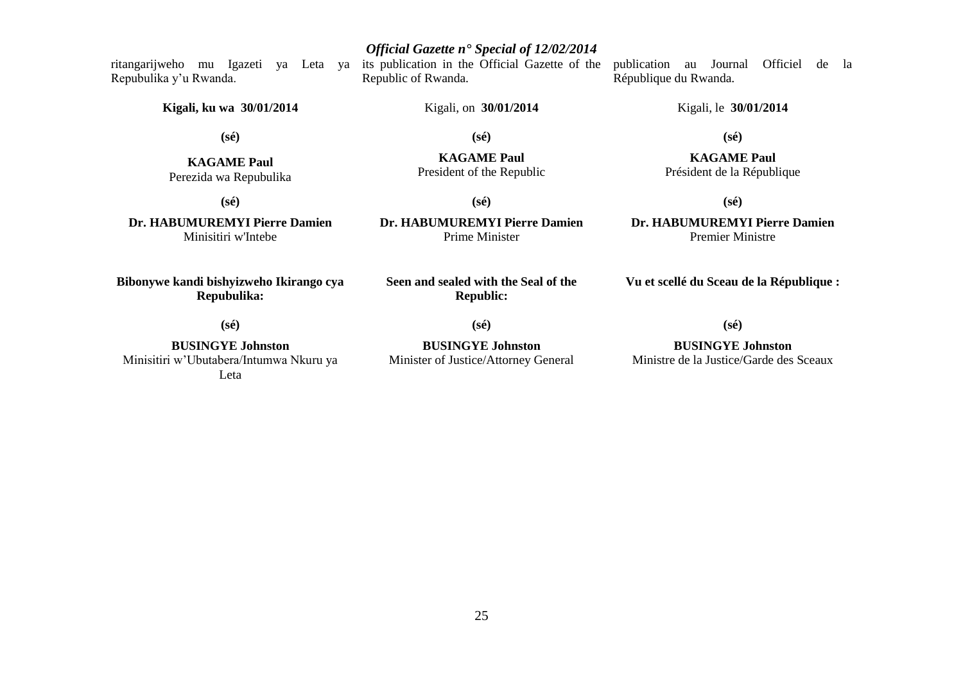ritangarijweho mu Igazeti ya Leta ya its publication in the Official Gazette of the Republic of Rwanda. publication au Journal Officiel de la

Kigali, on **30/01/2014**

**(sé)**

**KAGAME Paul** President of the Republic

**(sé)**

**Kigali, ku wa 30/01/2014**

**(sé)**

**KAGAME Paul** Perezida wa Repubulika

Repubulika y'u Rwanda.

**Dr. HABUMUREMYI Pierre Damien** Minisitiri w'Intebe

**Bibonywe kandi bishyizweho Ikirango cya Repubulika:**

**(sé)**

**BUSINGYE Johnston** Minisitiri w'Ubutabera/Intumwa Nkuru ya Leta

**(sé) Dr. HABUMUREMYI Pierre Damien**

Prime Minister

**Seen and sealed with the Seal of the Republic:**

**(sé)**

**BUSINGYE Johnston** Minister of Justice/Attorney General

# République du Rwanda.

Kigali, le **30/01/2014**

**(sé)**

**KAGAME Paul** Président de la République

**(sé)**

**Dr. HABUMUREMYI Pierre Damien** Premier Ministre

**Vu et scellé du Sceau de la République :**

**(sé)**

**BUSINGYE Johnston** Ministre de la Justice/Garde des Sceaux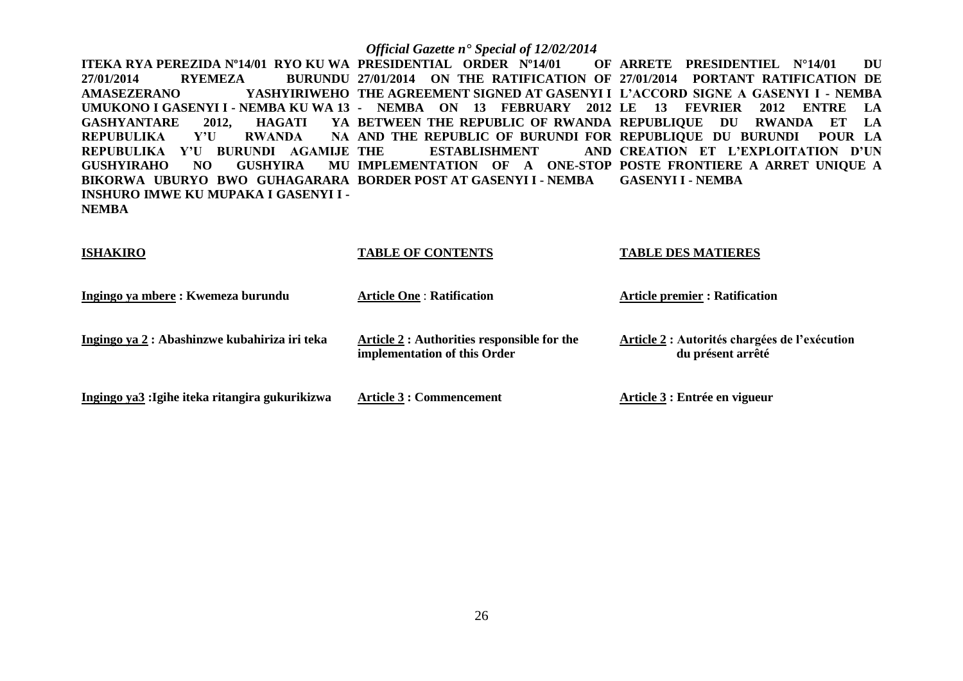**ITEKA RYA PEREZIDA Nº14/01 RYO KU WA PRESIDENTIAL ORDER Nº14/01 OF 27/01/2014 RYEMEZA BURUNDU 27/01/2014 ON THE RATIFICATION OF 27/01/2014 PORTANT RATIFICATION DE AMASEZERANO YASHYIRIWEHO THE AGREEMENT SIGNED AT GASENYI I L'ACCORD SIGNE A GASENYI I - NEMBA UMUKONO I GASENYI I - NEMBA KU WA 13 - NEMBA ON 13 FEBRUARY 2012 LE 13 FEVRIER 2012 ENTRE LA GASHYANTARE 2012, HAGATI YA BETWEEN THE REPUBLIC OF RWANDA REPUBLIQUE DU RWANDA ET LA REPUBULIKA Y'U RWANDA REPUBULIKA Y'U BURUNDI AGAMIJE GUSHYIRAHO NO GUSHYIRA BIKORWA UBURYO BWO GUHAGARARA BORDER POST AT GASENYI I - NEMBA GASENYI I - NEMBA INSHURO IMWE KU MUPAKA I GASENYI I - NEMBA AND THE REPUBLIC OF BURUNDI FOR REPUBLIQUE DU BURUNDI POUR LA ESTABLISHMENT IMPLEMENTATION OF A ONE-STOP POSTE FRONTIERE A ARRET UNIQUE A OF ARRETE PRESIDENTIEL N°14/01 DU CREATION ET L'EXPLOITATION D'UN** 

# **ISHAKIRO TABLE OF CONTENTS TABLE DES MATIERES**

| Ingingo ya mbere : Kwemeza burundu              | <b>Article One: Ratification</b>                                            | <b>Article premier : Ratification</b>                              |
|-------------------------------------------------|-----------------------------------------------------------------------------|--------------------------------------------------------------------|
| Ingingo ya 2 : Abashinzwe kubahiriza iri teka   | Article 2 : Authorities responsible for the<br>implementation of this Order | Article 2 : Autorités chargées de l'exécution<br>du présent arrêté |
| Ingingo ya3 : Igihe iteka ritangira gukurikizwa | Article 3 : Commencement                                                    | Article 3 : Entrée en vigueur                                      |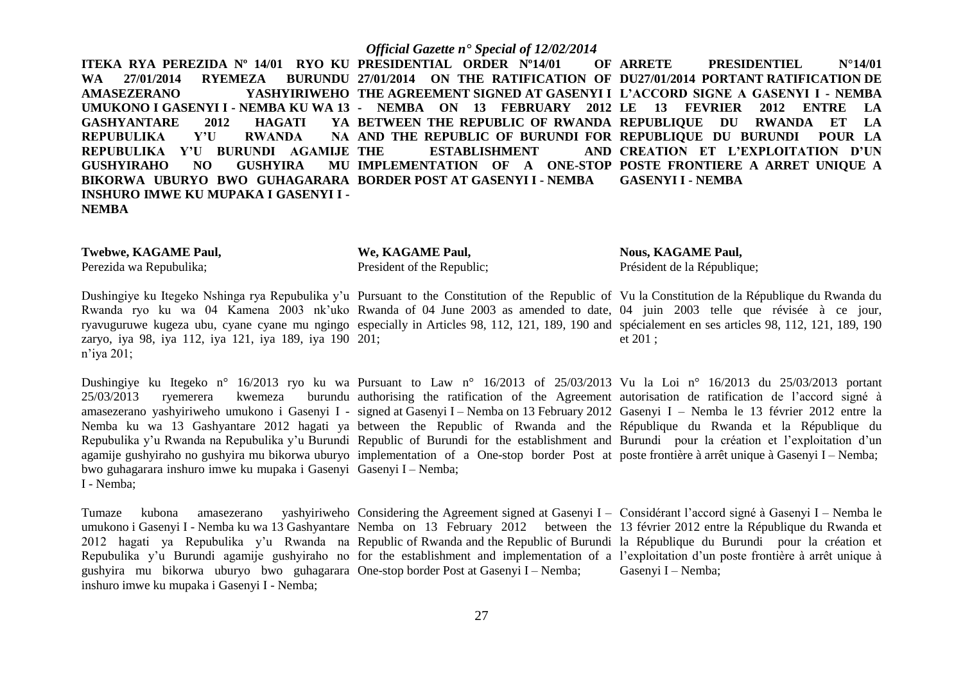**ITEKA RYA PEREZIDA Nº 14/01 RYO KU PRESIDENTIAL ORDER Nº14/01 OF WA 27/01/2014 RYEMEZA AMASEZERANO YASHYIRIWEHO THE AGREEMENT SIGNED AT GASENYI I L'ACCORD SIGNE A GASENYI I - NEMBA UMUKONO I GASENYI I - NEMBA KU WA 13 - NEMBA ON 13 FEBRUARY 2012 LE 13 FEVRIER 2012 ENTRE LA GASHYANTARE 2012 HAGATI<br>REPUBULIKA Y'U RWANDA REPUBULIKA Y'U REPUBULIKA Y'U BURUNDI AGAMIJE GUSHYIRAHO NO GUSHYIRA BIKORWA UBURYO BWO GUHAGARARA BORDER POST AT GASENYI I - NEMBA INSHURO IMWE KU MUPAKA I GASENYI I - NEMBA 27/01/2014 ON THE RATIFICATION OF DU27/01/2014 PORTANT RATIFICATION DE**  BETWEEN THE REPUBLIC OF RWANDA REPUBLIQUE DU RWANDA ET LA **AND THE REPUBLIC OF BURUNDI FOR REPUBLIQUE DU BURUNDI POUR LA ESTABLISHMENT IMPLEMENTATION OF A ONE-STOP POSTE FRONTIERE A ARRET UNIQUE A OF ARRETE PRESIDENTIEL N°14/01 CREATION ET L'EXPLOITATION D'UN GASENYI I - NEMBA**

| We, KAGAME Paul,           | <b>Nous, KAGAME Paul,</b>   |
|----------------------------|-----------------------------|
| President of the Republic; | Président de la République; |
|                            |                             |

Dushingiye ku Itegeko Nshinga rya Repubulika y'u Pursuant to the Constitution of the Republic of Vu la Constitution de la République du Rwanda du Rwanda ryo ku wa 04 Kamena 2003 nk'uko Rwanda of 04 June 2003 as amended to date, 04 juin 2003 telle que révisée à ce jour, ryavuguruwe kugeza ubu, cyane cyane mu ngingo especially in Articles 98, 112, 121, 189, 190 and spécialement en ses articles 98, 112, 121, 189, 190 zaryo, iya 98, iya 112, iya 121, iya 189, iya 190 201; n'iya 201; et 201 ;

Dushingiye ku Itegeko n° 16/2013 ryo ku wa Pursuant to Law n° 16/2013 of 25/03/2013 Vu la Loi n° 16/2013 du 25/03/2013 portant  $25/03/2013$  ryemerera kwemeza amasezerano yashyiriweho umukono i Gasenyi I - signed at Gasenyi I – Nemba on 13 February 2012 Gasenyi I – Nemba le 13 février 2012 entre la Nemba ku wa 13 Gashyantare 2012 hagati ya between the Republic of Rwanda and the République du Rwanda et la République du Repubulika y'u Rwanda na Repubulika y'u Burundi Republic of Burundi for the establishment and Burundi pour la création et l'exploitation d'un agamije gushyiraho no gushyira mu bikorwa uburyo implementation of a One-stop border Post at poste frontière à arrêt unique à Gasenyi I – Nemba; bwo guhagarara inshuro imwe ku mupaka i Gasenyi Gasenyi I – Nemba; I - Nemba; authorising the ratification of the Agreement autorisation de ratification de l'accord signé à

Tumaze kubona amasezerano yashyiriweho Considering the Agreement signed at Gasenyi I – Considérant l'accord signé à Gasenyi I – Nemba le umukono i Gasenyi I - Nemba ku wa 13 Gashyantare Nemba on 13 February 2012 between the 13 février 2012 entre la République du Rwanda et 2012 hagati ya Repubulika y'u Rwanda na Republic of Rwanda and the Republic of Burundi la République du Burundi pour la création et Repubulika y'u Burundi agamije gushyiraho no for the establishment and implementation of a l'exploitation d'un poste frontière à arrêt unique à gushyira mu bikorwa uburyo bwo guhagarara One-stop border Post at Gasenyi I – Nemba; inshuro imwe ku mupaka i Gasenyi I - Nemba; Gasenyi I – Nemba;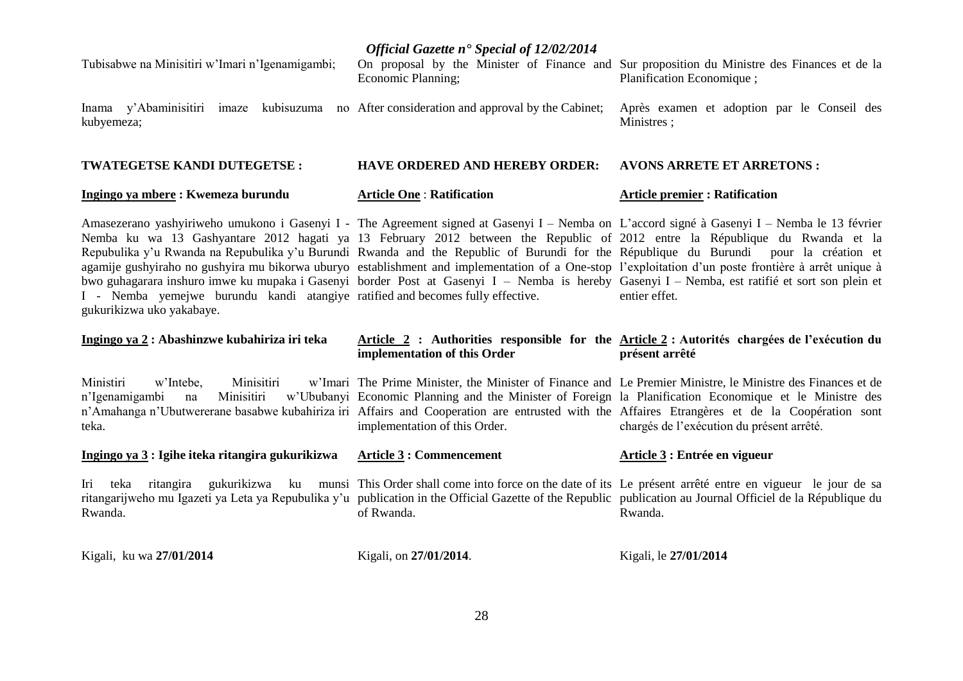| Tubisabwe na Minisitiri w'Imari n'Igenamigambi;                                                                                                                                                                                                                                                                                                                                                                                                                                                                                                                                                                                                                                                                                                                                                                                              | Economic Planning;                    | On proposal by the Minister of Finance and Sur proposition du Ministre des Finances et de la<br>Planification Economique;                                                                                                                                           |
|----------------------------------------------------------------------------------------------------------------------------------------------------------------------------------------------------------------------------------------------------------------------------------------------------------------------------------------------------------------------------------------------------------------------------------------------------------------------------------------------------------------------------------------------------------------------------------------------------------------------------------------------------------------------------------------------------------------------------------------------------------------------------------------------------------------------------------------------|---------------------------------------|---------------------------------------------------------------------------------------------------------------------------------------------------------------------------------------------------------------------------------------------------------------------|
| Inama y'Abaminisitiri imaze kubisuzuma no After consideration and approval by the Cabinet;<br>kubyemeza;                                                                                                                                                                                                                                                                                                                                                                                                                                                                                                                                                                                                                                                                                                                                     |                                       | Après examen et adoption par le Conseil des<br>Ministres;                                                                                                                                                                                                           |
| <b>TWATEGETSE KANDI DUTEGETSE:</b>                                                                                                                                                                                                                                                                                                                                                                                                                                                                                                                                                                                                                                                                                                                                                                                                           | <b>HAVE ORDERED AND HEREBY ORDER:</b> | <b>AVONS ARRETE ET ARRETONS:</b>                                                                                                                                                                                                                                    |
| Ingingo ya mbere : Kwemeza burundu                                                                                                                                                                                                                                                                                                                                                                                                                                                                                                                                                                                                                                                                                                                                                                                                           | <b>Article One: Ratification</b>      | <b>Article premier : Ratification</b>                                                                                                                                                                                                                               |
| Amasezerano yashyiriweho umukono i Gasenyi I - The Agreement signed at Gasenyi I - Nemba on L'accord signé à Gasenyi I - Nemba le 13 février<br>Nemba ku wa 13 Gashyantare 2012 hagati ya 13 February 2012 between the Republic of 2012 entre la République du Rwanda et la<br>Repubulika y'u Rwanda na Repubulika y'u Burundi Rwanda and the Republic of Burundi for the République du Burundi pour la création et<br>agamije gushyiraho no gushyira mu bikorwa uburyo establishment and implementation of a One-stop l'exploitation d'un poste frontière à arrêt unique à<br>bwo guhagarara inshuro imwe ku mupaka i Gasenyi border Post at Gasenyi I – Nemba is hereby Gasenyi I – Nemba, est ratifié et sort son plein et<br>I - Nemba yemejwe burundu kandi atangiye ratified and becomes fully effective.<br>gukurikizwa uko yakabaye. |                                       | entier effet.                                                                                                                                                                                                                                                       |
|                                                                                                                                                                                                                                                                                                                                                                                                                                                                                                                                                                                                                                                                                                                                                                                                                                              |                                       |                                                                                                                                                                                                                                                                     |
| Ingingo ya 2 : Abashinzwe kubahiriza iri teka                                                                                                                                                                                                                                                                                                                                                                                                                                                                                                                                                                                                                                                                                                                                                                                                | implementation of this Order          | Article 2 : Authorities responsible for the Article 2 : Autorités chargées de l'exécution du<br>présent arrêté                                                                                                                                                      |
| Ministiri<br>w'Intebe,<br>Minisitiri<br>Minisitiri<br>n'Igenamigambi<br>na<br>n'Amahanga n'Ubutwererane basabwe kubahiriza iri Affairs and Cooperation are entrusted with the Affaires Etrangères et de la Coopération sont<br>teka.                                                                                                                                                                                                                                                                                                                                                                                                                                                                                                                                                                                                         | implementation of this Order.         | w'Imari The Prime Minister, the Minister of Finance and Le Premier Ministre, le Ministre des Finances et de<br>w'Ububanyi Economic Planning and the Minister of Foreign la Planification Economique et le Ministre des<br>chargés de l'exécution du présent arrêté. |
| Ingingo ya 3 : Igihe iteka ritangira gukurikizwa                                                                                                                                                                                                                                                                                                                                                                                                                                                                                                                                                                                                                                                                                                                                                                                             | <b>Article 3: Commencement</b>        | Article 3 : Entrée en vigueur                                                                                                                                                                                                                                       |
| Iri teka ritangira gukurikizwa ku munsi This Order shall come into force on the date of its Le présent arrêté entre en vigueur le jour de sa<br>ritangarijweho mu Igazeti ya Leta ya Repubulika y'u publication in the Official Gazette of the Republic publication au Journal Officiel de la République du<br>Rwanda.                                                                                                                                                                                                                                                                                                                                                                                                                                                                                                                       | of Rwanda.                            | Rwanda.                                                                                                                                                                                                                                                             |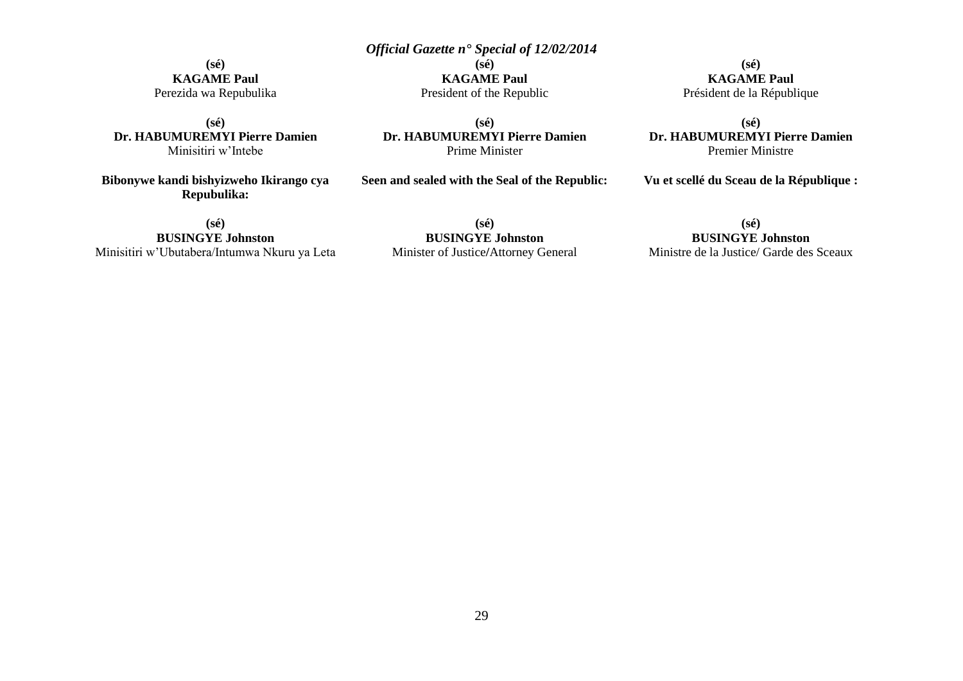**(sé) KAGAME Paul** Perezida wa Repubulika

**(sé) Dr. HABUMUREMYI Pierre Damien** Minisitiri w'Intebe

**Bibonywe kandi bishyizweho Ikirango cya Repubulika:**

**(sé) BUSINGYE Johnston** Minisitiri w'Ubutabera/Intumwa Nkuru ya Leta President of the Republic **(sé)**

**KAGAME Paul**

**Dr. HABUMUREMYI Pierre Damien** Prime Minister

**Seen and sealed with the Seal of the Republic:**

**(sé) KAGAME Paul** Président de la République

**(sé) Dr. HABUMUREMYI Pierre Damien** Premier Ministre

**Vu et scellé du Sceau de la République :**

**(sé) BUSINGYE Johnston** Minister of Justice**/**Attorney General

# **(sé)**

# **BUSINGYE Johnston** Ministre de la Justice/ Garde des Sceaux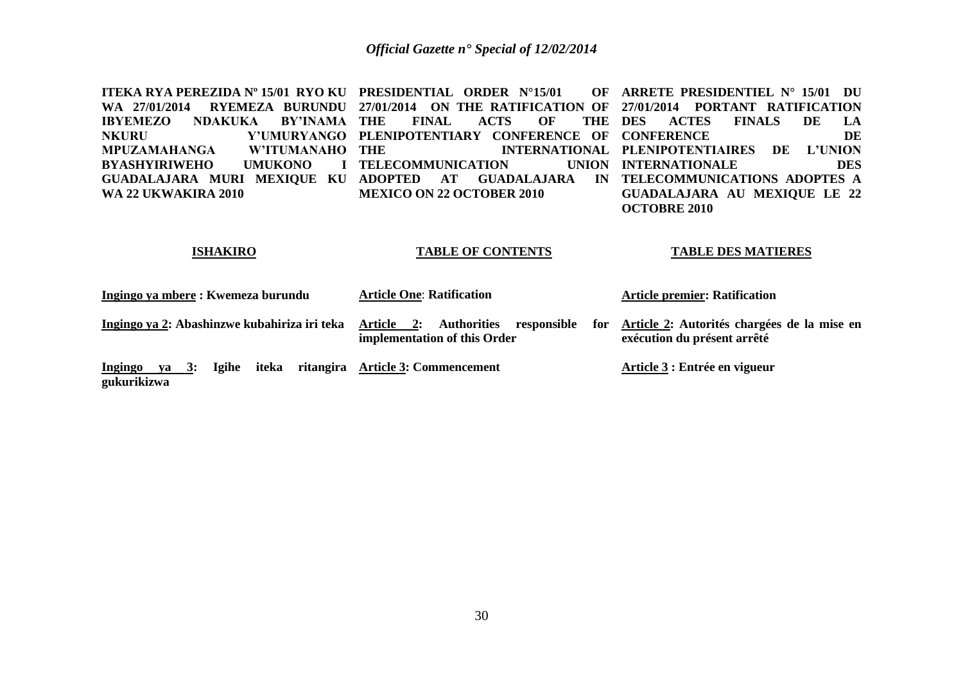**ITEKA RYA PEREZIDA Nº 15/01 RYO KU PRESIDENTIAL ORDER N°15/01 OF WA 27/01/2014 RYEMEZA BURUNDU 27/01/2014 ON THE RATIFICATION OF 27/01/2014 PORTANT RATIFICATION IBYEMEZO NDAKUKA BY'INAMA THE<br>NKURU Y'UMURYANGO PLEN NKURU Y'UMURYANGO PLENIPOTENTIARY CONFERENCE OF CONFERENCE DE MPUZAMAHANGA W'ITUMANAHO BYASHYIRIWEHO UMUKONO GUADALAJARA MURI MEXIQUE KU ADOPTED AT GUADALAJARA IN TELECOMMUNICATIONS ADOPTES A WA 22 UKWAKIRA 2010** FINAL ACTS OF THE DES **THE INTERNATIONAL PLENIPOTENTIAIRES DE L'UNION I** TELECOMMUNICATION **MEXICO ON 22 OCTOBER 2010 ARRETE PRESIDENTIEL N° 15/01 DU DES ACTES FINALS DE LA INTERNATIONALE DES GUADALAJARA AU MEXIQUE LE 22 OCTOBRE 2010**

# **ISHAKIRO**

# **TABLE OF CONTENTS**

# **TABLE DES MATIERES**

| Ingingo ya mbere : Kwemeza burundu                                        | <b>Article One: Ratification</b>                                                       | <b>Article premier: Ratification</b>                                       |
|---------------------------------------------------------------------------|----------------------------------------------------------------------------------------|----------------------------------------------------------------------------|
| Ingingo ya 2: Abashinzwe kubahiriza iri teka                              | Article 2:<br><b>Authorities</b><br>responsible<br>for<br>implementation of this Order | Article 2: Autorités chargées de la mise en<br>exécution du présent arrêté |
| iteka<br><b>Igihe</b><br><b>3:</b><br>Ingingo<br><b>va</b><br>gukurikizwa | ritangira Article 3: Commencement                                                      | Article 3 : Entrée en vigueur                                              |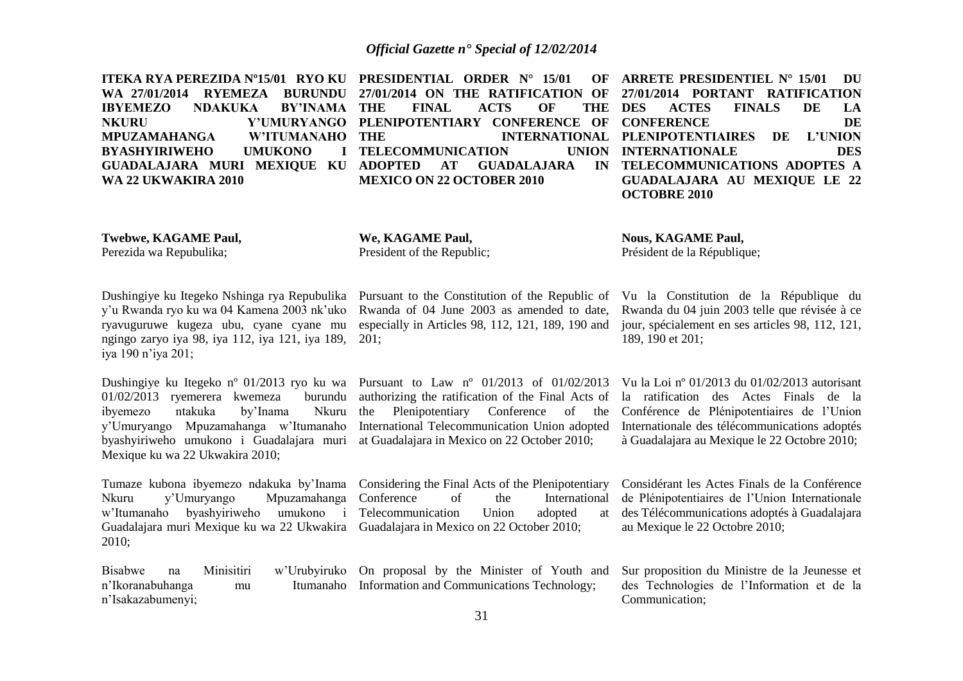|                            | ITEKA RYA PEREZIDA N°15/01 RYO KU PRESIDENTIAL ORDER N° 15/01 OF ARRETE PRESIDENTIEL N° 15/01 DU         |                                     |
|----------------------------|----------------------------------------------------------------------------------------------------------|-------------------------------------|
|                            | WA 27/01/2014 RYEMEZA BURUNDU 27/01/2014 ON THE RATIFICATION OF 27/01/2014 PORTANT RATIFICATION          |                                     |
|                            | IBYEMEZO NDAKUKA BY'INAMA—THE FINAL ACTS OF THE DES ACTES FINALS DE                                      | <b>LA</b>                           |
|                            | NKURU               Y'UMURYANGO  PLENIPOTENTIARY  CONFERENCE  OF  CONFERENCE                             | DE                                  |
|                            | MPUZAMAHANGA       W'ITUMANAHO  THE                    INTERNATIONAL  PLENIPOTENTIAIRES    DE    L'UNION |                                     |
|                            | BYASHYIRIWEHO UMUKONO I TELECOMMUNICATION        UNION INTERNATIONALE                                    | <b>DES</b>                          |
|                            | GUADALAJARA MURI MEXIQUE KU ADOPTED AT GUADALAJARA IN TELECOMMUNICATIONS ADOPTES A                       |                                     |
| <b>WA 22 UKWAKIRA 2010</b> | <b>MEXICO ON 22 OCTOBER 2010</b>                                                                         | <b>GUADALAJARA AU MEXIOUE LE 22</b> |
|                            |                                                                                                          | <b>OCTOBRE 2010</b>                 |
|                            |                                                                                                          |                                     |
|                            |                                                                                                          |                                     |

Pursuant to the Constitution of the Republic of Rwanda of 04 June 2003 as amended to date, especially in Articles 98, 112, 121, 189, 190 and

authorizing the ratification of the Final Acts of the Plenipotentiary Conference of the

of the International

**Twebwe, KAGAME Paul,** Perezida wa Repubulika;

**We, KAGAME Paul,** President of the Republic;

**Nous, KAGAME Paul,** Président de la République;

Dushingiye ku Itegeko Nshinga rya Repubulika y'u Rwanda ryo ku wa 04 Kamena 2003 nk'uko ryavuguruwe kugeza ubu, cyane cyane mu ngingo zaryo iya 98, iya 112, iya 121, iya 189, iya 190 n'iya 201;

Dushingiye ku Itegeko nº 01/2013 ryo ku wa Pursuant to Law nº 01/2013 of 01/02/2013 01/02/2013 ryemerera kwemeza burundu ibyemezo ntakuka by'Inama Nkuru y'Umuryango Mpuzamahanga w'Itumanaho byashyiriweho umukono i Guadalajara muri at Guadalajara in Mexico on 22 October 2010; Mexique ku wa 22 Ukwakira 2010;

Tumaze kubona ibyemezo ndakuka by'Inama Considering the Final Acts of the Plenipotentiary Nkuru y'Umuryango Mpuzamahanga w'Itumanaho byashyiriweho umukono i Telecommunication Union adopted at Guadalajara muri Mexique ku wa 22 Ukwakira Guadalajara in Mexico on 22 October 2010; 2010;

Bisabwe na Minisitiri w'Urubyiruko On proposal by the Minister of Youth and n'Ikoranabuhanga mu n'Isakazabumenyi; Itumanaho Information and Communications Technology;

201;

Vu la Constitution de la République du Rwanda du 04 juin 2003 telle que révisée à ce jour, spécialement en ses articles 98, 112, 121, 189, 190 et 201;

International Telecommunication Union adopted Internationale des télécommunications adoptés Vu la Loi nº 01/2013 du 01/02/2013 autorisant la ratification des Actes Finals de la Conférence de Plénipotentiaires de l'Union à Guadalajara au Mexique le 22 Octobre 2010;

> Considérant les Actes Finals de la Conférence de Plénipotentiaires de l'Union Internationale des Télécommunications adoptés à Guadalajara au Mexique le 22 Octobre 2010;

Sur proposition du Ministre de la Jeunesse et des Technologies de l'Information et de la Communication;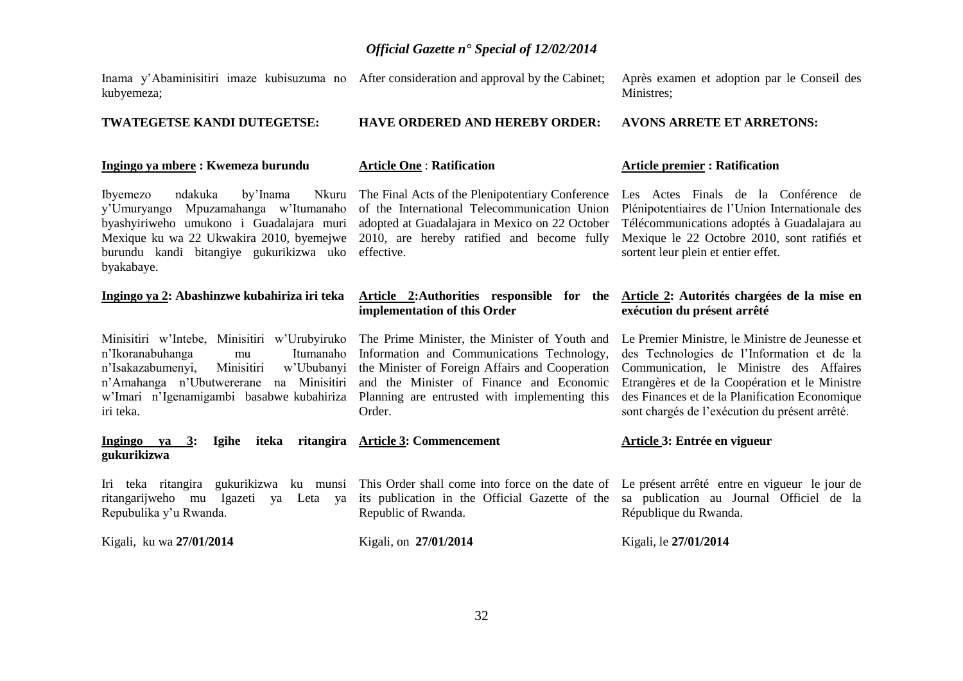**HAVE ORDERED AND HEREBY ORDER:**

Inama y'Abaminisitiri imaze kubisuzuma no After consideration and approval by the Cabinet; kubyemeza;

# **TWATEGETSE KANDI DUTEGETSE:**

# **Ingingo ya mbere : Kwemeza burundu**

**Article One** : **Ratification** 

Ibyemezo ndakuka by'Inama y'Umuryango Mpuzamahanga w'Itumanaho byashyiriweho umukono i Guadalajara muri adopted at Guadalajara in Mexico on 22 October Mexique ku wa 22 Ukwakira 2010, byemejwe 2010, are hereby ratified and become fully burundu kandi bitangiye gukurikizwa uko effective. byakabaye.

# **Ingingo ya 2: Abashinzwe kubahiriza iri teka**

n'Ikoranabuhanga mu Itumanaho n'Isakazabumenyi, Minisitiri w'Ububanyi n'Amahanga n'Ubutwererane na Minisitiri iri teka.

**Ingingo ya 3: Igihe iteka ritangira Article 3: Commencement gukurikizwa**

Iri teka ritangira gukurikizwa ku munsi This Order shall come into force on the date of Le présent arrêté entre en vigueur le jour de ritangarijweho mu Igazeti ya Leta ya its publication in the Official Gazette of the sa publication au Journal Officiel de la Repubulika y'u Rwanda. Republic of Rwanda.

Kigali, ku wa **27/01/2014** 

of the International Telecommunication Union

# **Article 2:Authorities responsible for the implementation of this Order**

Minisitiri w'Intebe, Minisitiri w'Urubyiruko The Prime Minister, the Minister of Youth and w'Imari n'Igenamigambi basabwe kubahiriza Planning are entrusted with implementing this Information and Communications Technology, the Minister of Foreign Affairs and Cooperation and the Minister of Finance and Economic Order.

# **Article 3: Entrée en vigueur**

Kigali, le **27/01/2014** 

République du Rwanda.

Après examen et adoption par le Conseil des Ministres;

# **AVONS ARRETE ET ARRETONS:**

# **Article premier : Ratification**

The Final Acts of the Plenipotentiary Conference Les Actes Finals de la Conférence de Plénipotentiaires de l'Union Internationale des Télécommunications adoptés à Guadalajara au Mexique le 22 Octobre 2010, sont ratifiés et sortent leur plein et entier effet.

# **Article 2: Autorités chargées de la mise en exécution du présent arrêté**

Le Premier Ministre, le Ministre de Jeunesse et des Technologies de l'Information et de la Communication, le Ministre des Affaires Etrangères et de la Coopération et le Ministre des Finances et de la Planification Economique sont chargés de l'exécution du présent arrêté.

Kigali, on **27/01/2014**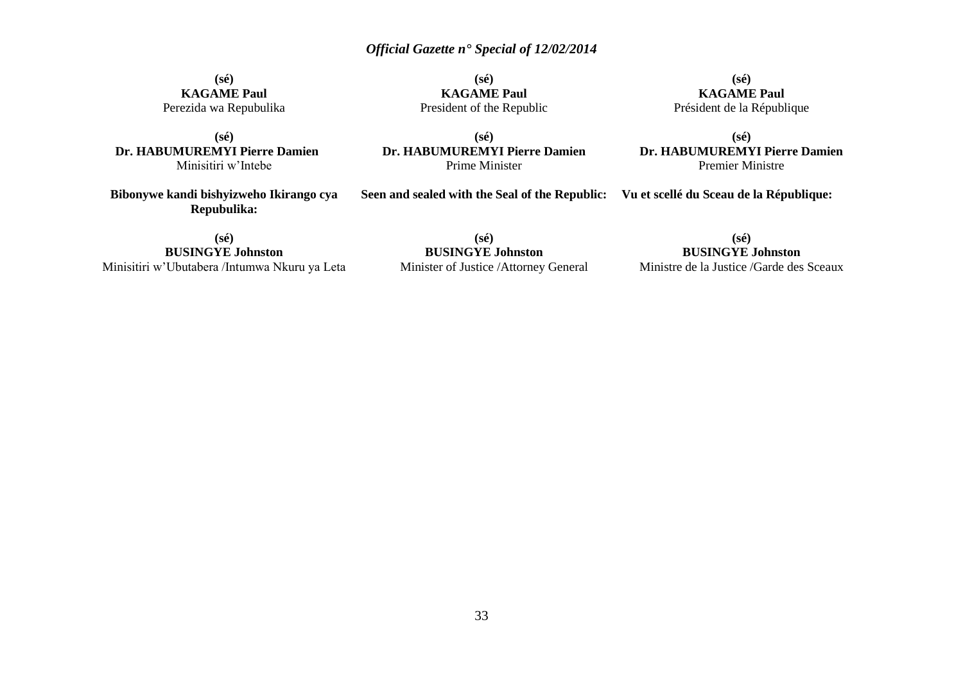**(sé) KAGAME Paul** President of the Republic

**(sé) KAGAME Paul** Perezida wa Repubulika

**(sé) Dr. HABUMUREMYI Pierre Damien** Minisitiri w'Intebe

**Bibonywe kandi bishyizweho Ikirango cya Repubulika:**

**(sé) Dr. HABUMUREMYI Pierre Damien** Prime Minister

**(sé) KAGAME Paul** Président de la République

**(sé) Dr. HABUMUREMYI Pierre Damien** Premier Ministre

**Seen and sealed with the Seal of the Republic: Vu et scellé du Sceau de la République:**

**(sé) BUSINGYE Johnston** Minister of Justice /Attorney General

**(sé) BUSINGYE Johnston**

Ministre de la Justice /Garde des Sceaux

**(sé) BUSINGYE Johnston** Minisitiri w'Ubutabera /Intumwa Nkuru ya Leta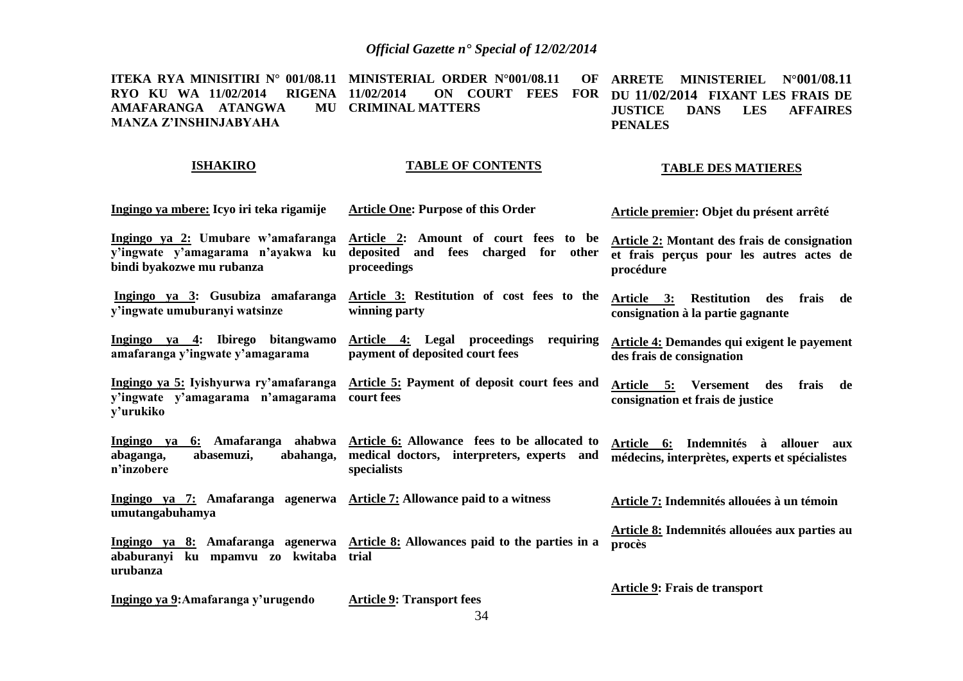**ITEKA RYA MINISITIRI N° 001/08.11 MINISTERIAL ORDER N°001/08.11 OF RYO KU WA 11/02/2014 RIGENA AMAFARANGA ATANGWA MANZA Z'INSHINJABYAHA 11/02/2014 ON COURT FEES FOR DU 11/02/2014 FIXANT LES FRAIS DE CRIMINAL MATTERS ARRETE MINISTERIEL N°001/08.11 JUSTICE DANS LES AFFAIRES PENALES**

# **ISHAKIRO**

# **TABLE OF CONTENTS**

**TABLE DES MATIERES**

### **Ingingo ya mbere: Icyo iri teka rigamije Ingingo ya 2: Umubare w'amafaranga y'ingwate y'amagarama n'ayakwa ku bindi byakozwe mu rubanza Ingingo ya 3: Gusubiza amafaranga y'ingwate umuburanyi watsinze Ingingo ya 4: Ibirego bitangwamo amafaranga y'ingwate y'amagarama Ingingo ya 5: Iyishyurwa ry'amafaranga Article 5: Payment of deposit court fees and y'ingwate y'amagarama n'amagarama court fees y'urukiko Ingingo ya 6: Amafaranga ahabwa Article 6: Allowance fees to be allocated to abaganga, abasemuzi, abahanga, n'inzobere Ingingo ya 7: Amafaranga agenerwa umutangabuhamya Ingingo ya 8: Amafaranga agenerwa Article 8: Allowances paid to the parties in a ababuranyi ku mpamvu zo kwitaba trial urubanza Ingingo ya 9:Amafaranga y'urugendo Article One: Purpose of this Order Article 2: Amount of court fees to be deposited and fees charged for other proceedings Article 3: Restitution of cost fees to the winning party Article 4: Legal proceedings requiring payment of deposited court fees medical doctors, interpreters, experts and specialists Article 7: Allowance paid to a witness Article 9: Transport fees Article premier: Objet du présent arrêté Article 2: Montant des frais de consignation et frais perçus pour les autres actes de procédure Article 3: Restitution des frais de consignation à la partie gagnante Article 4: Demandes qui exigent le payement des frais de consignation Article 5: Versement des frais de consignation et frais de justice Article 6: Indemnités à allouer aux médecins, interprètes, experts et spécialistes Article 7: Indemnités allouées à un témoin Article 8: Indemnités allouées aux parties au procès Article 9: Frais de transport**

34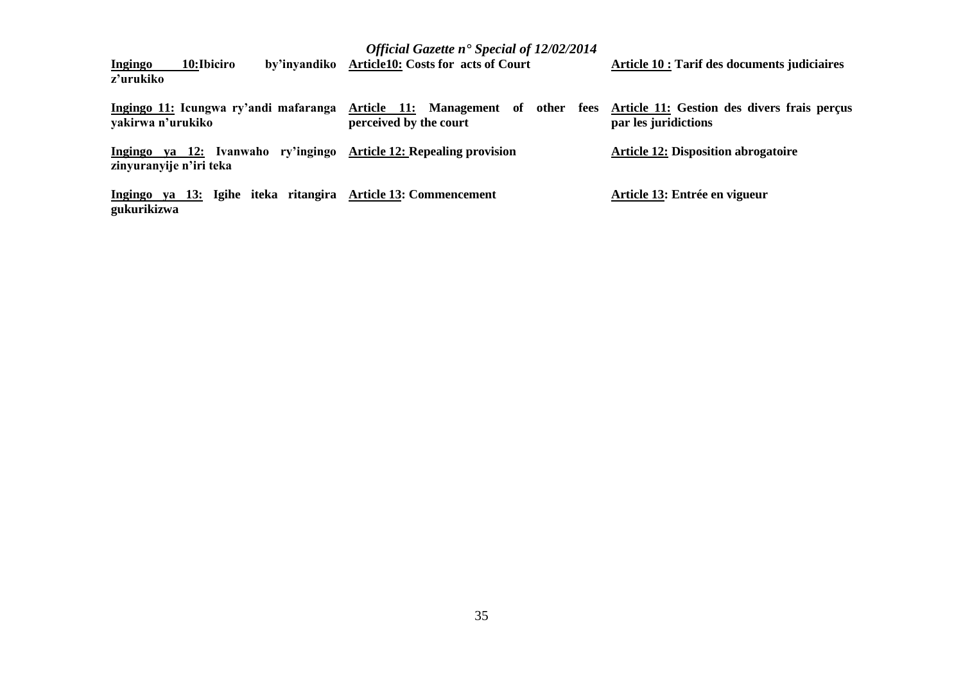| 10:Ibiciro<br><b>Ingingo</b><br>z'urukiko                     | Official Gazette n <sup>•</sup> Special of 12/02/2014<br>by'invandiko Article10: Costs for acts of Court   | Article 10 : Tarif des documents judiciaires |
|---------------------------------------------------------------|------------------------------------------------------------------------------------------------------------|----------------------------------------------|
| Ingingo 11: Icungwa ry'andi mafaranga<br>yakirwa n'urukiko    | Article 11: Management of other fees Article 11: Gestion des divers frais perçus<br>perceived by the court | par les juridictions                         |
| Ingingo ya 12: Ivanwaho ry'ingingo<br>zinyuranyije n'iri teka | <b>Article 12: Repealing provision</b>                                                                     | <b>Article 12: Disposition abrogatoire</b>   |
| Ingingo ya 13: Igihe iteka ritangira<br>gukurikizwa           | <b>Article 13: Commencement</b>                                                                            | Article 13: Entrée en vigueur                |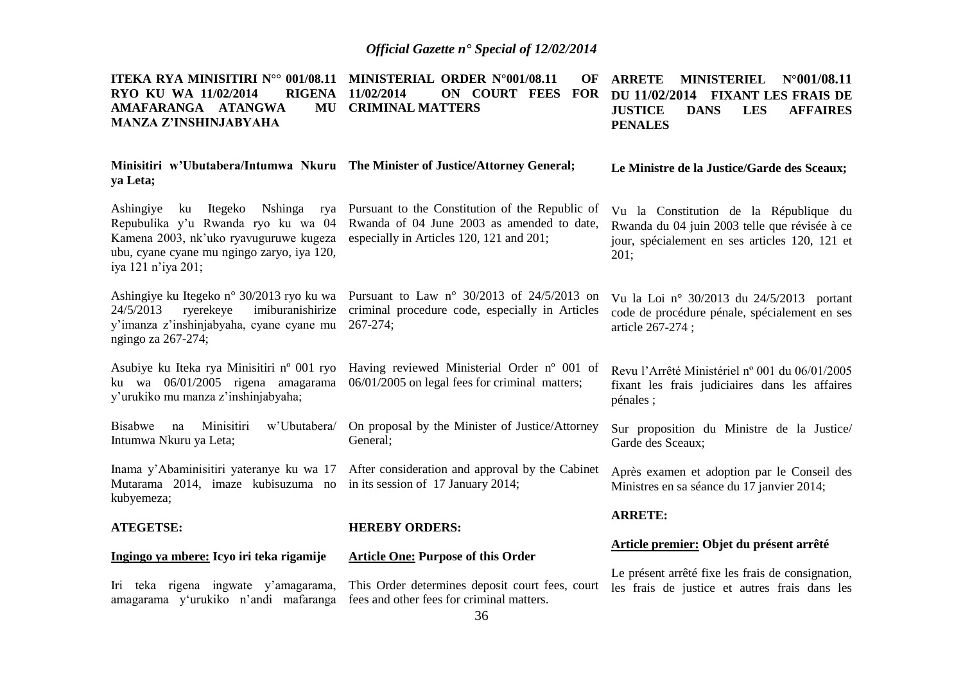| ITEKA RYA MINISITIRI N°° 001/08.11 MINISTERIAL ORDER N°001/08.11<br>RYO KU WA 11/02/2014<br><b>RIGENA</b><br>AMAFARANGA ATANGWA<br>MU<br><b>MANZA Z'INSHINJABYAHA</b>                            | OF<br>11/02/2014<br>ON COURT FEES FOR<br><b>CRIMINAL MATTERS</b>                                                                          | <b>ARRETE</b><br><b>MINISTERIEL</b><br>$N^{\circ}001/08.11$<br>DU 11/02/2014<br><b>FIXANT LES FRAIS DE</b><br><b>JUSTICE</b><br><b>DANS</b><br><b>LES</b><br><b>AFFAIRES</b><br><b>PENALES</b> |
|--------------------------------------------------------------------------------------------------------------------------------------------------------------------------------------------------|-------------------------------------------------------------------------------------------------------------------------------------------|------------------------------------------------------------------------------------------------------------------------------------------------------------------------------------------------|
| ya Leta;                                                                                                                                                                                         | Minisitiri w'Ubutabera/Intumwa Nkuru The Minister of Justice/Attorney General;                                                            | Le Ministre de la Justice/Garde des Sceaux;                                                                                                                                                    |
| Ashingiye<br>Itegeko<br>Nshinga<br>ku<br>rya<br>Repubulika y'u Rwanda ryo ku wa 04<br>Kamena 2003, nk'uko ryavuguruwe kugeza<br>ubu, cyane cyane mu ngingo zaryo, iya 120,<br>iya 121 n'iya 201; | Pursuant to the Constitution of the Republic of<br>Rwanda of 04 June 2003 as amended to date,<br>especially in Articles 120, 121 and 201; | Vu la Constitution de la République du<br>Rwanda du 04 juin 2003 telle que révisée à ce<br>jour, spécialement en ses articles 120, 121 et<br>201;                                              |
| Ashingiye ku Itegeko n° 30/2013 ryo ku wa<br>ryerekeye<br>imiburanishirize<br>24/5/2013<br>y'imanza z'inshinjabyaha, cyane cyane mu<br>ngingo za 267-274;                                        | Pursuant to Law $n^{\circ}$ 30/2013 of 24/5/2013 on<br>criminal procedure code, especially in Articles<br>$267 - 274$ ;                   | Vu la Loi nº 30/2013 du 24/5/2013 portant<br>code de procédure pénale, spécialement en ses<br>article 267-274;                                                                                 |
| Asubiye ku Iteka rya Minisitiri nº 001 ryo<br>ku wa 06/01/2005 rigena amagarama<br>y'urukiko mu manza z'inshinjabyaha;                                                                           | Having reviewed Ministerial Order nº 001 of<br>06/01/2005 on legal fees for criminal matters;                                             | Revu l'Arrêté Ministériel nº 001 du 06/01/2005<br>fixant les frais judiciaires dans les affaires<br>pénales;                                                                                   |
| Minisitiri<br><b>Bisabwe</b><br>w'Ubutabera/<br>na<br>Intumwa Nkuru ya Leta;                                                                                                                     | On proposal by the Minister of Justice/Attorney<br>General;                                                                               | Sur proposition du Ministre de la Justice/<br>Garde des Sceaux;                                                                                                                                |
| Inama y'Abaminisitiri yateranye ku wa 17<br>Mutarama 2014, imaze kubisuzuma no<br>kubyemeza;                                                                                                     | After consideration and approval by the Cabinet<br>in its session of 17 January 2014;                                                     | Après examen et adoption par le Conseil des<br>Ministres en sa séance du 17 janvier 2014;                                                                                                      |
| <b>ATEGETSE:</b>                                                                                                                                                                                 | <b>HEREBY ORDERS:</b>                                                                                                                     | <b>ARRETE:</b>                                                                                                                                                                                 |
|                                                                                                                                                                                                  |                                                                                                                                           | Article premier: Objet du présent arrêté                                                                                                                                                       |
| Ingingo ya mbere: Icyo iri teka rigamije                                                                                                                                                         | <b>Article One: Purpose of this Order</b>                                                                                                 | Le présent arrêté fixe les frais de consignation,                                                                                                                                              |
| Iri teka rigena ingwate y'amagarama,<br>amagarama y'urukiko n'andi mafaranga                                                                                                                     | This Order determines deposit court fees, court<br>fees and other fees for criminal matters.                                              | les frais de justice et autres frais dans les                                                                                                                                                  |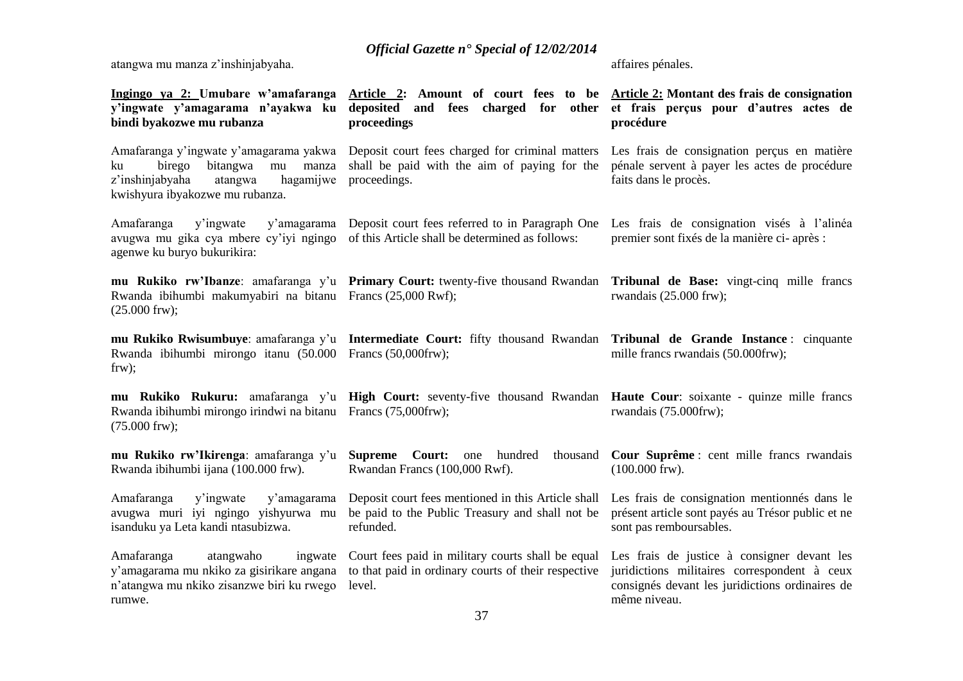atangwa mu manza z'inshinjabyaha.

affaires pénales.

| bindi byakozwe mu rubanza                                                                                                                                       | Ingingo ya 2: Umubare w'amafaranga Article 2: Amount of court fees to be Article 2: Montant des frais de consignation<br>y'ingwate y'amagarama n'ayakwa ku deposited and fees charged for other et frais perçus pour d'autres actes de<br>proceedings | procédure                                                                                                                                                      |
|-----------------------------------------------------------------------------------------------------------------------------------------------------------------|-------------------------------------------------------------------------------------------------------------------------------------------------------------------------------------------------------------------------------------------------------|----------------------------------------------------------------------------------------------------------------------------------------------------------------|
| Amafaranga y'ingwate y'amagarama yakwa<br>birego<br>bitangwa<br>ku<br>manza<br>mu<br>z'inshinjabyaha<br>hagamijwe<br>atangwa<br>kwishyura ibyakozwe mu rubanza. | Deposit court fees charged for criminal matters Les frais de consignation perçus en matière<br>shall be paid with the aim of paying for the<br>proceedings.                                                                                           | pénale servent à payer les actes de procédure<br>faits dans le procès.                                                                                         |
| Amafaranga<br>y'ingwate<br>y'amagarama<br>avugwa mu gika cya mbere cy'iyi ngingo<br>agenwe ku buryo bukurikira:                                                 | Deposit court fees referred to in Paragraph One<br>of this Article shall be determined as follows:                                                                                                                                                    | Les frais de consignation visés à l'alinéa<br>premier sont fixés de la manière ci-après :                                                                      |
| Rwanda ibihumbi makumyabiri na bitanu Francs (25,000 Rwf);<br>$(25.000$ frw);                                                                                   | mu Rukiko rw'Ibanze: amafaranga y'u Primary Court: twenty-five thousand Rwandan                                                                                                                                                                       | Tribunal de Base: vingt-cinq mille francs<br>rwandais $(25.000$ frw);                                                                                          |
| Rwanda ibihumbi mirongo itanu (50.000 Francs (50,000frw);<br>$f(x)$ ;                                                                                           | mu Rukiko Rwisumbuye: amafaranga y'u Intermediate Court: fifty thousand Rwandan Tribunal de Grande Instance : cinquante                                                                                                                               | mille francs rwandais (50.000frw);                                                                                                                             |
| Rwanda ibihumbi mirongo irindwi na bitanu Francs (75,000frw);<br>$(75.000$ frw);                                                                                | <b>mu Rukiko Rukuru:</b> amafaranga y'u <b>High Court:</b> seventy-five thousand Rwandan <b>Haute Cour</b> : soixante - quinze mille francs                                                                                                           | rwandais (75.000frw);                                                                                                                                          |
| mu Rukiko rw'Ikirenga: amafaranga y'u<br>Rwanda ibihumbi ijana (100.000 frw).                                                                                   | <b>Supreme Court:</b> one hundred<br>thousand<br>Rwandan Francs (100,000 Rwf).                                                                                                                                                                        | Cour Suprême : cent mille francs rwandais<br>$(100.000$ frw).                                                                                                  |
| Amafaranga<br>y'ingwate<br>y'amagarama<br>avugwa muri iyi ngingo yishyurwa mu<br>isanduku ya Leta kandi ntasubizwa.                                             | Deposit court fees mentioned in this Article shall<br>be paid to the Public Treasury and shall not be<br>refunded.                                                                                                                                    | Les frais de consignation mentionnés dans le<br>présent article sont payés au Trésor public et ne<br>sont pas remboursables.                                   |
| Amafaranga<br>atangwaho<br>ingwate<br>y'amagarama mu nkiko za gisirikare angana<br>n'atangwa mu nkiko zisanzwe biri ku rwego<br>rumwe.                          | Court fees paid in military courts shall be equal<br>to that paid in ordinary courts of their respective<br>level.                                                                                                                                    | Les frais de justice à consigner devant les<br>juridictions militaires correspondent à ceux<br>consignés devant les juridictions ordinaires de<br>même niveau. |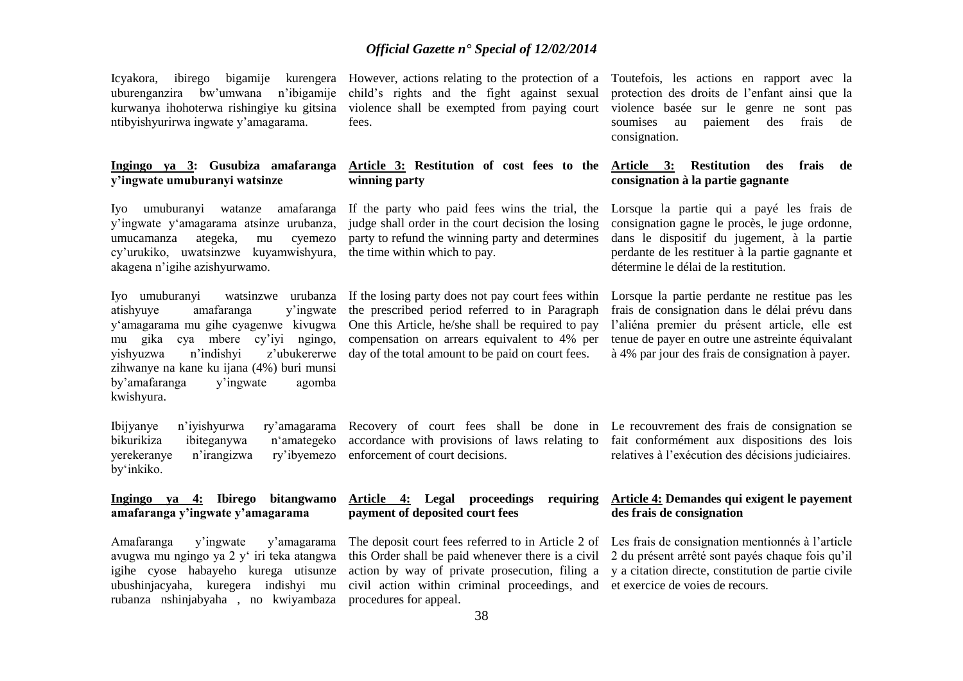Icyakora, ibirego bigamije kurengera However, actions relating to the protection of a uburenganzira bw'umwana n'ibigamije kurwanya ihohoterwa rishingiye ku gitsina ntibyishyurirwa ingwate y'amagarama.

#### **Ingingo ya 3: Gusubiza amafaranga y'ingwate umuburanyi watsinze**

Iyo umuburanyi watanze amafaranga y'ingwate y'amagarama atsinze urubanza, umucamanza ategeka, mu cyemezo cy'urukiko, uwatsinzwe kuyamwishyura, akagena n'igihe azishyurwamo.

atishyuye amafaranga y'ingwate y'amagarama mu gihe cyagenwe kivugwa mu gika cya mbere cy'iyi ngingo, zihwanye na kane ku ijana (4%) buri munsi<br>by'amafaranga v'ingwate agomba by'amafaranga y'ingwate agomba kwishyura.

Ibijyanye n'iyishyurwa ry'amagarama bikurikiza ibiteganywa n'amategeko yerekeranye n'irangizwa ry'ibyemezo by'inkiko.

#### **Ingingo ya 4: Ibirego bitangwamo amafaranga y'ingwate y'amagarama**

Amafaranga y'ingwate y'amagarama avugwa mu ngingo ya 2 y' iri teka atangwa igihe cyose habayeho kurega utisunze ubushinjacyaha, kuregera indishyi mu rubanza nshinjabyaha , no kwiyambaza

child's rights and the fight against sexual violence shall be exempted from paying court fees.

#### **Article 3: Restitution of cost fees to the Article 3: Restitution des frais de winning party**

judge shall order in the court decision the losing party to refund the winning party and determines the time within which to pay.

Iyo umuburanyi watsinzwe urubanza If the losing party does not pay court fees within yishyuzwa n'indishyi z'ubukererwe day of the total amount to be paid on court fees. the prescribed period referred to in Paragraph One this Article, he/she shall be required to pay compensation on arrears equivalent to 4% per

Toutefois, les actions en rapport avec la protection des droits de l'enfant ainsi que la violence basée sur le genre ne sont pas soumises au paiement des frais de consignation.

# **consignation à la partie gagnante**

If the party who paid fees wins the trial, the Lorsque la partie qui a payé les frais de consignation gagne le procès, le juge ordonne, dans le dispositif du jugement, à la partie perdante de les restituer à la partie gagnante et détermine le délai de la restitution.

> Lorsque la partie perdante ne restitue pas les frais de consignation dans le délai prévu dans l'aliéna premier du présent article, elle est tenue de payer en outre une astreinte équivalant à 4% par jour des frais de consignation à payer.

accordance with provisions of laws relating to fait conformément aux dispositions des lois enforcement of court decisions.

#### **Article 4: Legal proceedings requiring payment of deposited court fees**

this Order shall be paid whenever there is a civil 2 du présent arrêté sont payés chaque fois qu'il action by way of private prosecution, filing a y a citation directe, constitution de partie civile civil action within criminal proceedings, and et exercice de voies de recours. procedures for appeal.

Recovery of court fees shall be done in Le recouvrement des frais de consignation se relatives à l'exécution des décisions judiciaires.

#### **Article 4: Demandes qui exigent le payement des frais de consignation**

The deposit court fees referred to in Article 2 of Les frais de consignation mentionnés à l'article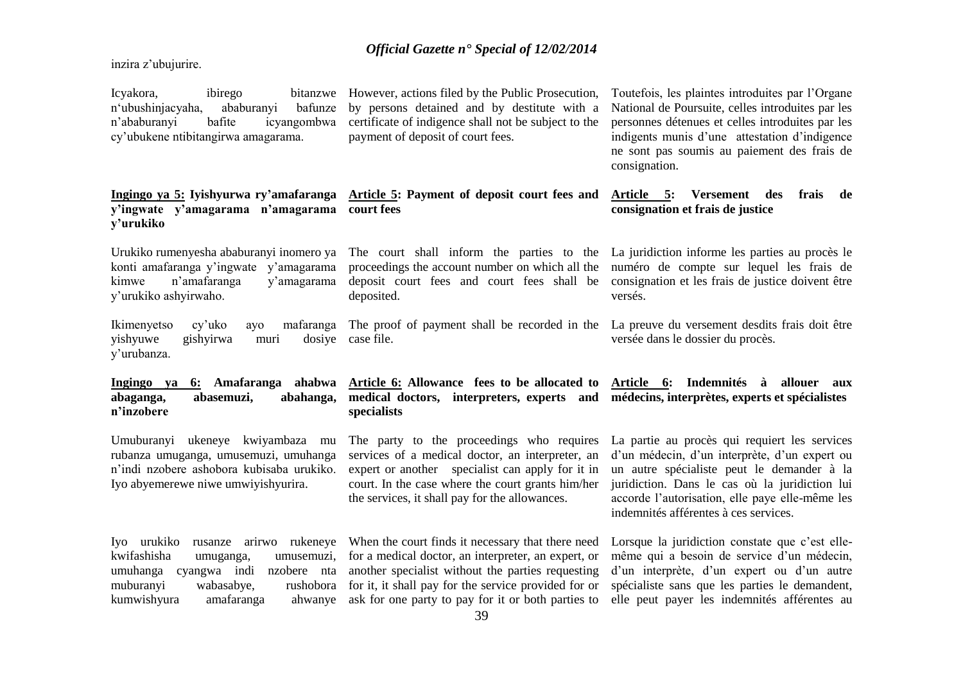inzira z'ubujurire.

**y'urukiko**

Icyakora, ibirego bitanzwe n'ubushinjacyaha, ababuranyi bafunze n'ababuranyi bafite icyangombwa cy'ubukene ntibitangirwa amagarama. However, actions filed by the Public Prosecution, by persons detained and by destitute with a certificate of indigence shall not be subject to the payment of deposit of court fees.

Toutefois, les plaintes introduites par l'Organe National de Poursuite, celles introduites par les personnes détenues et celles introduites par les indigents munis d'une attestation d'indigence ne sont pas soumis au paiement des frais de consignation.

#### **Article 5: Versement des frais de consignation et frais de justice**

Urukiko rumenyesha ababuranyi inomero ya konti amafaranga y'ingwate y'amagarama kimwe n'amafaranga y'amagarama y'urukiko ashyirwaho.

**Ingingo ya 5: Iyishyurwa ry'amafaranga** 

**y'ingwate y'amagarama n'amagarama court fees**

Ikimenyetso cy'uko ayo yishyuwe gishyirwa muri y'urubanza.

**Ingingo ya 6: Amafaranga ahabwa abaganga, abasemuzi, abahanga, n'inzobere** 

Umuburanyi ukeneye kwiyambaza mu rubanza umuganga, umusemuzi, umuhanga n'indi nzobere ashobora kubisaba urukiko. Iyo abyemerewe niwe umwiyishyurira.

kwifashisha umuganga, umusemuzi, umuhanga cyangwa indi nzobere nta muburanyi wabasabye, kumwishyura amafaranga

The court shall inform the parties to the La juridiction informe les parties au procès le proceedings the account number on which all the deposit court fees and court fees shall be consignation et les frais de justice doivent être deposited.

**Article 5: Payment of deposit court fees and** 

The proof of payment shall be recorded in the La preuve du versement desdits frais doit être dosive case file.

#### **Article 6: Allowance fees to be allocated to Article 6: Indemnités à allouer aux medical doctors, interpreters, experts and médecins, interprètes, experts et spécialistes specialists**

The party to the proceedings who requires services of a medical doctor, an interpreter, an expert or another specialist can apply for it in court. In the case where the court grants him/her the services, it shall pay for the allowances.

numéro de compte sur lequel les frais de versés.

versée dans le dossier du procès.

La partie au procès qui requiert les services d'un médecin, d'un interprète, d'un expert ou un autre spécialiste peut le demander à la juridiction. Dans le cas où la juridiction lui accorde l'autorisation, elle paye elle-même les indemnités afférentes à ces services.

Iyo urukiko rusanze arirwo rukeneye When the court finds it necessary that there need for a medical doctor, an interpreter, an expert, or another specialist without the parties requesting rushobora for it, it shall pay for the service provided for or ahwanye ask for one party to pay for it or both parties to

Lorsque la juridiction constate que c'est ellemême qui a besoin de service d'un médecin, d'un interprète, d'un expert ou d'un autre spécialiste sans que les parties le demandent, elle peut payer les indemnités afférentes au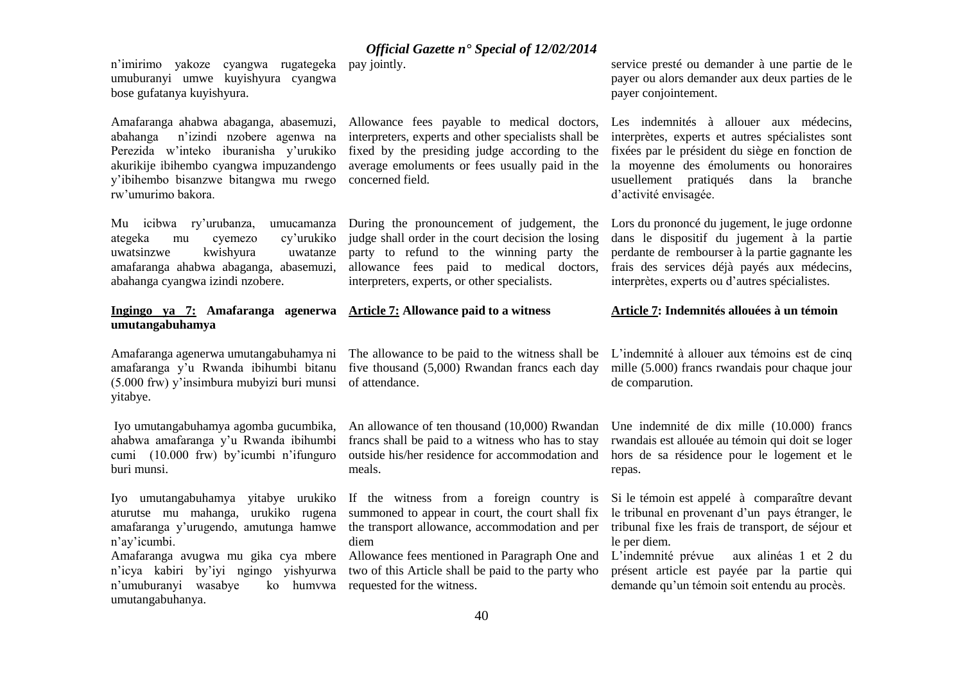n'imirimo yakoze cyangwa rugategeka pay jointly. umuburanyi umwe kuyishyura cyangwa bose gufatanya kuyishyura.

Amafaranga ahabwa abaganga, abasemuzi, abahanga n'izindi nzobere agenwa na Perezida w'inteko iburanisha y'urukiko akurikije ibihembo cyangwa impuzandengo y'ibihembo bisanzwe bitangwa mu rwego rw'umurimo bakora.

Mu icibwa ry'urubanza, umucamanza ategeka mu cyemezo cy'urukiko uwatsinzwe kwishyura uwatanze amafaranga ahabwa abaganga, abasemuzi, abahanga cyangwa izindi nzobere.

#### **Ingingo ya 7: Amafaranga agenerwa umutangabuhamya**

Amafaranga agenerwa umutangabuhamya ni amafaranga y'u Rwanda ibihumbi bitanu (5.000 frw) y'insimbura mubyizi buri munsi yitabye.

Iyo umutangabuhamya agomba gucumbika, ahabwa amafaranga y'u Rwanda ibihumbi cumi (10.000 frw) by'icumbi n'ifunguro buri munsi.

Iyo umutangabuhamya yitabye urukiko aturutse mu mahanga, urukiko rugena amafaranga y'urugendo, amutunga hamwe n'ay'icumbi. Amafaranga avugwa mu gika cya mbere n'icya kabiri by'iyi ngingo yishyurwa n'umuburanyi wasabye umutangabuhanya.

Allowance fees payable to medical doctors, interpreters, experts and other specialists shall be fixed by the presiding judge according to the average emoluments or fees usually paid in the concerned field.

During the pronouncement of judgement, the judge shall order in the court decision the losing party to refund to the winning party the allowance fees paid to medical doctors, interpreters, experts, or other specialists.

# **Article 7: Allowance paid to a witness**

The allowance to be paid to the witness shall be L'indemnité à allouer aux témoins est de cinq five thousand (5,000) Rwandan francs each day of attendance.

An allowance of ten thousand (10,000) Rwandan francs shall be paid to a witness who has to stay outside his/her residence for accommodation and meals.

If the witness from a foreign country is summoned to appear in court, the court shall fix the transport allowance, accommodation and per tribunal fixe les frais de transport, de séjour et diem

Allowance fees mentioned in Paragraph One and two of this Article shall be paid to the party who ko humvwa requested for the witness.

service presté ou demander à une partie de le payer ou alors demander aux deux parties de le payer conjointement.

Les indemnités à allouer aux médecins, interprètes, experts et autres spécialistes sont fixées par le président du siège en fonction de la moyenne des émoluments ou honoraires usuellement pratiqués dans la branche d'activité envisagée.

Lors du prononcé du jugement, le juge ordonne dans le dispositif du jugement à la partie perdante de rembourser à la partie gagnante les frais des services déjà payés aux médecins, interprètes, experts ou d'autres spécialistes.

#### **Article 7: Indemnités allouées à un témoin**

mille (5.000) francs rwandais pour chaque jour de comparution.

Une indemnité de dix mille (10.000) francs rwandais est allouée au témoin qui doit se loger hors de sa résidence pour le logement et le repas.

Si le témoin est appelé à comparaître devant le tribunal en provenant d'un pays étranger, le le per diem.

L'indemnité prévue aux alinéas 1 et 2 du présent article est payée par la partie qui demande qu'un témoin soit entendu au procès.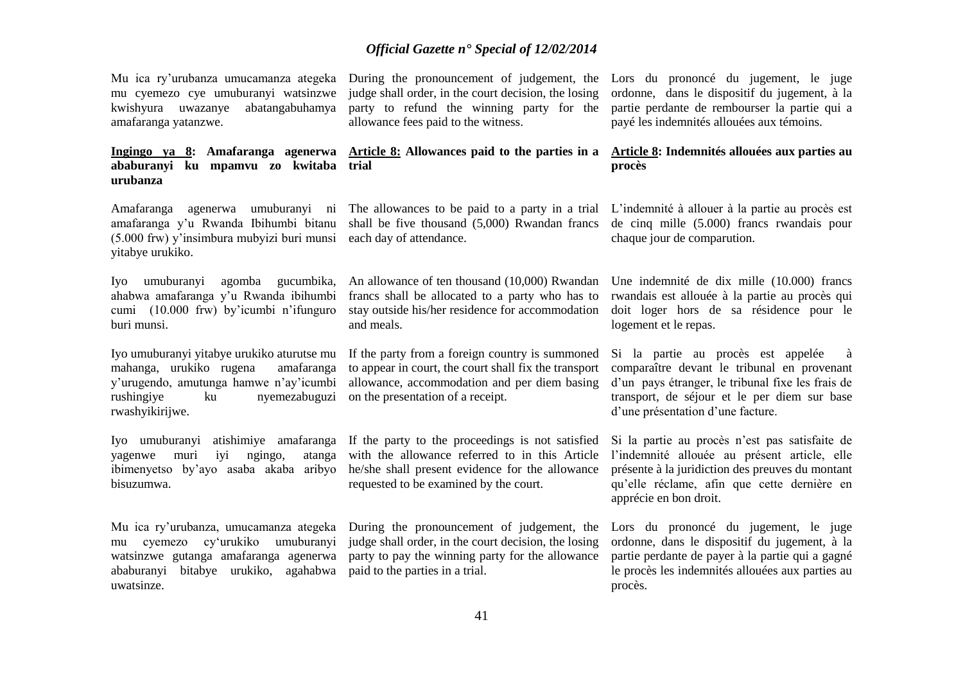Mu ica ry'urubanza umucamanza ategeka mu cyemezo cye umuburanyi watsinzwe kwishyura uwazanye abatangabuhamya amafaranga yatanzwe.

#### **Ingingo ya 8: Amafaranga agenerwa ababuranyi ku mpamvu zo kwitaba trial urubanza**

Amafaranga agenerwa umuburanyi ni amafaranga y'u Rwanda Ibihumbi bitanu (5.000 frw) y'insimbura mubyizi buri munsi yitabye urukiko.

Iyo umuburanyi agomba gucumbika, ahabwa amafaranga y'u Rwanda ibihumbi cumi (10.000 frw) by'icumbi n'ifunguro buri munsi.

Iyo umuburanyi yitabye urukiko aturutse mu mahanga, urukiko rugena amafaranga y'urugendo, amutunga hamwe n'ay'icumbi rushingiye ku nyemezabuguzi on the presentation of a receipt. rwashyikirijwe.

yagenwe muri iyi ngingo, atanga ibimenyetso by'ayo asaba akaba aribyo bisuzumwa.

Mu ica ry'urubanza, umucamanza ategeka During the pronouncement of judgement, the ababuranyi bitabye urukiko, agahabwa paid to the parties in a trial. uwatsinze.

judge shall order, in the court decision, the losing party to refund the winning party for the allowance fees paid to the witness.

# **Article 8: Allowances paid to the parties in a**

shall be five thousand (5,000) Rwandan francs each day of attendance.

An allowance of ten thousand (10,000) Rwandan francs shall be allocated to a party who has to stay outside his/her residence for accommodation and meals.

If the party from a foreign country is summoned to appear in court, the court shall fix the transport allowance, accommodation and per diem basing

Iyo umuburanyi atishimiye amafaranga If the party to the proceedings is not satisfied with the allowance referred to in this Article he/she shall present evidence for the allowance requested to be examined by the court.

mu cyemezo cy'urukiko umuburanyi judge shall order, in the court decision, the losing watsinzwe gutanga amafaranga agenerwa party to pay the winning party for the allowance

During the pronouncement of judgement, the Lors du prononcé du jugement, le juge ordonne, dans le dispositif du jugement, à la partie perdante de rembourser la partie qui a payé les indemnités allouées aux témoins.

#### **Article 8: Indemnités allouées aux parties au procès**

The allowances to be paid to a party in a trial L'indemnité à allouer à la partie au procès est de cinq mille (5.000) francs rwandais pour chaque jour de comparution.

> Une indemnité de dix mille (10.000) francs rwandais est allouée à la partie au procès qui doit loger hors de sa résidence pour le logement et le repas.

> Si la partie au procès est appelée à comparaître devant le tribunal en provenant d'un pays étranger, le tribunal fixe les frais de transport, de séjour et le per diem sur base d'une présentation d'une facture.

> Si la partie au procès n'est pas satisfaite de l'indemnité allouée au présent article, elle présente à la juridiction des preuves du montant qu'elle réclame, afin que cette dernière en apprécie en bon droit.

> Lors du prononcé du jugement, le juge ordonne, dans le dispositif du jugement, à la partie perdante de payer à la partie qui a gagné le procès les indemnités allouées aux parties au procès.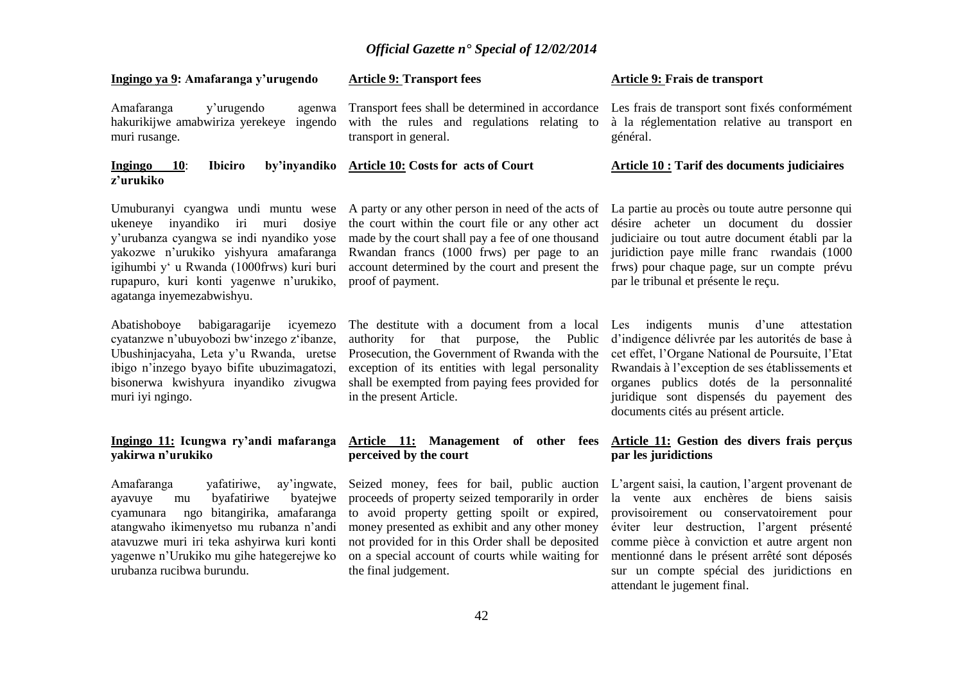with the rules and regulations relating to

**Article 9: Transport fees**

**Article 10: Costs for acts of Court**

transport in general.

proof of payment.

#### **Ingingo ya 9: Amafaranga y'urugendo**

Amafaranga y'urugendo agenwa hakurikijwe amabwiriza yerekeye ingendo muri rusange.

#### **Ingingo 10**: **Ibiciro by'inyandiko z'urukiko**

ukeneye inyandiko iri muri dosiye y'urubanza cyangwa se indi nyandiko yose yakozwe n'urukiko yishyura amafaranga igihumbi y' u Rwanda (1000frws) kuri buri rupapuro, kuri konti yagenwe n'urukiko, agatanga inyemezabwishyu.

Abatishoboye babigaragarije icyemezo cyatanzwe n'ubuyobozi bw'inzego z'ibanze, Ubushinjacyaha, Leta y'u Rwanda, uretse ibigo n'inzego byayo bifite ubuzimagatozi, bisonerwa kwishyura inyandiko zivugwa muri iyi ngingo.

#### **Ingingo 11: Icungwa ry'andi mafaranga yakirwa n'urukiko**

Amafaranga yafatiriwe, ay'ingwate, ayavuye mu byafatiriwe byatejwe cyamunara ngo bitangirika, amafaranga atangwaho ikimenyetso mu rubanza n'andi atavuzwe muri iri teka ashyirwa kuri konti yagenwe n'Urukiko mu gihe hategerejwe ko urubanza rucibwa burundu.

Umuburanyi cyangwa undi muntu wese A party or any other person in need of the acts of La partie au procès ou toute autre personne qui the court within the court file or any other act made by the court shall pay a fee of one thousand Rwandan francs (1000 frws) per page to an account determined by the court and present the

> The destitute with a document from a local Les indigents munis d'une attestation authority for that purpose, the Public d'indigence délivrée par les autorités de base à Prosecution, the Government of Rwanda with the cet effet, l'Organe National de Poursuite, l'Etat exception of its entities with legal personality shall be exempted from paying fees provided for organes publics dotés de la personnalité in the present Article.

#### **Article 11: Management of other fees perceived by the court**

Seized money, fees for bail, public auction L'argent saisi, la caution, l'argent provenant de proceeds of property seized temporarily in order to avoid property getting spoilt or expired, money presented as exhibit and any other money not provided for in this Order shall be deposited on a special account of courts while waiting for the final judgement.

#### **Article 9: Frais de transport**

Transport fees shall be determined in accordance Les frais de transport sont fixés conformément à la réglementation relative au transport en général.

#### **Article 10 : Tarif des documents judiciaires**

désire acheter un document du dossier judiciaire ou tout autre document établi par la juridiction paye mille franc rwandais (1000 frws) pour chaque page, sur un compte prévu par le tribunal et présente le reçu.

Rwandais à l'exception de ses établissements et juridique sont dispensés du payement des documents cités au présent article.

#### **Article 11: Gestion des divers frais perçus par les juridictions**

la vente aux enchères de biens saisis provisoirement ou conservatoirement pour éviter leur destruction, l'argent présenté comme pièce à conviction et autre argent non mentionné dans le présent arrêté sont déposés sur un compte spécial des juridictions en attendant le jugement final.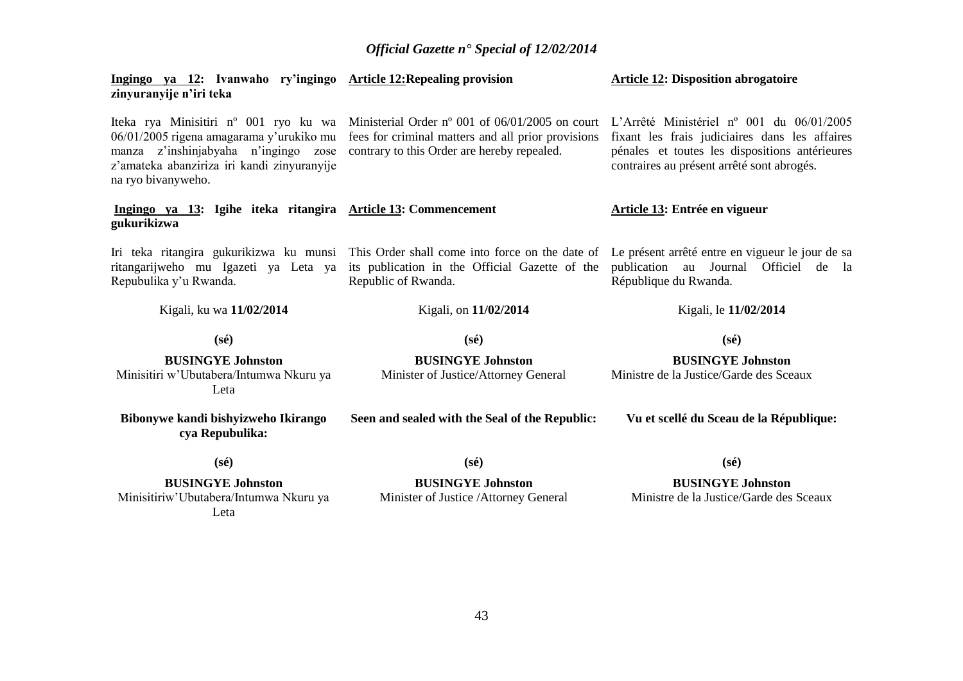| Ingingo ya 12: Ivanwaho ry'ingingo Article 12: Repealing provision<br>zinyuranyije n'iri teka                                                                                                  |                                                                                                                                                                                                                   | <b>Article 12: Disposition abrogatoire</b>                                                                                                                                                  |
|------------------------------------------------------------------------------------------------------------------------------------------------------------------------------------------------|-------------------------------------------------------------------------------------------------------------------------------------------------------------------------------------------------------------------|---------------------------------------------------------------------------------------------------------------------------------------------------------------------------------------------|
| Iteka rya Minisitiri nº 001 ryo ku wa<br>06/01/2005 rigena amagarama y'urukiko mu<br>manza z'inshinjabyaha n'ingingo zose<br>z'amateka abanziriza iri kandi zinyuranyije<br>na ryo bivanyweho. | Ministerial Order nº 001 of 06/01/2005 on court<br>fees for criminal matters and all prior provisions<br>contrary to this Order are hereby repealed.                                                              | L'Arrêté Ministériel nº 001 du 06/01/2005<br>fixant les frais judiciaires dans les affaires<br>pénales et toutes les dispositions antérieures<br>contraires au présent arrêté sont abrogés. |
| Ingingo ya 13: Igihe iteka ritangira Article 13: Commencement<br>gukurikizwa                                                                                                                   |                                                                                                                                                                                                                   | Article 13: Entrée en vigueur                                                                                                                                                               |
| ritangarijweho mu Igazeti ya Leta ya<br>Repubulika y'u Rwanda.                                                                                                                                 | Iri teka ritangira gukurikizwa ku munsi This Order shall come into force on the date of Le présent arrêté entre en vigueur le jour de sa<br>its publication in the Official Gazette of the<br>Republic of Rwanda. | publication au Journal Officiel de la<br>République du Rwanda.                                                                                                                              |
| Kigali, ku wa 11/02/2014                                                                                                                                                                       | Kigali, on 11/02/2014                                                                                                                                                                                             | Kigali, le 11/02/2014                                                                                                                                                                       |
| $(s\acute{e})$                                                                                                                                                                                 | $(s\acute{e})$                                                                                                                                                                                                    | $(s\acute{e})$                                                                                                                                                                              |
| <b>BUSINGYE Johnston</b><br>Minisitiri w'Ubutabera/Intumwa Nkuru ya<br>Leta                                                                                                                    | <b>BUSINGYE Johnston</b><br>Minister of Justice/Attorney General                                                                                                                                                  | <b>BUSINGYE Johnston</b><br>Ministre de la Justice/Garde des Sceaux                                                                                                                         |
| Bibonywe kandi bishyizweho Ikirango<br>cya Repubulika:                                                                                                                                         | Seen and sealed with the Seal of the Republic:                                                                                                                                                                    | Vu et scellé du Sceau de la République:                                                                                                                                                     |
| $(s\acute{e})$                                                                                                                                                                                 | $(s\acute{e})$                                                                                                                                                                                                    | $(s\acute{e})$                                                                                                                                                                              |
| <b>BUSINGYE Johnston</b><br>Minisitiriw'Ubutabera/Intumwa Nkuru ya                                                                                                                             | <b>BUSINGYE Johnston</b><br>Minister of Justice /Attorney General                                                                                                                                                 | <b>BUSINGYE Johnston</b><br>Ministre de la Justice/Garde des Sceaux                                                                                                                         |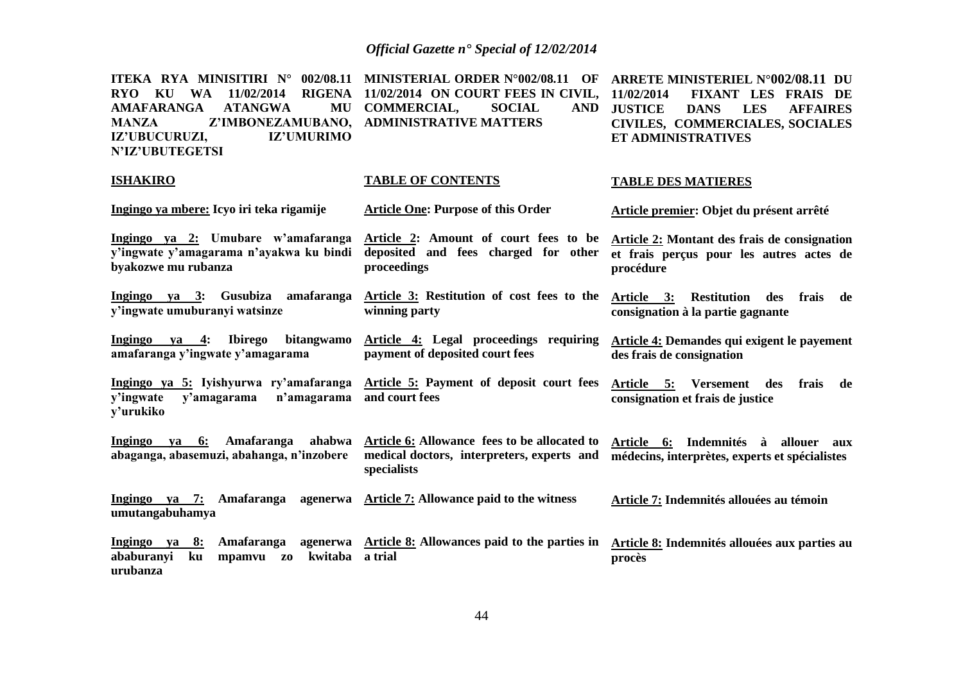**ITEKA RYA MINISITIRI N° 002/08.11 MINISTERIAL ORDER N°002/08.11 OF ARRETE MINISTERIEL N°002/08.11 DU RYO KU WA 11/02/2014 RIGENA 11/02/2014 ON COURT FEES IN CIVIL, 11/02/2014 FIXANT LES FRAIS DE AMAFARANGA ATANGWA MANZA Z'IMBONEZAMUBANO, ADMINISTRATIVE MATTERS IZ'UBUCURUZI, IZ'UMURIMO N'IZ'UBUTEGETSI** MU COMMERCIAL, SOCIAL **JUSTICE DANS LES AFFAIRES CIVILES, COMMERCIALES, SOCIALES ET ADMINISTRATIVES**

**TABLE DES MATIERES**

#### **ISHAKIRO**

#### **TABLE OF CONTENTS**

| Ingingo ya mbere: Icyo iri teka rigamije                                                                    | <b>Article One: Purpose of this Order</b>                                                                 | Article premier: Objet du présent arrêté                                                              |
|-------------------------------------------------------------------------------------------------------------|-----------------------------------------------------------------------------------------------------------|-------------------------------------------------------------------------------------------------------|
| Ingingo ya 2: Umubare w'amafaranga<br>y'ingwate y'amagarama n'ayakwa ku bindi<br>byakozwe mu rubanza        | Article 2: Amount of court fees to be<br>deposited and fees charged for other<br>proceedings              | Article 2: Montant des frais de consignation<br>et frais perçus pour les autres actes de<br>procédure |
| Ingingo ya 3: Gusubiza<br>amafaranga<br>y'ingwate umuburanyi watsinze                                       | Article 3: Restitution of cost fees to the<br>winning party                                               | Article 3: Restitution des<br>frais<br>de<br>consignation à la partie gagnante                        |
| Ingingo<br><b>Ibirego</b><br>bitangwamo<br>ya 4:<br>amafaranga y'ingwate y'amagarama                        | Article 4: Legal proceedings<br>requiring<br>payment of deposited court fees                              | Article 4: Demandes qui exigent le payement<br>des frais de consignation                              |
| Ingingo ya 5: Iyishyurwa ry'amafaranga<br>y'ingwate<br>n'amagarama<br>y'amagarama<br>y'urukiko              | Article 5: Payment of deposit court fees<br>and court fees                                                | Article 5: Versement<br>des<br>frais<br>de<br>consignation et frais de justice                        |
| Ingingo<br>ya 6: Amafaranga<br>ahabwa<br>abaganga, abasemuzi, abahanga, n'inzobere                          | Article 6: Allowance fees to be allocated to<br>medical doctors, interpreters, experts and<br>specialists | Article 6: Indemnités à allouer aux<br>médecins, interprètes, experts et spécialistes                 |
| Ingingo ya 7: Amafaranga agenerwa<br>umutangabuhamya                                                        | Article 7: Allowance paid to the witness                                                                  | Article 7: Indemnités allouées au témoin                                                              |
| Ingingo ya 8: Amafaranga<br>agenerwa<br>kwitaba<br>ababuranyi<br>ku<br>mpamvu<br>Z <sub>0</sub><br>urubanza | Article 8: Allowances paid to the parties in<br>a trial                                                   | Article 8: Indemnités allouées aux parties au<br>procès                                               |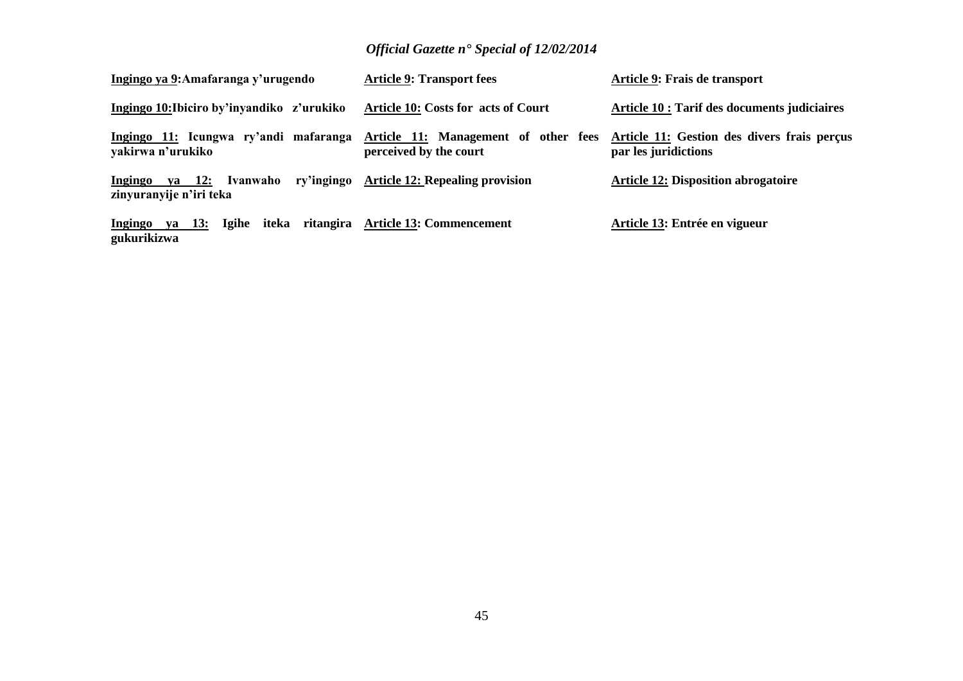| Ingingo ya 9: Amafaranga y'urugendo                          | <b>Article 9: Transport fees</b>                               | Article 9: Frais de transport                                       |
|--------------------------------------------------------------|----------------------------------------------------------------|---------------------------------------------------------------------|
| Ingingo 10: Ibiciro by'inyandiko z'urukiko                   | Article 10: Costs for acts of Court                            | Article 10 : Tarif des documents judiciaires                        |
| Ingingo 11: Icungwa ry'andi mafaranga<br>yakirwa n'urukiko   | Article 11: Management of other fees<br>perceived by the court | Article 11: Gestion des divers frais perçus<br>par les juridictions |
| <b>Ingingo</b><br>ya 12: Ivanwaho<br>zinyuranyije n'iri teka | ry'ingingo Article 12: Repealing provision                     | <b>Article 12: Disposition abrogatoire</b>                          |
| Ingingo<br>ya 13:<br>gukurikizwa                             | Igihe iteka ritangira Article 13: Commencement                 | Article 13: Entrée en vigueur                                       |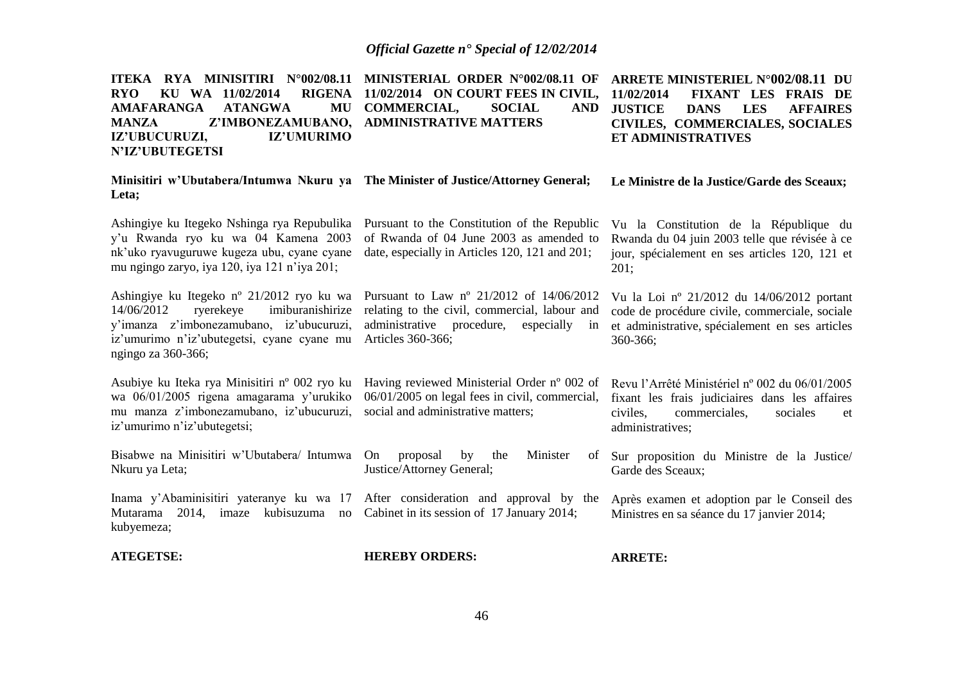| ITEKA RYA MINISITIRI N°002/08.11<br><b>RYO</b><br>KU WA 11/02/2014<br><b>RIGENA</b><br><b>ATANGWA</b><br><b>AMAFARANGA</b><br>MU<br><b>MANZA</b><br>Z'IMBONEZAMUBANO,<br>IZ'UBUCURUZI,<br>IZ'UMURIMO<br>N'IZ'UBUTEGETSI | MINISTERIAL ORDER N°002/08.11 OF<br>11/02/2014 ON COURT FEES IN CIVIL,<br><b>COMMERCIAL,</b><br><b>SOCIAL</b><br><b>AND</b><br><b>ADMINISTRATIVE MATTERS</b>    | <b>ARRETE MINISTERIEL N°002/08.11 DU</b><br>11/02/2014<br>FIXANT LES FRAIS DE<br><b>JUSTICE</b><br><b>LES</b><br><b>DANS</b><br><b>AFFAIRES</b><br>CIVILES, COMMERCIALES, SOCIALES<br>ET ADMINISTRATIVES |
|-------------------------------------------------------------------------------------------------------------------------------------------------------------------------------------------------------------------------|-----------------------------------------------------------------------------------------------------------------------------------------------------------------|----------------------------------------------------------------------------------------------------------------------------------------------------------------------------------------------------------|
| Minisitiri w'Ubutabera/Intumwa Nkuru ya The Minister of Justice/Attorney General;<br>Leta;                                                                                                                              |                                                                                                                                                                 | Le Ministre de la Justice/Garde des Sceaux;                                                                                                                                                              |
| Ashingiye ku Itegeko Nshinga rya Repubulika<br>y'u Rwanda ryo ku wa 04 Kamena 2003<br>nk'uko ryavuguruwe kugeza ubu, cyane cyane<br>mu ngingo zaryo, iya 120, iya 121 n'iya 201;                                        | Pursuant to the Constitution of the Republic<br>of Rwanda of 04 June 2003 as amended to<br>date, especially in Articles 120, 121 and 201;                       | Vu la Constitution de la République du<br>Rwanda du 04 juin 2003 telle que révisée à ce<br>jour, spécialement en ses articles 120, 121 et<br>201;                                                        |
| Ashingiye ku Itegeko nº 21/2012 ryo ku wa<br>ryerekeye<br>imiburanishirize<br>14/06/2012<br>y'imanza z'imbonezamubano, iz'ubucuruzi,<br>iz'umurimo n'iz'ubutegetsi, cyane cyane mu<br>ngingo za 360-366;                | Pursuant to Law nº 21/2012 of 14/06/2012<br>relating to the civil, commercial, labour and<br>administrative procedure,<br>especially<br>in<br>Articles 360-366; | Vu la Loi nº 21/2012 du 14/06/2012 portant<br>code de procédure civile, commerciale, sociale<br>et administrative, spécialement en ses articles<br>360-366;                                              |
| Asubiye ku Iteka rya Minisitiri n° 002 ryo ku<br>wa 06/01/2005 rigena amagarama y'urukiko<br>mu manza z'imbonezamubano, iz'ubucuruzi,<br>iz'umurimo n'iz'ubutegetsi;                                                    | Having reviewed Ministerial Order n° 002 of<br>06/01/2005 on legal fees in civil, commercial,<br>social and administrative matters;                             | Revu l'Arrêté Ministériel nº 002 du 06/01/2005<br>fixant les frais judiciaires dans les affaires<br>commerciales,<br>civiles,<br>sociales<br>et<br>administratives;                                      |
| Bisabwe na Minisitiri w'Ubutabera/ Intumwa On<br>Nkuru ya Leta;                                                                                                                                                         | proposal<br>by<br>Minister<br>the<br>of<br>Justice/Attorney General;                                                                                            | Sur proposition du Ministre de la Justice/<br>Garde des Sceaux;                                                                                                                                          |
| Inama y'Abaminisitiri yateranye ku wa 17<br>Mutarama 2014, imaze kubisuzuma<br>no<br>kubyemeza;                                                                                                                         | After consideration and approval by the<br>Cabinet in its session of 17 January 2014;                                                                           | Après examen et adoption par le Conseil des<br>Ministres en sa séance du 17 janvier 2014;                                                                                                                |
| <b>ATEGETSE:</b>                                                                                                                                                                                                        | <b>HEREBY ORDERS:</b>                                                                                                                                           | <b>ARRETE:</b>                                                                                                                                                                                           |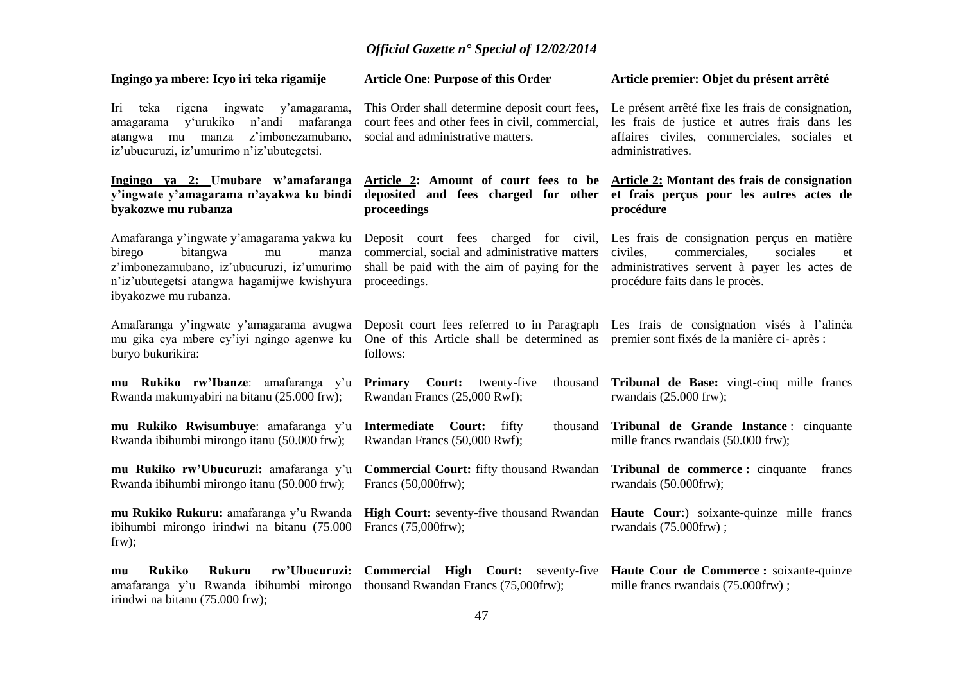| Ingingo ya mbere: Icyo iri teka rigamije                                                                                                                                                             | <b>Article One: Purpose of this Order</b>                                                                                                              | Article premier: Objet du présent arrêté                                                                                                                                         |
|------------------------------------------------------------------------------------------------------------------------------------------------------------------------------------------------------|--------------------------------------------------------------------------------------------------------------------------------------------------------|----------------------------------------------------------------------------------------------------------------------------------------------------------------------------------|
| rigena ingwate y'amagarama,<br>Iri<br>teka<br>amagarama y'urukiko n'andi mafaranga<br>z'imbonezamubano,<br>atangwa mu manza<br>iz'ubucuruzi, iz'umurimo n'iz'ubutegetsi.                             | This Order shall determine deposit court fees,<br>court fees and other fees in civil, commercial,<br>social and administrative matters.                | Le présent arrêté fixe les frais de consignation,<br>les frais de justice et autres frais dans les<br>affaires civiles, commerciales, sociales et<br>administratives.            |
| Ingingo ya 2: Umubare w'amafaranga<br>y'ingwate y'amagarama n'ayakwa ku bindi<br>byakozwe mu rubanza                                                                                                 | proceedings                                                                                                                                            | Article 2: Amount of court fees to be Article 2: Montant des frais de consignation<br>deposited and fees charged for other et frais perçus pour les autres actes de<br>procédure |
| Amafaranga y'ingwate y'amagarama yakwa ku<br>birego<br>bitangwa<br>mu<br>manza<br>z'imbonezamubano, iz'ubucuruzi, iz'umurimo<br>n'iz'ubutegetsi atangwa hagamijwe kwishyura<br>ibyakozwe mu rubanza. | Deposit court fees charged for civil,<br>commercial, social and administrative matters<br>shall be paid with the aim of paying for the<br>proceedings. | Les frais de consignation perçus en matière<br>civiles,<br>commerciales,<br>sociales<br>et<br>administratives servent à payer les actes de<br>procédure faits dans le procès.    |
| Amafaranga y'ingwate y'amagarama avugwa<br>mu gika cya mbere cy'iyi ngingo agenwe ku<br>buryo bukurikira:                                                                                            | One of this Article shall be determined as premier sont fixes de la manière ci-après :<br>follows:                                                     | Deposit court fees referred to in Paragraph Les frais de consignation visés à l'alinéa                                                                                           |
| mu Rukiko rw'Ibanze: amafaranga y'u<br>Rwanda makumyabiri na bitanu (25.000 frw);                                                                                                                    | <b>Primary</b><br><b>Court:</b> twenty-five<br>thousand<br>Rwandan Francs (25,000 Rwf);                                                                | Tribunal de Base: vingt-cinq mille francs<br>rwandais $(25.000$ frw);                                                                                                            |
| mu Rukiko Rwisumbuye: amafaranga y'u<br>Rwanda ibihumbi mirongo itanu (50.000 frw);                                                                                                                  | Intermediate Court: fifty<br>thousand<br>Rwandan Francs (50,000 Rwf);                                                                                  | Tribunal de Grande Instance : cinquante<br>mille francs rwandais (50.000 frw);                                                                                                   |
| mu Rukiko rw'Ubucuruzi: amafaranga y'u<br>Rwanda ibihumbi mirongo itanu (50.000 frw);                                                                                                                | <b>Commercial Court:</b> fifty thousand Rwandan<br>Francs (50,000frw);                                                                                 | Tribunal de commerce : cinquante<br>francs<br>rwandais (50.000frw);                                                                                                              |
| ibihumbi mirongo irindwi na bitanu (75.000<br>$f(x)$ ;                                                                                                                                               | Francs (75,000frw);                                                                                                                                    | mu Rukiko Rukuru: amafaranga y'u Rwanda High Court: seventy-five thousand Rwandan Haute Cour:) soixante-quinze mille francs<br>rwandais (75.000frw);                             |
| <b>Rukiko</b><br>rw'Ubucuruzi:<br><b>Rukuru</b><br>mu<br>amafaranga y'u Rwanda ibihumbi mirongo<br>irindwi na bitanu (75.000 frw);                                                                   | thousand Rwandan Francs (75,000frw);                                                                                                                   | <b>Commercial High Court:</b> seventy-five <b>Haute Cour de Commerce :</b> soixante-quinze<br>mille francs rwandais (75.000frw);                                                 |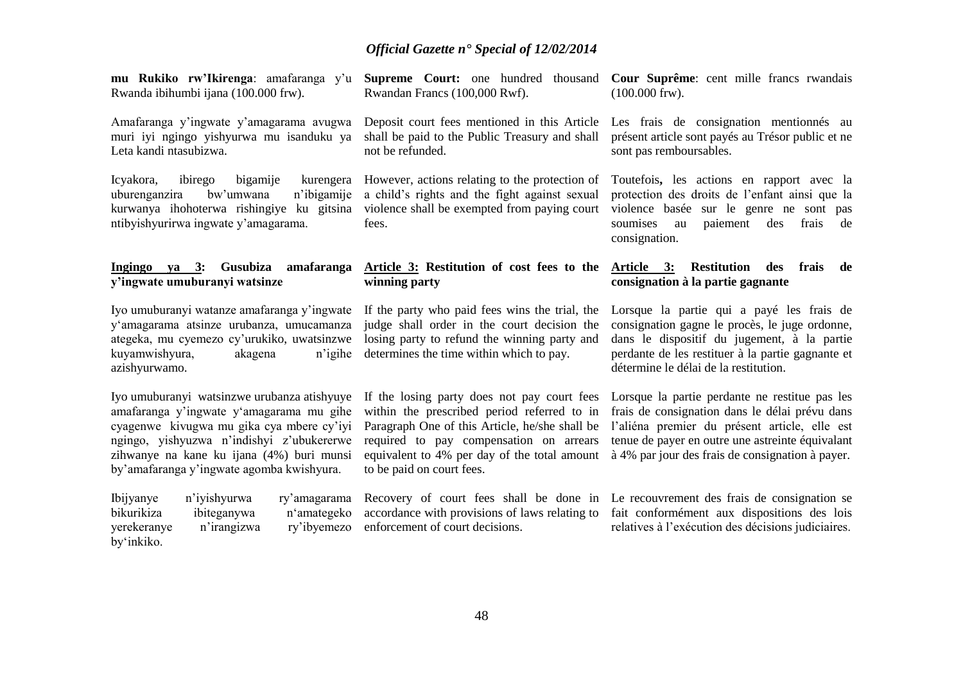| mu Rukiko rw'Ikirenga: amafaranga y'u<br>Rwanda ibihumbi ijana (100.000 frw).                                                                                                                                                                                               | Rwandan Francs (100,000 Rwf).                                                                                                                                                                                                                                        | <b>Supreme Court:</b> one hundred thousand <b>Cour Suprême</b> : cent mille francs rwandais<br>$(100.000$ frw).                                                                                                                                           |
|-----------------------------------------------------------------------------------------------------------------------------------------------------------------------------------------------------------------------------------------------------------------------------|----------------------------------------------------------------------------------------------------------------------------------------------------------------------------------------------------------------------------------------------------------------------|-----------------------------------------------------------------------------------------------------------------------------------------------------------------------------------------------------------------------------------------------------------|
| Amafaranga y'ingwate y'amagarama avugwa<br>muri iyi ngingo yishyurwa mu isanduku ya<br>Leta kandi ntasubizwa.                                                                                                                                                               | Deposit court fees mentioned in this Article<br>shall be paid to the Public Treasury and shall<br>not be refunded.                                                                                                                                                   | Les frais de consignation mentionnés au<br>présent article sont payés au Trésor public et ne<br>sont pas remboursables.                                                                                                                                   |
| Icyakora,<br>ibirego<br>bigamije<br>kurengera<br>n'ibigamije<br>bw'umwana<br>uburenganzira<br>kurwanya ihohoterwa rishingiye ku gitsina<br>ntibyishyurirwa ingwate y'amagarama.                                                                                             | However, actions relating to the protection of<br>a child's rights and the fight against sexual<br>violence shall be exempted from paying court<br>fees.                                                                                                             | Toutefois, les actions en rapport avec la<br>protection des droits de l'enfant ainsi que la<br>violence basée sur le genre ne sont pas<br>soumises<br>paiement<br>des<br>frais<br>de<br>au<br>consignation.                                               |
| Ingingo ya 3:<br><b>Gusubiza</b><br>amafaranga<br>y'ingwate umuburanyi watsinze                                                                                                                                                                                             | Article 3: Restitution of cost fees to the<br>winning party                                                                                                                                                                                                          | Article 3:<br><b>Restitution</b><br>des<br>frais<br>de<br>consignation à la partie gagnante                                                                                                                                                               |
| Iyo umuburanyi watanze amafaranga y'ingwate<br>y'amagarama atsinze urubanza, umucamanza<br>ategeka, mu cyemezo cy'urukiko, uwatsinzwe<br>kuyamwishyura,<br>akagena<br>n'igihe<br>azishyurwamo.                                                                              | If the party who paid fees wins the trial, the<br>judge shall order in the court decision the<br>losing party to refund the winning party and<br>determines the time within which to pay.                                                                            | Lorsque la partie qui a payé les frais de<br>consignation gagne le procès, le juge ordonne,<br>dans le dispositif du jugement, à la partie<br>perdante de les restituer à la partie gagnante et<br>détermine le délai de la restitution.                  |
| Iyo umuburanyi watsinzwe urubanza atishyuye<br>amafaranga y'ingwate y'amagarama mu gihe<br>cyagenwe kivugwa mu gika cya mbere cy'iyi<br>ngingo, yishyuzwa n'indishyi z'ubukererwe<br>zihwanye na kane ku ijana (4%) buri munsi<br>by'amafaranga y'ingwate agomba kwishyura. | If the losing party does not pay court fees<br>within the prescribed period referred to in<br>Paragraph One of this Article, he/she shall be<br>required to pay compensation on arrears<br>equivalent to 4% per day of the total amount<br>to be paid on court fees. | Lorsque la partie perdante ne restitue pas les<br>frais de consignation dans le délai prévu dans<br>l'aliéna premier du présent article, elle est<br>tenue de payer en outre une astreinte équivalant<br>à 4% par jour des frais de consignation à payer. |
| <b>Ibijyanye</b><br>n'iyishyurwa<br>ry'amagarama<br>bikurikiza<br>ibiteganywa<br>n'amategeko<br>yerekeranye<br>n'irangizwa<br>ry'ibyemezo<br>by'inkiko.                                                                                                                     | accordance with provisions of laws relating to<br>enforcement of court decisions.                                                                                                                                                                                    | Recovery of court fees shall be done in Le recouvrement des frais de consignation se<br>fait conformément aux dispositions des lois<br>relatives à l'exécution des décisions judiciaires.                                                                 |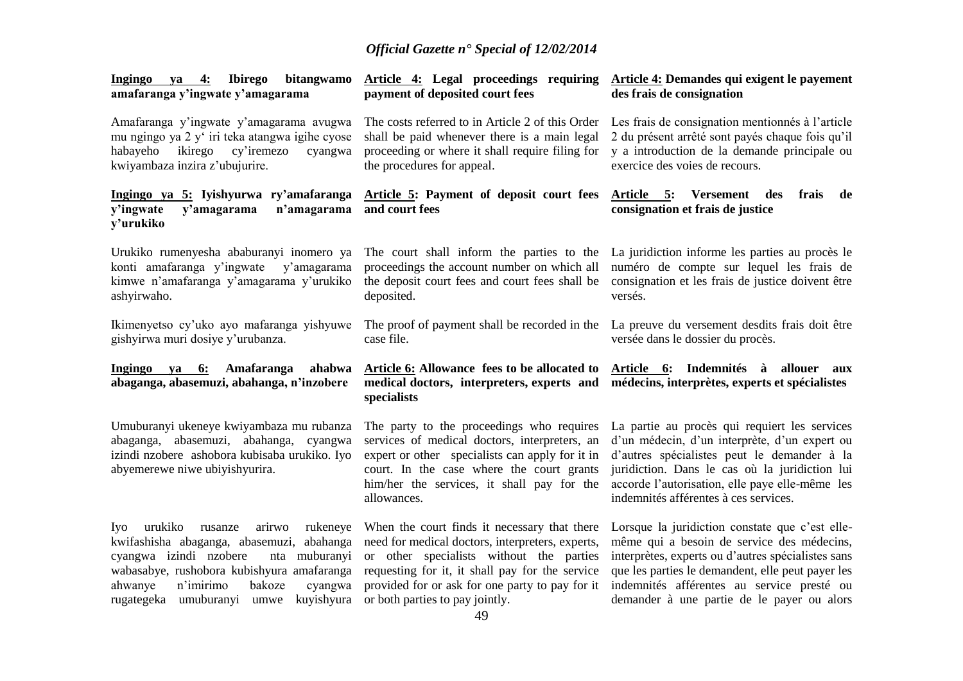| bitangwamo<br>Ingingo<br><u>4:</u><br><b>Ibirego</b><br>ya<br>amafaranga y'ingwate y'amagarama                                                                                                                                                                                    | Article 4: Legal proceedings requiring<br>payment of deposited court fees                                                                                                                                                                                                             | Article 4: Demandes qui exigent le payement<br>des frais de consignation                                                                                                                                                                                                                             |
|-----------------------------------------------------------------------------------------------------------------------------------------------------------------------------------------------------------------------------------------------------------------------------------|---------------------------------------------------------------------------------------------------------------------------------------------------------------------------------------------------------------------------------------------------------------------------------------|------------------------------------------------------------------------------------------------------------------------------------------------------------------------------------------------------------------------------------------------------------------------------------------------------|
| Amafaranga y'ingwate y'amagarama avugwa<br>mu ngingo ya 2 y' iri teka atangwa igihe cyose<br>ikirego<br>habayeho<br>cy'iremezo<br>cyangwa<br>kwiyambaza inzira z'ubujurire.                                                                                                       | The costs referred to in Article 2 of this Order<br>shall be paid whenever there is a main legal<br>proceeding or where it shall require filing for<br>the procedures for appeal.                                                                                                     | Les frais de consignation mentionnés à l'article<br>2 du présent arrêté sont payés chaque fois qu'il<br>y a introduction de la demande principale ou<br>exercice des voies de recours.                                                                                                               |
| Ingingo ya 5: Iyishyurwa ry'amafaranga<br>y'ingwate<br>y'amagarama<br>n'amagarama<br>y'urukiko                                                                                                                                                                                    | Article 5: Payment of deposit court fees<br>and court fees                                                                                                                                                                                                                            | Article 5: Versement des<br>frais<br>de<br>consignation et frais de justice                                                                                                                                                                                                                          |
| Urukiko rumenyesha ababuranyi inomero ya<br>konti amafaranga y'ingwate<br>y'amagarama<br>kimwe n'amafaranga y'amagarama y'urukiko<br>ashyirwaho.                                                                                                                                  | The court shall inform the parties to the<br>proceedings the account number on which all<br>the deposit court fees and court fees shall be<br>deposited.                                                                                                                              | La juridiction informe les parties au procès le<br>numéro de compte sur lequel les frais de<br>consignation et les frais de justice doivent être<br>versés.                                                                                                                                          |
| Ikimenyetso cy'uko ayo mafaranga yishyuwe<br>gishyirwa muri dosiye y'urubanza.                                                                                                                                                                                                    | The proof of payment shall be recorded in the<br>case file.                                                                                                                                                                                                                           | La preuve du versement desdits frais doit être<br>versée dans le dossier du procès.                                                                                                                                                                                                                  |
| Ingingo ya 6: Amafaranga<br>ahabwa<br>abaganga, abasemuzi, abahanga, n'inzobere                                                                                                                                                                                                   | Article 6: Allowance fees to be allocated to Article 6: Indemnités à allouer<br>specialists                                                                                                                                                                                           | aux<br>medical doctors, interpreters, experts and médecins, interprètes, experts et spécialistes                                                                                                                                                                                                     |
| Umuburanyi ukeneye kwiyambaza mu rubanza<br>abaganga, abasemuzi, abahanga, cyangwa<br>izindi nzobere ashobora kubisaba urukiko. Iyo<br>abyemerewe niwe ubiyishyurira.                                                                                                             | The party to the proceedings who requires<br>services of medical doctors, interpreters, an<br>expert or other specialists can apply for it in<br>court. In the case where the court grants<br>him/her the services, it shall pay for the<br>allowances.                               | La partie au procès qui requiert les services<br>d'un médecin, d'un interprète, d'un expert ou<br>d'autres spécialistes peut le demander à la<br>juridiction. Dans le cas où la juridiction lui<br>accorde l'autorisation, elle paye elle-même les<br>indemnités afférentes à ces services.          |
| rukeneye<br>urukiko<br>arirwo<br>Iyo<br>rusanze<br>kwifashisha abaganga, abasemuzi,<br>abahanga<br>cyangwa izindi nzobere<br>nta muburanyi<br>wabasabye, rushobora kubishyura amafaranga<br>n'imirimo<br>ahwanye<br>bakoze<br>cyangwa<br>rugategeka umuburanyi umwe<br>kuyishyura | When the court finds it necessary that there<br>need for medical doctors, interpreters, experts,<br>or other specialists without the parties<br>requesting for it, it shall pay for the service<br>provided for or ask for one party to pay for it<br>or both parties to pay jointly. | Lorsque la juridiction constate que c'est elle-<br>même qui a besoin de service des médecins,<br>interprètes, experts ou d'autres spécialistes sans<br>que les parties le demandent, elle peut payer les<br>indemnités afférentes au service presté ou<br>demander à une partie de le payer ou alors |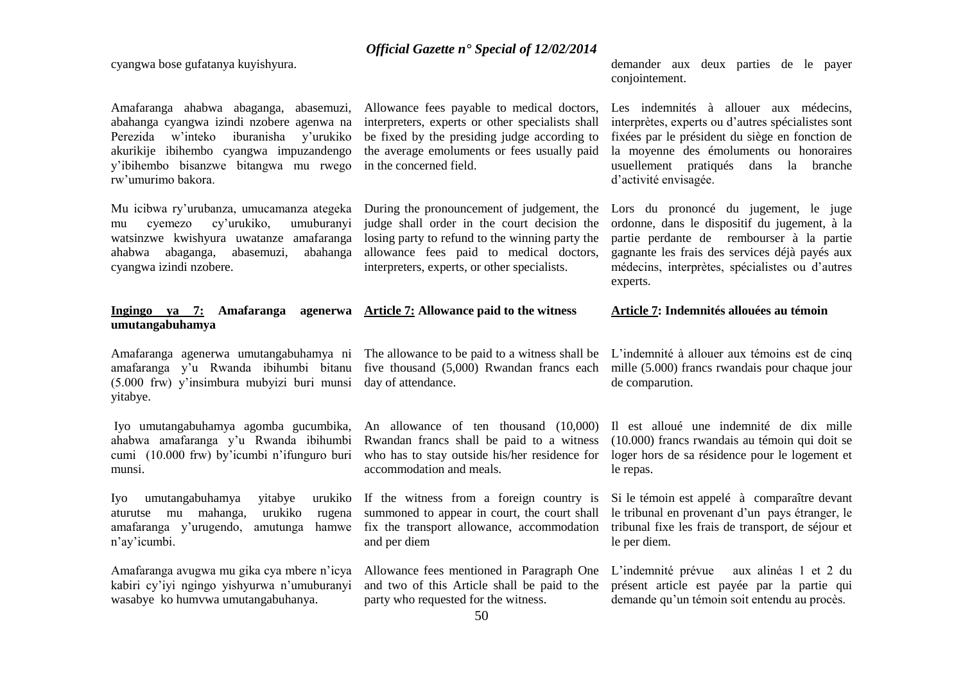cyangwa bose gufatanya kuyishyura.

Amafaranga ahabwa abaganga, abasemuzi, Allowance fees payable to medical doctors, abahanga cyangwa izindi nzobere agenwa na Perezida w'inteko iburanisha y'urukiko be fixed by the presiding judge according to akurikije ibihembo cyangwa impuzandengo y'ibihembo bisanzwe bitangwa mu rwego rw'umurimo bakora.

mu cyemezo cy'urukiko, umuburanyi judge shall order in the court decision the watsinzwe kwishyura uwatanze amafaranga losing party to refund to the winning party the ahabwa abaganga, abasemuzi, cyangwa izindi nzobere.

#### **Ingingo ya 7: Amafaranga agenerwa Article 7: Allowance paid to the witness umutangabuhamya**

amafaranga y'u Rwanda ibihumbi bitanu five thousand (5,000) Rwandan francs each (5.000 frw) y'insimbura mubyizi buri munsi day of attendance. yitabye.

ahabwa amafaranga y'u Rwanda ibihumbi cumi (10.000 frw) by'icumbi n'ifunguro buri munsi.

Iyo umutangabuhamya yitabye aturutse mu mahanga, urukiko n'ay'icumbi.

Amafaranga avugwa mu gika cya mbere n'icya Allowance fees mentioned in Paragraph One kabiri cy'iyi ngingo yishyurwa n'umuburanyi wasabye ko humvwa umutangabuhanya.

interpreters, experts or other specialists shall the average emoluments or fees usually paid in the concerned field.

allowance fees paid to medical doctors, interpreters, experts, or other specialists.

demander aux deux parties de le payer conjointement.

Les indemnités à allouer aux médecins, interprètes, experts ou d'autres spécialistes sont fixées par le président du siège en fonction de la moyenne des émoluments ou honoraires usuellement pratiqués dans la branche d'activité envisagée.

Mu icibwa ry'urubanza, umucamanza ategeka During the pronouncement of judgement, the Lors du prononcé du jugement, le juge ordonne, dans le dispositif du jugement, à la partie perdante de rembourser à la partie gagnante les frais des services déjà payés aux médecins, interprètes, spécialistes ou d'autres experts.

**Article 7: Indemnités allouées au témoin**

Amafaranga agenerwa umutangabuhamya ni The allowance to be paid to a witness shall be L'indemnité à allouer aux témoins est de cinq mille (5.000) francs rwandais pour chaque jour de comparution.

Iyo umutangabuhamya agomba gucumbika, An allowance of ten thousand (10,000) Il est alloué une indemnité de dix mille Rwandan francs shall be paid to a witness who has to stay outside his/her residence for loger hors de sa résidence pour le logement et (10.000) francs rwandais au témoin qui doit se le repas.

amafaranga y'urugendo, amutunga hamwe fix the transport allowance, accommodation tribunal fixe les frais de transport, de séjour et If the witness from a foreign country is Si le témoin est appelé à comparaître devant summoned to appear in court, the court shall le tribunal en provenant d'un pays étranger, le le per diem.

> L'indemnité prévue aux alinéas 1 et 2 du présent article est payée par la partie qui demande qu'un témoin soit entendu au procès.

party who requested for the witness.

and two of this Article shall be paid to the

accommodation and meals.

and per diem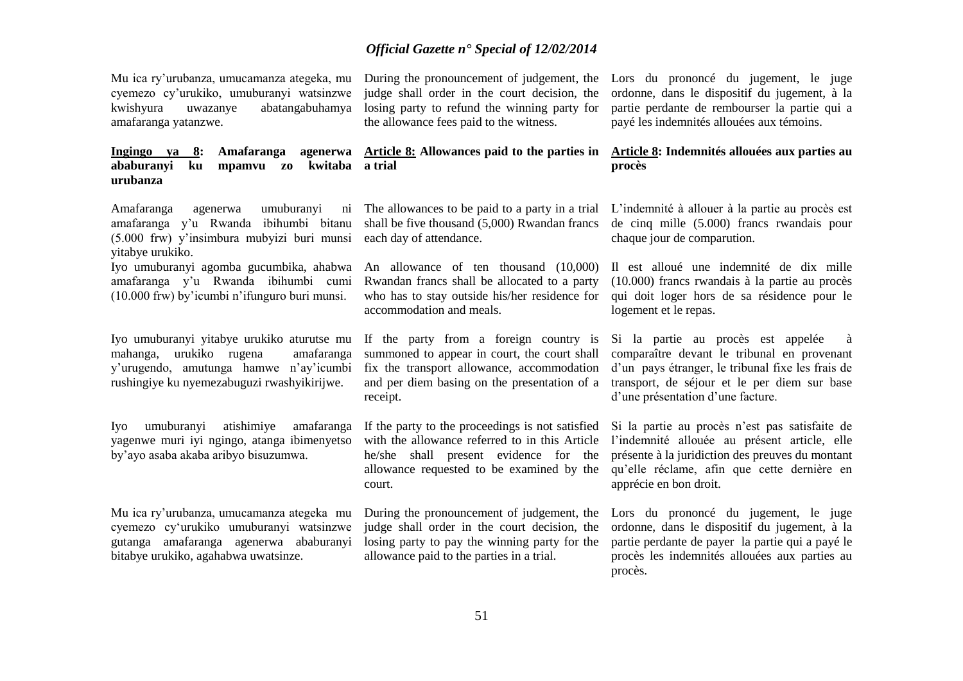Mu ica ry'urubanza, umucamanza ategeka, mu cyemezo cy'urukiko, umuburanyi watsinzwe abatangabuhamya amafaranga yatanzwe.

### **ababuranyi ku mpamvu zo kwitaba urubanza**

Amafaranga agenerwa umuburanyi amafaranga y'u Rwanda ibihumbi bitanu (5.000 frw) y'insimbura mubyizi buri munsi each day of attendance. yitabye urukiko.

Iyo umuburanyi agomba gucumbika, ahabwa amafaranga y'u Rwanda ibihumbi cumi (10.000 frw) by'icumbi n'ifunguro buri munsi.

Iyo umuburanyi yitabye urukiko aturutse mu mahanga, urukiko rugena amafaranga y'urugendo, amutunga hamwe n'ay'icumbi rushingiye ku nyemezabuguzi rwashyikirijwe.

Iyo umuburanyi atishimiye amafaranga yagenwe muri iyi ngingo, atanga ibimenyetso by'ayo asaba akaba aribyo bisuzumwa.

Mu ica ry'urubanza, umucamanza ategeka mu cyemezo cy'urukiko umuburanyi watsinzwe gutanga amafaranga agenerwa ababuranyi bitabye urukiko, agahabwa uwatsinze.

judge shall order in the court decision, the losing party to refund the winning party for the allowance fees paid to the witness.

#### **Ingingo ya 8: Amafaranga agenerwa Article 8: Allowances paid to the parties in a trial**

shall be five thousand  $(5,000)$  Rwandan francs

accommodation and meals.

receipt.

If the party to the proceedings is not satisfied with the allowance referred to in this Article he/she shall present evidence for the allowance requested to be examined by the court.

judge shall order in the court decision, the losing party to pay the winning party for the allowance paid to the parties in a trial.

During the pronouncement of judgement, the Lors du prononcé du jugement, le juge ordonne, dans le dispositif du jugement, à la partie perdante de rembourser la partie qui a payé les indemnités allouées aux témoins.

#### **Article 8: Indemnités allouées aux parties au procès**

The allowances to be paid to a party in a trial L'indemnité à allouer à la partie au procès est de cinq mille (5.000) francs rwandais pour chaque jour de comparution.

An allowance of ten thousand (10,000) Il est alloué une indemnité de dix mille Rwandan francs shall be allocated to a party (10.000) francs rwandais à la partie au procès who has to stay outside his/her residence for qui doit loger hors de sa résidence pour le logement et le repas.

If the party from a foreign country is Si la partie au procès est appelée à summoned to appear in court, the court shall comparaître devant le tribunal en provenant fix the transport allowance, accommodation d'un pays étranger, le tribunal fixe les frais de and per diem basing on the presentation of a transport, de séjour et le per diem sur base d'une présentation d'une facture.

> Si la partie au procès n'est pas satisfaite de l'indemnité allouée au présent article, elle présente à la juridiction des preuves du montant qu'elle réclame, afin que cette dernière en apprécie en bon droit.

During the pronouncement of judgement, the Lors du prononcé du jugement, le juge ordonne, dans le dispositif du jugement, à la partie perdante de payer la partie qui a payé le procès les indemnités allouées aux parties au procès.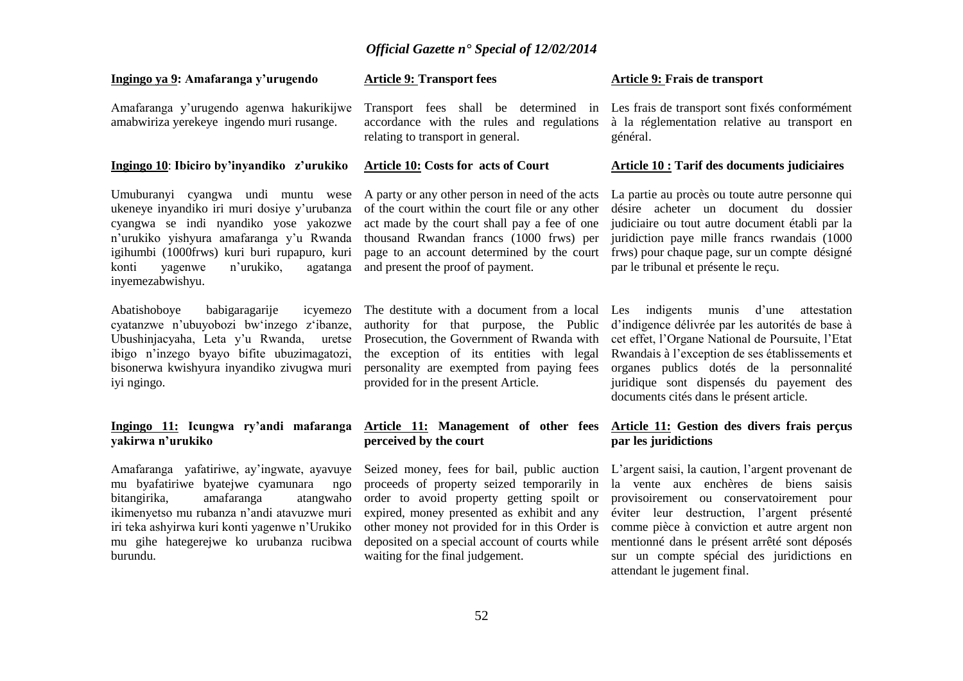#### **Article 9: Transport fees**

*Official Gazette n° Special of 12/02/2014*

**Ingingo ya 9: Amafaranga y'urugendo** 

Amafaranga y'urugendo agenwa hakurikijwe amabwiriza yerekeye ingendo muri rusange.

#### **Ingingo 10**: **Ibiciro by'inyandiko z'urukiko**

Umuburanyi cyangwa undi muntu wese ukeneye inyandiko iri muri dosiye y'urubanza cyangwa se indi nyandiko yose yakozwe n'urukiko yishyura amafaranga y'u Rwanda igihumbi (1000frws) kuri buri rupapuro, kuri konti yagenwe n'urukiko, agatanga inyemezabwishyu.

Abatishoboye babigaragarije icyemezo cyatanzwe n'ubuyobozi bw'inzego z'ibanze, Ubushinjacyaha, Leta y'u Rwanda, uretse ibigo n'inzego byayo bifite ubuzimagatozi, bisonerwa kwishyura inyandiko zivugwa muri iyi ngingo.

#### **Ingingo 11: Icungwa ry'andi mafaranga yakirwa n'urukiko**

Amafaranga yafatiriwe, ay'ingwate, ayavuye mu byafatiriwe byatejwe cyamunara ngo bitangirika, amafaranga atangwaho ikimenyetso mu rubanza n'andi atavuzwe muri iri teka ashyirwa kuri konti yagenwe n'Urukiko mu gihe hategerejwe ko urubanza rucibwa burundu.

accordance with the rules and regulations relating to transport in general.

#### **Article 10: Costs for acts of Court**

A party or any other person in need of the acts of the court within the court file or any other act made by the court shall pay a fee of one thousand Rwandan francs (1000 frws) per and present the proof of payment.

provided for in the present Article.

# **perceived by the court**

proceeds of property seized temporarily in waiting for the final judgement.

#### **Article 9: Frais de transport**

Transport fees shall be determined in Les frais de transport sont fixés conformément à la réglementation relative au transport en général.

#### **Article 10 : Tarif des documents judiciaires**

page to an account determined by the court frws) pour chaque page, sur un compte désigné La partie au procès ou toute autre personne qui désire acheter un document du dossier judiciaire ou tout autre document établi par la juridiction paye mille francs rwandais (1000 par le tribunal et présente le reçu.

The destitute with a document from a local Les indigents munis d'une attestation authority for that purpose, the Public d'indigence délivrée par les autorités de base à Prosecution, the Government of Rwanda with cet effet, l'Organe National de Poursuite, l'Etat the exception of its entities with legal Rwandais à l'exception de ses établissements et personality are exempted from paying fees organes publics dotés de la personnalité juridique sont dispensés du payement des documents cités dans le présent article.

#### **Article 11: Management of other fees Article 11: Gestion des divers frais perçus par les juridictions**

Seized money, fees for bail, public auction L'argent saisi, la caution, l'argent provenant de order to avoid property getting spoilt or provisoirement ou conservatoirement pour expired, money presented as exhibit and any éviter leur destruction, l'argent présenté other money not provided for in this Order is comme pièce à conviction et autre argent non deposited on a special account of courts while mentionné dans le présent arrêté sont déposés la vente aux enchères de biens saisis sur un compte spécial des juridictions en attendant le jugement final.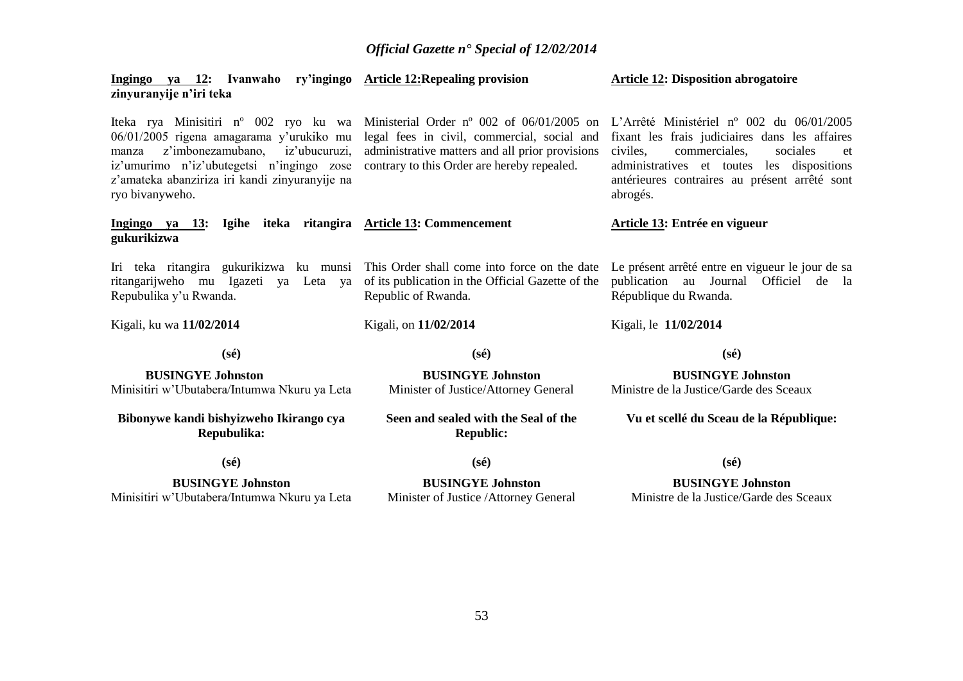| Ingingo ya 12: Ivanwaho ry'ingingo Article 12: Repealing provision<br>zinyuranyije n'iri teka                                                                                                                                                                  |                                                                                                                                                                                                     | <b>Article 12: Disposition abrogatoire</b>                                                                                                                                                                                                                    |
|----------------------------------------------------------------------------------------------------------------------------------------------------------------------------------------------------------------------------------------------------------------|-----------------------------------------------------------------------------------------------------------------------------------------------------------------------------------------------------|---------------------------------------------------------------------------------------------------------------------------------------------------------------------------------------------------------------------------------------------------------------|
| Iteka rya Minisitiri n <sup>o</sup> 002 ryo ku wa<br>06/01/2005 rigena amagarama y'urukiko mu<br>z'imbonezamubano,<br>iz'ubucuruzi,<br>manza<br>iz'umurimo n'iz'ubutegetsi n'ingingo zose<br>z'amateka abanziriza iri kandi zinyuranyije na<br>ryo bivanyweho. | Ministerial Order $n^{\circ}$ 002 of 06/01/2005 on<br>legal fees in civil, commercial, social and<br>administrative matters and all prior provisions<br>contrary to this Order are hereby repealed. | L'Arrêté Ministériel n° 002 du $06/01/2005$<br>fixant les frais judiciaires dans les affaires<br>civiles,<br>commerciales,<br>sociales<br>et<br>administratives et toutes<br>les<br>dispositions<br>antérieures contraires au présent arrêté sont<br>abrogés. |
| Ingingo ya 13: Igihe iteka ritangira Article 13: Commencement<br>gukurikizwa                                                                                                                                                                                   |                                                                                                                                                                                                     | Article 13: Entrée en vigueur                                                                                                                                                                                                                                 |
| Iri teka ritangira gukurikizwa ku munsi<br>ritangarijweho mu Igazeti<br>ya Leta<br>ya<br>Repubulika y'u Rwanda.                                                                                                                                                | This Order shall come into force on the date<br>of its publication in the Official Gazette of the<br>Republic of Rwanda.                                                                            | Le présent arrêté entre en vigueur le jour de sa<br>publication au Journal<br>Officiel<br>de la<br>République du Rwanda.                                                                                                                                      |
| Kigali, ku wa 11/02/2014                                                                                                                                                                                                                                       | Kigali, on 11/02/2014                                                                                                                                                                               | Kigali, le 11/02/2014                                                                                                                                                                                                                                         |
| $(s\acute{e})$                                                                                                                                                                                                                                                 | $(s\acute{e})$                                                                                                                                                                                      | $(s\acute{e})$                                                                                                                                                                                                                                                |
| <b>BUSINGYE Johnston</b>                                                                                                                                                                                                                                       | <b>BUSINGYE Johnston</b>                                                                                                                                                                            | <b>BUSINGYE Johnston</b>                                                                                                                                                                                                                                      |
| Minisitiri w'Ubutabera/Intumwa Nkuru ya Leta                                                                                                                                                                                                                   | Minister of Justice/Attorney General                                                                                                                                                                | Ministre de la Justice/Garde des Sceaux                                                                                                                                                                                                                       |
| Bibonywe kandi bishyizweho Ikirango cya<br>Repubulika:                                                                                                                                                                                                         | Seen and sealed with the Seal of the<br><b>Republic:</b>                                                                                                                                            | Vu et scellé du Sceau de la République:                                                                                                                                                                                                                       |
| $(s\acute{e})$                                                                                                                                                                                                                                                 | $(s\acute{e})$                                                                                                                                                                                      | $(s\acute{e})$                                                                                                                                                                                                                                                |
| <b>BUSINGYE Johnston</b><br>Minisitiri w'Ubutabera/Intumwa Nkuru ya Leta                                                                                                                                                                                       | <b>BUSINGYE Johnston</b><br>Minister of Justice / Attorney General                                                                                                                                  | <b>BUSINGYE Johnston</b><br>Ministre de la Justice/Garde des Sceaux                                                                                                                                                                                           |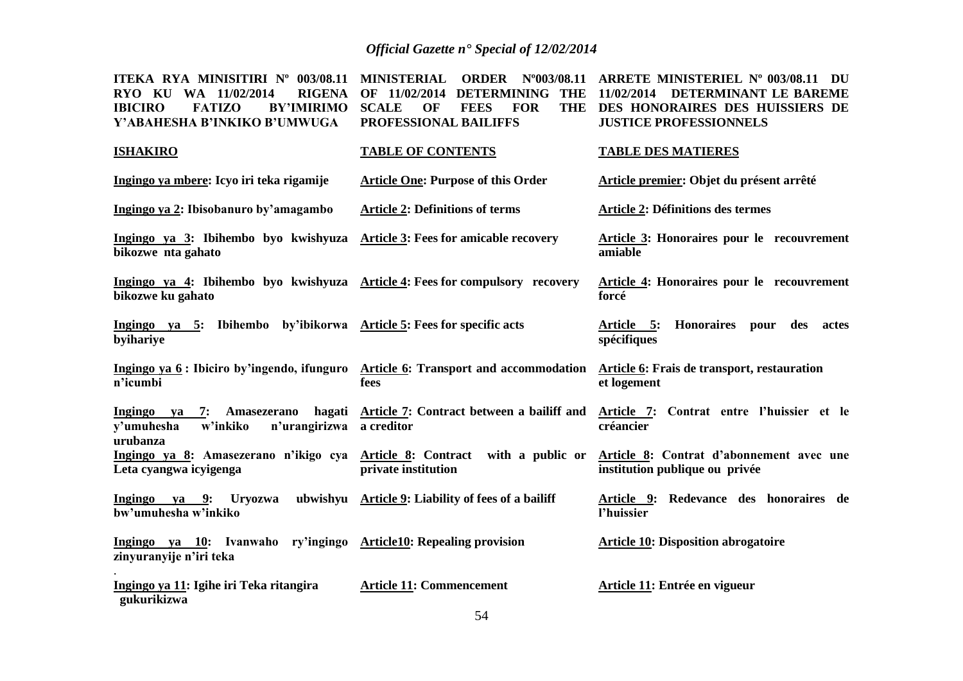| ITEKA RYA MINISITIRI Nº 003/08.11<br><b>RIGENA</b><br>KU<br>11/02/2014<br><b>RYO</b><br><b>WA</b><br><b>IBICIRO</b><br><b>FATIZO</b><br><b>BY'IMIRIMO</b><br>Y'ABAHESHA B'INKIKO B'UMWUGA | <b>MINISTERIAL</b><br><b>ORDER</b><br>$N^{\circ}003/08.11$<br>11/02/2014<br><b>DETERMINING</b><br><b>THE</b><br><b>SCALE</b><br>OF<br><b>FEES</b><br><b>FOR</b><br><b>THE</b><br>PROFESSIONAL BAILIFFS | ARRETE MINISTERIEL Nº 003/08.11 DU<br>11/02/2014<br>DETERMINANT LE BAREME<br>DES HONORAIRES DES HUISSIERS DE<br><b>JUSTICE PROFESSIONNELS</b> |
|-------------------------------------------------------------------------------------------------------------------------------------------------------------------------------------------|--------------------------------------------------------------------------------------------------------------------------------------------------------------------------------------------------------|-----------------------------------------------------------------------------------------------------------------------------------------------|
| <b>ISHAKIRO</b>                                                                                                                                                                           | <b>TABLE OF CONTENTS</b>                                                                                                                                                                               | <b>TABLE DES MATIERES</b>                                                                                                                     |
| Ingingo ya mbere: Icyo iri teka rigamije                                                                                                                                                  | <b>Article One: Purpose of this Order</b>                                                                                                                                                              | Article premier: Objet du présent arrêté                                                                                                      |
| Ingingo ya 2: Ibisobanuro by'amagambo                                                                                                                                                     | <b>Article 2: Definitions of terms</b>                                                                                                                                                                 | Article 2: Définitions des termes                                                                                                             |
| Ingingo ya 3: Ibihembo byo kwishyuza<br>bikozwe nta gahato                                                                                                                                | <b>Article 3: Fees for amicable recovery</b>                                                                                                                                                           | <b>Article 3: Honoraires pour le recouvrement</b><br>amiable                                                                                  |
| Ingingo ya 4: Ibihembo byo kwishyuza Article 4: Fees for compulsory recovery<br>bikozwe ku gahato                                                                                         |                                                                                                                                                                                                        | Article 4: Honoraires pour le recouvrement<br>forcé                                                                                           |
| Ingingo ya 5: Ibihembo by'ibikorwa Article 5: Fees for specific acts<br>byihariye                                                                                                         |                                                                                                                                                                                                        | <b>Honoraires</b><br>Article 5:<br>pour<br>des<br>actes<br>spécifiques                                                                        |
| Ingingo ya 6: Ibiciro by'ingendo, ifunguro<br>n'icumbi                                                                                                                                    | Article 6: Transport and accommodation<br>fees                                                                                                                                                         | Article 6: Frais de transport, restauration<br>et logement                                                                                    |
| hagati<br>Ingingo ya<br>7:<br>Amasezerano<br>n'urangirizwa<br>y'umuhesha<br>w'inkiko<br>urubanza                                                                                          | Article 7: Contract between a bailiff and<br>a creditor                                                                                                                                                | Article 7: Contrat entre l'huissier et le<br>créancier                                                                                        |
| Ingingo ya 8: Amasezerano n'ikigo cya Article 8: Contract<br>Leta cyangwa icyigenga                                                                                                       | with a public or<br>private institution                                                                                                                                                                | Article 8: Contrat d'abonnement avec une<br>institution publique ou privée                                                                    |
| Uryozwa<br>Ingingo<br>9:<br>va<br>bw'umuhesha w'inkiko                                                                                                                                    | ubwishyu Article 9: Liability of fees of a bailiff                                                                                                                                                     | Article 9: Redevance des honoraires de<br>l'huissier                                                                                          |
| Ingingo ya 10: Ivanwaho ry'ingingo<br>zinyuranyije n'iri teka                                                                                                                             | <b>Article10: Repealing provision</b>                                                                                                                                                                  | <b>Article 10: Disposition abrogatoire</b>                                                                                                    |
| Ingingo ya 11: Igihe iri Teka ritangira<br>gukurikizwa                                                                                                                                    | <b>Article 11: Commencement</b>                                                                                                                                                                        | Article 11: Entrée en vigueur                                                                                                                 |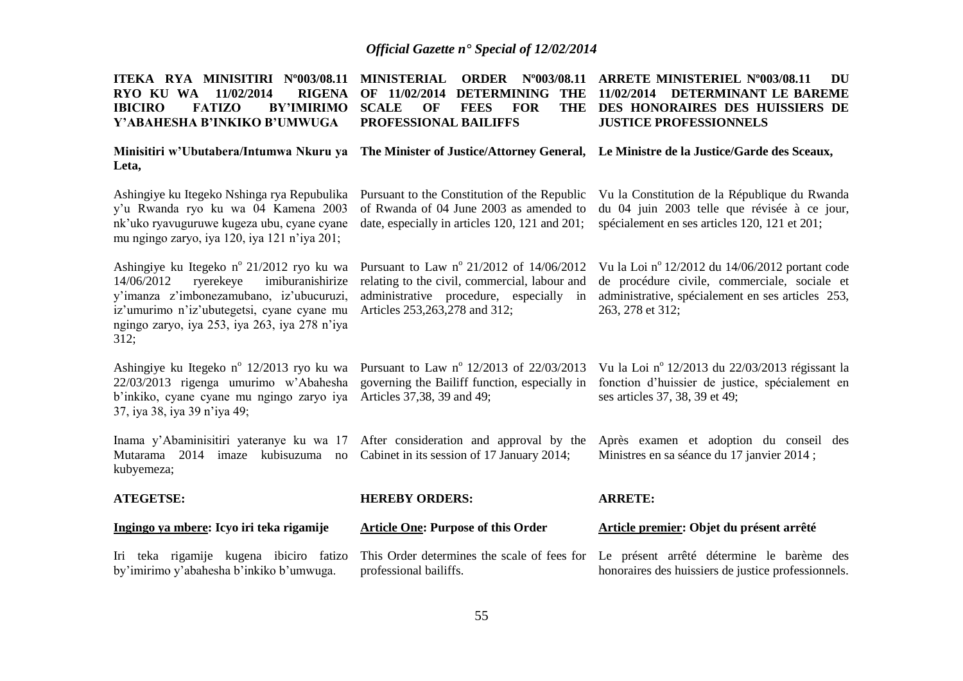| ITEKA RYA MINISITIRI N°003/08.11<br>11/02/2014<br><b>RIGENA</b><br><b>RYO KU WA</b><br><b>IBICIRO</b><br><b>FATIZO</b><br><b>BY'IMIRIMO</b><br>Y'ABAHESHA B'INKIKO B'UMWUGA                                                                 | <b>MINISTERIAL</b><br><b>ORDER</b><br>$N^{\rm o}003/08.11$<br>OF 11/02/2014<br><b>DETERMINING</b><br>THE<br><b>SCALE</b><br>OF<br><b>FEES</b><br><b>FOR</b><br><b>THE</b><br>PROFESSIONAL BAILIFFS | <b>ARRETE MINISTERIEL N°003/08.11</b><br>DU<br>11/02/2014<br>DETERMINANT LE BAREME<br>DES HONORAIRES DES HUISSIERS DE<br><b>JUSTICE PROFESSIONNELS</b>                   |
|---------------------------------------------------------------------------------------------------------------------------------------------------------------------------------------------------------------------------------------------|----------------------------------------------------------------------------------------------------------------------------------------------------------------------------------------------------|--------------------------------------------------------------------------------------------------------------------------------------------------------------------------|
| Minisitiri w'Ubutabera/Intumwa Nkuru ya<br>Leta,                                                                                                                                                                                            |                                                                                                                                                                                                    | The Minister of Justice/Attorney General, Le Ministre de la Justice/Garde des Sceaux,                                                                                    |
| Ashingiye ku Itegeko Nshinga rya Repubulika<br>y'u Rwanda ryo ku wa 04 Kamena 2003<br>nk'uko ryavuguruwe kugeza ubu, cyane cyane<br>mu ngingo zaryo, iya 120, iya 121 n'iya 201;                                                            | Pursuant to the Constitution of the Republic<br>of Rwanda of 04 June 2003 as amended to<br>date, especially in articles 120, 121 and 201;                                                          | Vu la Constitution de la République du Rwanda<br>du 04 juin 2003 telle que révisée à ce jour,<br>spécialement en ses articles 120, 121 et 201;                           |
| Ashingiye ku Itegeko nº 21/2012 ryo ku wa<br>14/06/2012<br>ryerekeye<br>imiburanishirize<br>y'imanza z'imbonezamubano, iz'ubucuruzi,<br>iz'umurimo n'iz'ubutegetsi, cyane cyane mu<br>ngingo zaryo, iya 253, iya 263, iya 278 n'iya<br>312; | Pursuant to Law nº 21/2012 of 14/06/2012<br>relating to the civil, commercial, labour and<br>administrative procedure, especially in<br>Articles 253, 263, 278 and 312;                            | Vu la Loi nº 12/2012 du 14/06/2012 portant code<br>de procédure civile, commerciale, sociale et<br>administrative, spécialement en ses articles 253,<br>263, 278 et 312; |
| Ashingiye ku Itegeko n° 12/2013 ryo ku wa<br>22/03/2013 rigenga umurimo w'Abahesha<br>b'inkiko, cyane cyane mu ngingo zaryo iya<br>37, iya 38, iya 39 n'iya 49;                                                                             | Pursuant to Law nº 12/2013 of 22/03/2013<br>governing the Bailiff function, especially in<br>Articles 37,38, 39 and 49;                                                                            | Vu la Loi nº 12/2013 du 22/03/2013 régissant la<br>fonction d'huissier de justice, spécialement en<br>ses articles 37, 38, 39 et 49;                                     |
| Inama y'Abaminisitiri yateranye ku wa 17<br>Mutarama 2014 imaze kubisuzuma no<br>kubyemeza;                                                                                                                                                 | After consideration and approval by the<br>Cabinet in its session of 17 January 2014;                                                                                                              | Après examen et adoption du conseil des<br>Ministres en sa séance du 17 janvier 2014;                                                                                    |
| <b>ATEGETSE:</b>                                                                                                                                                                                                                            | <b>HEREBY ORDERS:</b>                                                                                                                                                                              | <b>ARRETE:</b>                                                                                                                                                           |
| Ingingo ya mbere: Icyo iri teka rigamije                                                                                                                                                                                                    | <b>Article One: Purpose of this Order</b>                                                                                                                                                          | Article premier: Objet du présent arrêté                                                                                                                                 |
| Iri teka rigamije kugena ibiciro fatizo<br>by'imirimo y'abahesha b'inkiko b'umwuga.                                                                                                                                                         | This Order determines the scale of fees for<br>professional bailiffs.                                                                                                                              | Le présent arrêté détermine le barème des<br>honoraires des huissiers de justice professionnels.                                                                         |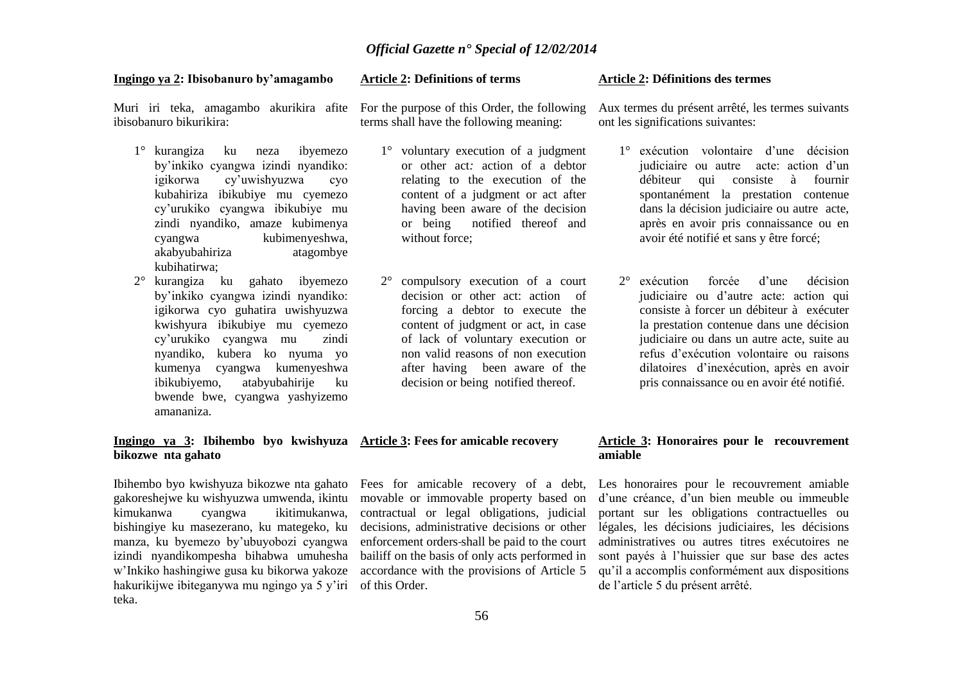#### **Ingingo ya 2: Ibisobanuro by'amagambo**

**Article 2: Definitions of terms**

Muri iri teka, amagambo akurikira afite ibisobanuro bikurikira:

- 1° kurangiza ku neza ibyemezo by'inkiko cyangwa izindi nyandiko: igikorwa cy'uwishyuzwa cyo kubahiriza ibikubiye mu cyemezo cy'urukiko cyangwa ibikubiye mu zindi nyandiko, amaze kubimenya cyangwa kubimenyeshwa, akabyubahiriza atagombye kubihatirwa;
- 2° kurangiza ku gahato ibyemezo by'inkiko cyangwa izindi nyandiko: igikorwa cyo guhatira uwishyuzwa kwishyura ibikubiye mu cyemezo cy'urukiko cyangwa mu zindi nyandiko, kubera ko nyuma yo kumenya cyangwa kumenyeshwa ibikubiyemo, atabyubahirije ku bwende bwe, cyangwa yashyizemo amananiza.

#### **Ingingo ya 3: Ibihembo byo kwishyuza Article 3: Fees for amicable recovery bikozwe nta gahato**

Ibihembo byo kwishyuza bikozwe nta gahato gakoreshejwe ku wishyuzwa umwenda, ikintu kimukanwa cyangwa ikitimukanwa, bishingiye ku masezerano, ku mategeko, ku manza, ku byemezo by'ubuyobozi cyangwa izindi nyandikompesha bihabwa umuhesha w'Inkiko hashingiwe gusa ku bikorwa yakoze hakurikijwe ibiteganywa mu ngingo ya 5 y'iri of this Order. teka.

For the purpose of this Order, the following terms shall have the following meaning:

- 1° voluntary execution of a judgment or other act*:* action of a debtor relating to the execution of the content of a judgment or act after having been aware of the decision or being notified thereof and without force;
- 2° compulsory execution of a court decision or other act: action of forcing a debtor to execute the content of judgment or act, in case of lack of voluntary execution or non valid reasons of non execution after having been aware of the decision or being notified thereof.

#### **Article 2: Définitions des termes**

Aux termes du présent arrêté, les termes suivants ont les significations suivantes:

- 1° exécution volontaire d'une décision judiciaire ou autre acte: action d'un débiteur qui consiste à fournir spontanément la prestation contenue dans la décision judiciaire ou autre acte, après en avoir pris connaissance ou en avoir été notifié et sans y être forcé;
- 2° exécution forcée d'une décision judiciaire ou d'autre acte: action qui consiste à forcer un débiteur à exécuter la prestation contenue dans une décision judiciaire ou dans un autre acte, suite au refus d'exécution volontaire ou raisons dilatoires d'inexécution, après en avoir pris connaissance ou en avoir été notifié.

Fees for amicable recovery of a debt, movable or immovable property based on contractual or legal obligations, judicial decisions, administrative decisions or other enforcement orders shall be paid to the court bailiff on the basis of only acts performed in accordance with the provisions of Article 5

#### **Article 3: Honoraires pour le recouvrement amiable**

Les honoraires pour le recouvrement amiable d'une créance, d'un bien meuble ou immeuble portant sur les obligations contractuelles ou légales, les décisions judiciaires, les décisions administratives ou autres titres exécutoires ne sont payés à l'huissier que sur base des actes qu'il a accomplis conformément aux dispositions de l'article 5 du présent arrêté.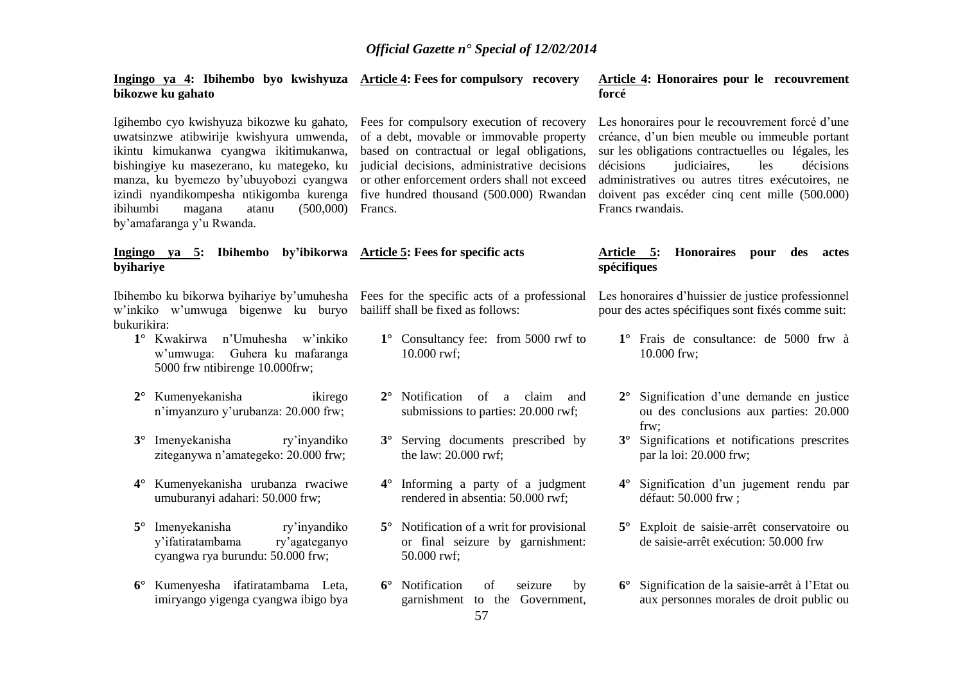#### **Ingingo ya 4: Ibihembo byo kwishyuza Article 4: Fees for compulsory recovery bikozwe ku gahato**

Igihembo cyo kwishyuza bikozwe ku gahato, Fees for compulsory execution of recovery uwatsinzwe atibwirije kwishyura umwenda, ikintu kimukanwa cyangwa ikitimukanwa, bishingiye ku masezerano, ku mategeko, ku manza, ku byemezo by'ubuyobozi cyangwa izindi nyandikompesha ntikigomba kurenga ibihumbi magana atanu (500,000) Francs. by'amafaranga y'u Rwanda.

#### **Ingingo ya 5: Ibihembo by'ibikorwa Article 5: Fees for specific acts byihariye**

Ibihembo ku bikorwa byihariye by'umuhesha Fees for the specific acts of a professional w'inkiko w'umwuga bigenwe ku buryo bailiff shall be fixed as follows: bukurikira:

- **1°** Kwakirwa n'Umuhesha w'inkiko w'umwuga: Guhera ku mafaranga 5000 frw ntibirenge 10.000frw;
- **2°** Kumenyekanisha ikirego n'imyanzuro y'urubanza: 20.000 frw;
- **3°** Imenyekanisha ry'inyandiko ziteganywa n'amategeko: 20.000 frw;
- **4°** Kumenyekanisha urubanza rwaciwe umuburanyi adahari: 50.000 frw;
- **5°** Imenyekanisha ry'inyandiko y'ifatiratambama ry'agateganyo cyangwa rya burundu: 50.000 frw;
- **6°** Kumenyesha ifatiratambama Leta, imiryango yigenga cyangwa ibigo bya

of a debt, movable or immovable property based on contractual or legal obligations, judicial decisions, administrative decisions or other enforcement orders shall not exceed five hundred thousand (500.000) Rwandan

- **1°** Consultancy fee: from 5000 rwf to 10.000 rwf;
- **2°** Notification of a claim and submissions to parties: 20.000 rwf;
- **3°** Serving documents prescribed by the law: 20.000 rwf;
- **4°** Informing a party of a judgment rendered in absentia: 50.000 rwf;
- **5°** Notification of a writ for provisional or final seizure by garnishment: 50.000 rwf;
- **6°** Notification of seizure by garnishment to the Government,

#### **Article 4: Honoraires pour le recouvrement forcé**

Les honoraires pour le recouvrement forcé d'une créance, d'un bien meuble ou immeuble portant sur les obligations contractuelles ou légales, les décisions judiciaires, les décisions administratives ou autres titres exécutoires, ne doivent pas excéder cinq cent mille (500.000) Francs rwandais.

#### **Article 5: Honoraires pour des actes spécifiques**

Les honoraires d'huissier de justice professionnel pour des actes spécifiques sont fixés comme suit:

- **1°** Frais de consultance: de 5000 frw à 10.000 frw;
- **2°** Signification d'une demande en justice ou des conclusions aux parties: 20.000 frw;
- **3°** Significations et notifications prescrites par la loi: 20.000 frw;
- **4°** Signification d'un jugement rendu par défaut: 50.000 frw ;
- **5°** Exploit de saisie-arrêt conservatoire ou de saisie-arrêt exécution: 50.000 frw
- **6°** Signification de la saisie-arrêt à l'Etat ou aux personnes morales de droit public ou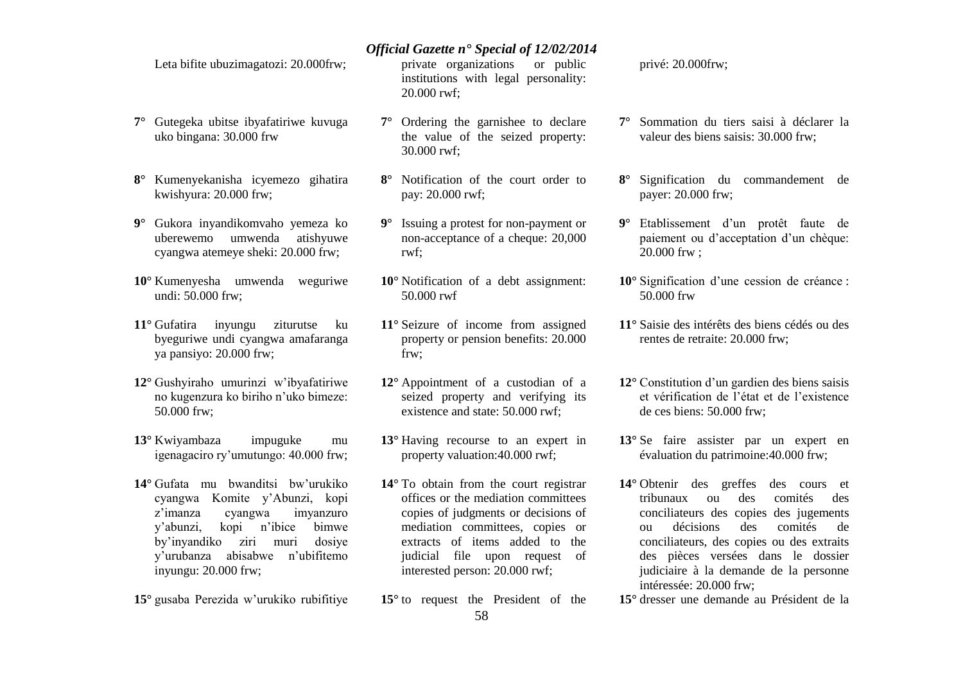Leta bifite ubuzimagatozi: 20.000frw;

- **7°** Gutegeka ubitse ibyafatiriwe kuvuga uko bingana: 30.000 frw
- **8°** Kumenyekanisha icyemezo gihatira kwishyura: 20.000 frw;
- **9°** Gukora inyandikomvaho yemeza ko uberewemo umwenda atishyuwe cyangwa atemeye sheki: 20.000 frw;
- **10°** Kumenyesha umwenda weguriwe undi: 50.000 frw;
- **11°** Gufatira inyungu ziturutse ku byeguriwe undi cyangwa amafaranga ya pansiyo: 20.000 frw;
- **12°** Gushyiraho umurinzi w'ibyafatiriwe no kugenzura ko biriho n'uko bimeze: 50.000 frw;
- **13°** Kwiyambaza impuguke mu igenagaciro ry'umutungo: 40.000 frw;
- **14°** Gufata mu bwanditsi bw'urukiko cyangwa Komite y'Abunzi, kopi z'imanza cyangwa imyanzuro y'abunzi, kopi n'ibice bimwe by'inyandiko ziri muri dosiye y'urubanza abisabwe n'ubifitemo inyungu: 20.000 frw;
- **15°** gusaba Perezida w'urukiko rubifitiye

private organizations or public institutions with legal personality: 20.000 rwf;

- **7°** Ordering the garnishee to declare the value of the seized property: 30.000 rwf;
- **8°** Notification of the court order to pay: 20.000 rwf;
- **9°** Issuing a protest for non-payment or non-acceptance of a cheque: 20,000 rwf;
- **10°** Notification of a debt assignment: 50.000 rwf
- **11°** Seizure of income from assigned property or pension benefits: 20.000  $f<sub>rw</sub>$
- **12°** Appointment of a custodian of a seized property and verifying its existence and state: 50.000 rwf;
- **13°** Having recourse to an expert in property valuation:40.000 rwf;
- **14°** To obtain from the court registrar offices or the mediation committees copies of judgments or decisions of mediation committees, copies or extracts of items added to the judicial file upon request of interested person: 20.000 rwf;
- **15°** to request the President of the

privé: 20.000frw;

- **7°** Sommation du tiers saisi à déclarer la valeur des biens saisis: 30.000 frw;
- **8°** Signification du commandement de payer: 20.000 frw;
- **9°** Etablissement d'un protêt faute de paiement ou d'acceptation d'un chèque: 20.000 frw ;
- **10°** Signification d'une cession de créance : 50.000 frw
- **11°** Saisie des intérêts des biens cédés ou des rentes de retraite: 20.000 frw;
- **12°** Constitution d'un gardien des biens saisis et vérification de l'état et de l'existence de ces biens: 50.000 frw;
- **13°** Se faire assister par un expert en évaluation du patrimoine:40.000 frw;
- **14°** Obtenir des greffes des cours et tribunaux ou des comités des conciliateurs des copies des jugements ou décisions des comités de conciliateurs, des copies ou des extraits des pièces versées dans le dossier judiciaire à la demande de la personne intéressée: 20.000 frw;
- **15°** dresser une demande au Président de la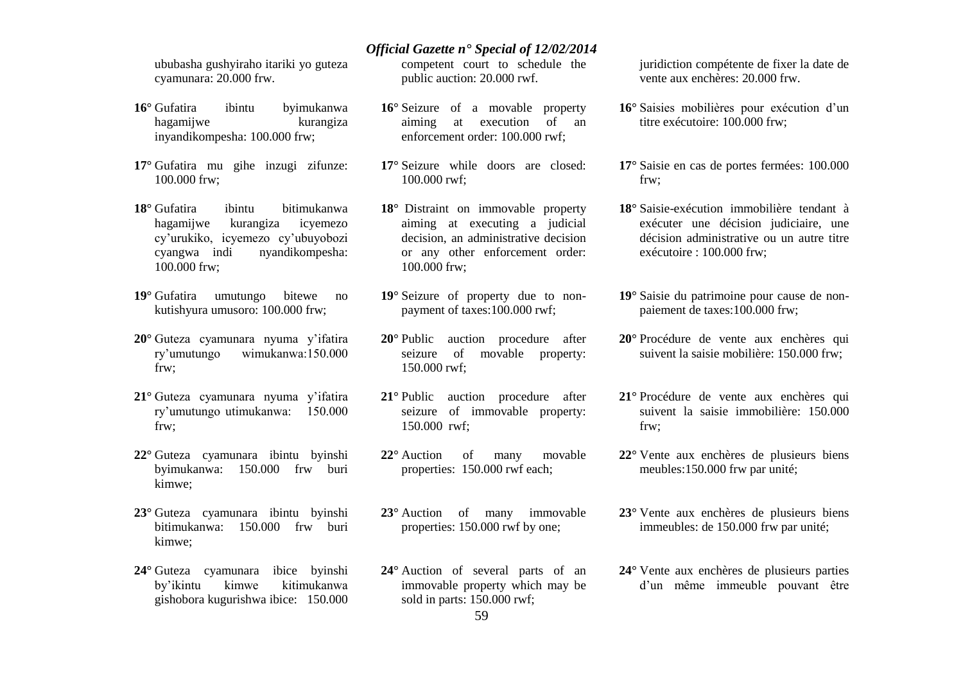ububasha gushyiraho itariki yo guteza cyamunara: 20.000 frw.

- **16°** Gufatira ibintu byimukanwa hagamijwe kurangiza inyandikompesha: 100.000 frw;
- **17°** Gufatira mu gihe inzugi zifunze: 100.000 frw;
- **18°** Gufatira ibintu bitimukanwa hagamijwe kurangiza icyemezo cy'urukiko, icyemezo cy'ubuyobozi cyangwa indi nyandikompesha: 100.000 frw;
- **19°** Gufatira umutungo bitewe no kutishyura umusoro: 100.000 frw;
- **20°** Guteza cyamunara nyuma y'ifatira ry'umutungo wimukanwa:150.000 frw;
- **21°** Guteza cyamunara nyuma y'ifatira ry'umutungo utimukanwa: 150.000 frw;
- **22°** Guteza cyamunara ibintu byinshi byimukanwa: 150.000 frw buri kimwe;
- **23°** Guteza cyamunara ibintu byinshi bitimukanwa: 150.000 frw buri kimwe;
- **24°** Guteza cyamunara ibice byinshi by'ikintu kimwe kitimukanwa gishobora kugurishwa ibice: 150.000

competent court to schedule the public auction: 20.000 rwf.

- **16°** Seizure of a movable property aiming at execution of an enforcement order: 100.000 rwf;
- **17°** Seizure while doors are closed: 100.000 rwf;
- **18°** Distraint on immovable property aiming at executing a judicial decision, an administrative decision or any other enforcement order: 100.000 frw;
- **19°** Seizure of property due to nonpayment of taxes:100.000 rwf;
- **20°** Public auction procedure after seizure of movable property: 150.000 rwf;
- **21°** Public auction procedure after seizure of immovable property: 150.000 rwf;
- **22°** Auction of many movable properties: 150.000 rwf each;
- **23°** Auction of many immovable properties: 150.000 rwf by one;
- **24°** Auction of several parts of an immovable property which may be sold in parts: 150.000 rwf;

juridiction compétente de fixer la date de vente aux enchères: 20.000 frw.

- **16°** Saisies mobilières pour exécution d'un titre exécutoire: 100.000 frw;
- **17°** Saisie en cas de portes fermées: 100.000 frw;
- **18°** Saisie-exécution immobilière tendant à exécuter une décision judiciaire, une décision administrative ou un autre titre exécutoire : 100.000 frw;
- **19°** Saisie du patrimoine pour cause de nonpaiement de taxes:100.000 frw;
- **20°** Procédure de vente aux enchères qui suivent la saisie mobilière: 150.000 frw;
- **21°** Procédure de vente aux enchères qui suivent la saisie immobilière: 150.000 frw;
- **22°** Vente aux enchères de plusieurs biens meubles:150.000 frw par unité;
- **23°** Vente aux enchères de plusieurs biens immeubles: de 150.000 frw par unité;
- **24°** Vente aux enchères de plusieurs parties d'un même immeuble pouvant être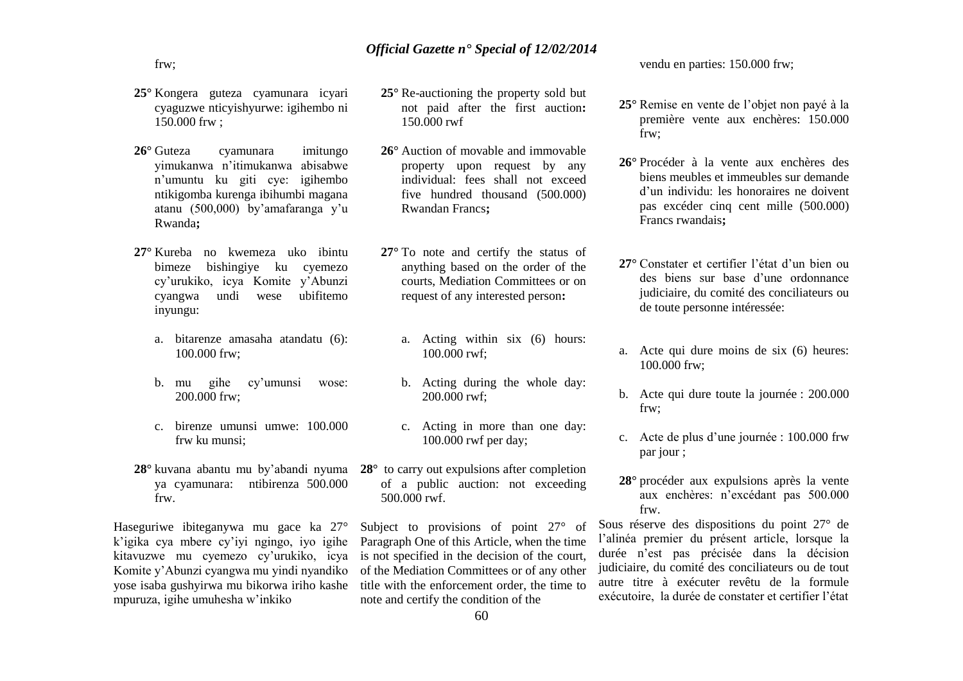frw;

- **25°** Kongera guteza cyamunara icyari cyaguzwe nticyishyurwe: igihembo ni 150.000 frw ;
- **26°** Guteza cyamunara imitungo yimukanwa n'itimukanwa abisabwe n'umuntu ku giti cye: igihembo ntikigomba kurenga ibihumbi magana atanu (500,000) by'amafaranga y'u Rwanda**;**
- **27°** Kureba no kwemeza uko ibintu bimeze bishingiye ku cyemezo cy'urukiko, icya Komite y'Abunzi cyangwa undi wese ubifitemo inyungu:
	- a. bitarenze amasaha atandatu (6): 100.000 frw;
	- b. mu gihe cy'umunsi wose: 200.000 frw;
	- c. birenze umunsi umwe: 100.000 frw ku munsi;
- ya cyamunara: ntibirenza 500.000 frw.

Haseguriwe ibiteganywa mu gace ka 27° k'igika cya mbere cy'iyi ngingo, iyo igihe kitavuzwe mu cyemezo cy'urukiko, icya Komite y'Abunzi cyangwa mu yindi nyandiko yose isaba gushyirwa mu bikorwa iriho kashe mpuruza, igihe umuhesha w'inkiko

- **25°** Re-auctioning the property sold but not paid after the first auction**:**  150.000 rwf
- **26°** Auction of movable and immovable property upon request by any individual: fees shall not exceed five hundred thousand (500.000) Rwandan Francs**;**
- **27°** To note and certify the status of anything based on the order of the courts, Mediation Committees or on request of any interested person**:** 
	- a. Acting within six (6) hours: 100.000 rwf;
	- b. Acting during the whole day: 200.000 rwf;
	- c. Acting in more than one day: 100.000 rwf per day;
- **28°** kuvana abantu mu by'abandi nyuma **28°** to carry out expulsions after completion of a public auction: not exceeding 500.000 rwf.

Subject to provisions of point 27° of Paragraph One of this Article, when the time is not specified in the decision of the court, of the Mediation Committees or of any other title with the enforcement order, the time to note and certify the condition of the

vendu en parties: 150.000 frw;

- **25°** Remise en vente de l'objet non payé à la première vente aux enchères: 150.000 frw;
- **26°** Procéder à la vente aux enchères des biens meubles et immeubles sur demande d'un individu: les honoraires ne doivent pas excéder cinq cent mille (500.000) Francs rwandais**;**
- **27°** Constater et certifier l'état d'un bien ou des biens sur base d'une ordonnance judiciaire, du comité des conciliateurs ou de toute personne intéressée:
- a. Acte qui dure moins de six (6) heures: 100.000 frw;
- b. Acte qui dure toute la journée : 200.000 frw;
- c. Acte de plus d'une journée : 100.000 frw par jour ;
- **28°** procéder aux expulsions après la vente aux enchères: n'excédant pas 500.000 frw.

Sous réserve des dispositions du point 27° de l'alinéa premier du présent article, lorsque la durée n'est pas précisée dans la décision judiciaire, du comité des conciliateurs ou de tout autre titre à exécuter revêtu de la formule exécutoire, la durée de constater et certifier l'état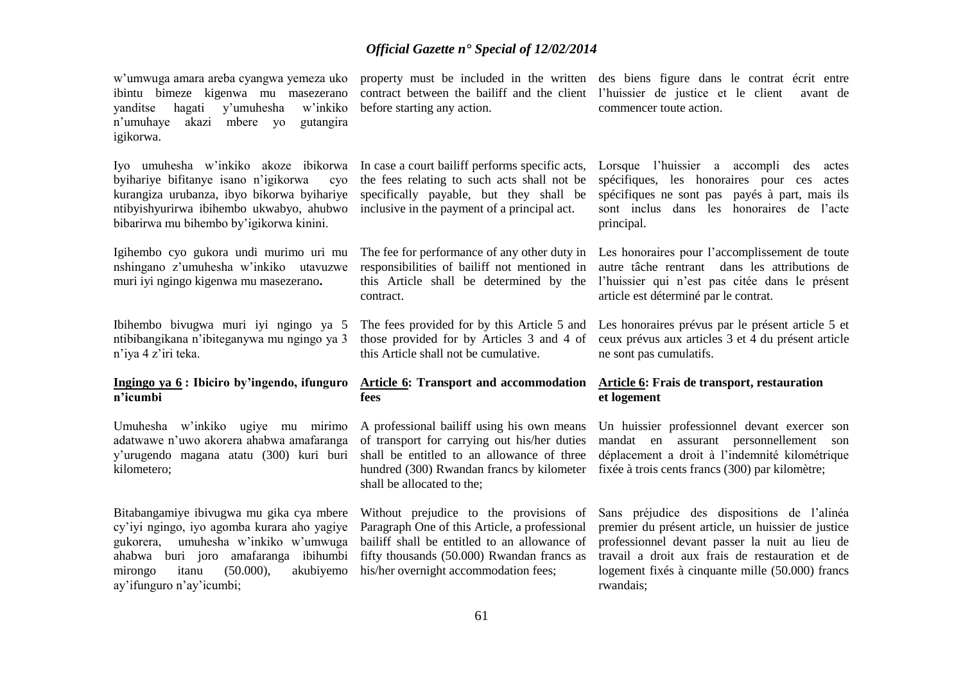w'umwuga amara areba cyangwa yemeza uko ibintu bimeze kigenwa mu masezerano yanditse hagati y'umuhesha w'inkiko before starting any action. n'umuhaye akazi mbere yo gutangira igikorwa. Iyo umuhesha w'inkiko akoze ibikorwa byihariye bifitanye isano n'igikorwa kurangiza urubanza, ibyo bikorwa byihariye ntibyishyurirwa ibihembo ukwabyo, ahubwo bibarirwa mu bihembo by'igikorwa kinini. Igihembo cyo gukora undi murimo uri mu nshingano z'umuhesha w'inkiko utavuzwe muri iyi ngingo kigenwa mu masezerano**.** Ibihembo bivugwa muri iyi ngingo ya 5 ntibibangikana n'ibiteganywa mu ngingo ya 3 n'iya 4 z'iri teka. **Ingingo ya 6 : Ibiciro by'ingendo, ifunguro n'icumbi** Umuhesha w'inkiko ugiye mu mirimo adatwawe n'uwo akorera ahabwa amafaranga y'urugendo magana atatu (300) kuri buri kilometero; Bitabangamiye ibivugwa mu gika cya mbere Without prejudice to the provisions of cy'iyi ngingo, iyo agomba kurara aho yagiye gukorera, umuhesha w'inkiko w'umwuga ahabwa buri joro amafaranga ibihumbi fifty thousands (50.000) Rwandan francs as mirongo itanu  $(50.000)$ ay'ifunguro n'ay'icumbi; property must be included in the written des biens figure dans le contrat écrit entre contract between the bailiff and the client l'huissier de justice et le client avant de In case a court bailiff performs specific acts, Lorsque l'huissier a accompli des actes the fees relating to such acts shall not be spécifiques, les honoraires pour ces actes specifically payable, but they shall be inclusive in the payment of a principal act. The fee for performance of any other duty in responsibilities of bailiff not mentioned in this Article shall be determined by the l'huissier qui n'est pas citée dans le présent contract. The fees provided for by this Article 5 and those provided for by Articles 3 and 4 of this Article shall not be cumulative. **Article 6: Transport and accommodation Article 6: Frais de transport, restauration fees** A professional bailiff using his own means of transport for carrying out his/her duties shall be entitled to an allowance of three hundred (300) Rwandan francs by kilometer fixée à trois cents francs (300) par kilomètre; shall be allocated to the; Paragraph One of this Article, a professional bailiff shall be entitled to an allowance of akubivemo his/her overnight accommodation fees: commencer toute action. spécifiques ne sont pas payés à part, mais ils sont inclus dans les honoraires de l'acte principal. Les honoraires pour l'accomplissement de toute autre tâche rentrant dans les attributions de article est déterminé par le contrat. Les honoraires prévus par le présent article 5 et ceux prévus aux articles 3 et 4 du présent article ne sont pas cumulatifs. **et logement** Un huissier professionnel devant exercer son mandat en assurant personnellement son déplacement a droit à l'indemnité kilométrique Sans préjudice des dispositions de l'alinéa premier du présent article, un huissier de justice professionnel devant passer la nuit au lieu de travail a droit aux frais de restauration et de logement fixés à cinquante mille (50.000) francs rwandais;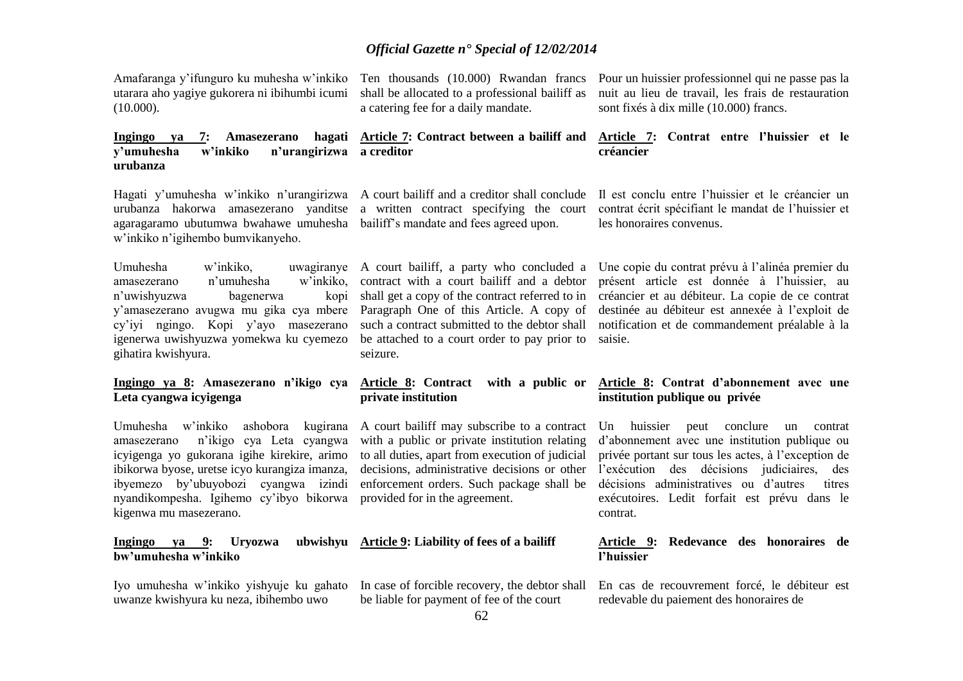Amafaranga y'ifunguro ku muhesha w'inkiko utarara aho yagiye gukorera ni ibihumbi icumi (10.000).

Ten thousands (10.000) Rwandan francs shall be allocated to a professional bailiff as a catering fee for a daily mandate.

Pour un huissier professionnel qui ne passe pas la nuit au lieu de travail, les frais de restauration sont fixés à dix mille (10.000) francs.

# **y'umuhesha w'inkiko n'urangirizwa a creditor**

### urubanza hakorwa amasezerano yanditse a written contract specifying the court agaragaramo ubutumwa bwahawe umuhesha bailiff's mandate and fees agreed upon. w'inkiko n'igihembo bumvikanyeho.

**urubanza**

amasezerano n'umuhesha n'uwishyuzwa bagenerwa y'amasezerano avugwa mu gika cya mbere Paragraph One of this Article. A copy of cy'iyi ngingo. Kopi y'ayo masezerano igenerwa uwishyuzwa yomekwa ku cyemezo gihatira kwishyura.

#### **Ingingo ya 8: Amasezerano n'ikigo cya Leta cyangwa icyigenga**

Umuhesha w'inkiko ashobora kugirana A court bailiff may subscribe to a contract amasezerano n'ikigo cya Leta cyangwa icyigenga yo gukorana igihe kirekire, arimo ibikorwa byose, uretse icyo kurangiza imanza, ibyemezo by'ubuyobozi cyangwa izindi nyandikompesha. Igihemo cy'ibyo bikorwa provided for in the agreement. kigenwa mu masezerano.

**Ingingo ya 9: Uryozwa bw'umuhesha w'inkiko**

Iyo umuhesha w'inkiko yishyuje ku gahato uwanze kwishyura ku neza, ibihembo uwo

such a contract submitted to the debtor shall be attached to a court order to pay prior to seizure.

# **private institution**

with a public or private institution relating to all duties, apart from execution of judicial enforcement orders. Such package shall be

# **Article 9: Liability of fees of a bailiff**

In case of forcible recovery, the debtor shall be liable for payment of fee of the court

**Ingingo ya 7: Amasezerano hagati Article 7: Contract between a bailiff and Article 7: Contrat entre l'huissier et le créancier** 

Hagati y'umuhesha w'inkiko n'urangirizwa A court bailiff and a creditor shall conclude Il est conclu entre l'huissier et le créancier un contrat écrit spécifiant le mandat de l'huissier et les honoraires convenus.

Umuhesha w'inkiko, uwagiranye A court bailiff, a party who concluded a Une copie du contrat prévu à l'alinéa premier du contract with a court bailiff and a debtor présent article est donnée à l'huissier, au shall get a copy of the contract referred to in créancier et au débiteur. La copie de ce contrat destinée au débiteur est annexée à l'exploit de notification et de commandement préalable à la saisie.

#### **Article 8: Contract with a public or Article 8: Contrat d'abonnement avec une institution publique ou privée**

decisions, administrative decisions or other l'exécution des décisions judiciaires, des Un huissier peut conclure un contrat d'abonnement avec une institution publique ou privée portant sur tous les actes, à l'exception de décisions administratives ou d'autres titres exécutoires. Ledit forfait est prévu dans le contrat.

#### **Article 9: Redevance des honoraires de l'huissier**

En cas de recouvrement forcé, le débiteur est redevable du paiement des honoraires de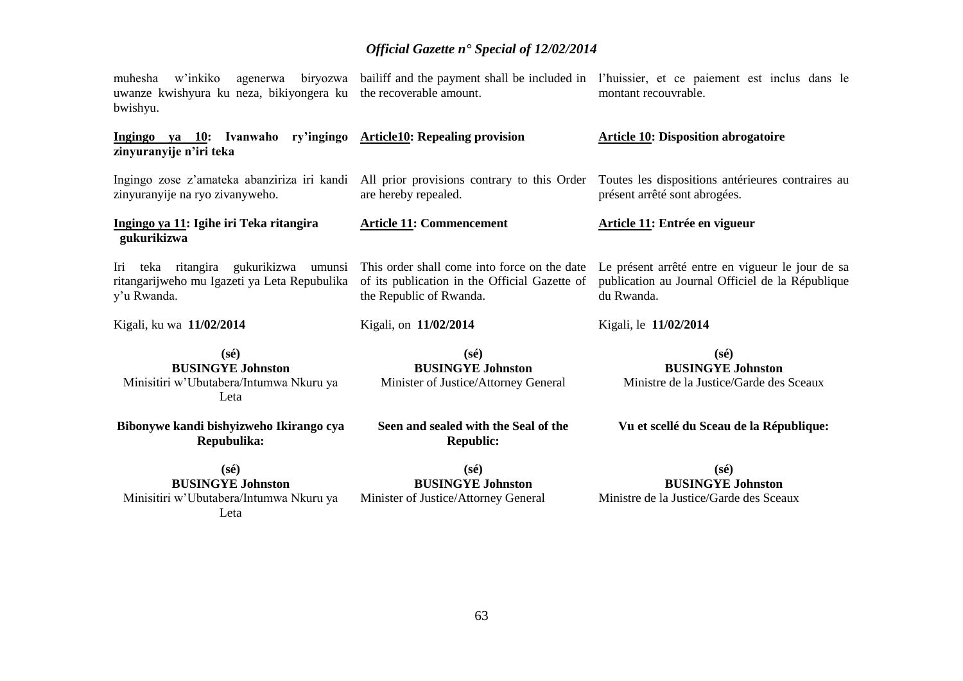| w'inkiko<br>muhesha<br>uwanze kwishyura ku neza, bikiyongera ku the recoverable amount.<br>bwishyu.  |                                                                                                                          | agenerwa biryozwa bailiff and the payment shall be included in l'huissier, et ce paiement est inclus dans le<br>montant recouvrable. |
|------------------------------------------------------------------------------------------------------|--------------------------------------------------------------------------------------------------------------------------|--------------------------------------------------------------------------------------------------------------------------------------|
| ry'ingingo<br>Ingingo ya 10: Ivanwaho<br>zinyuranyije n'iri teka                                     | <b>Article10: Repealing provision</b>                                                                                    | <b>Article 10: Disposition abrogatoire</b>                                                                                           |
| Ingingo zose z'amateka abanziriza iri kandi<br>zinyuranyije na ryo zivanyweho.                       | All prior provisions contrary to this Order<br>are hereby repealed.                                                      | Toutes les dispositions antérieures contraires au<br>présent arrêté sont abrogées.                                                   |
| Ingingo ya 11: Igihe iri Teka ritangira<br>gukurikizwa                                               | <b>Article 11: Commencement</b>                                                                                          | Article 11: Entrée en vigueur                                                                                                        |
| Iri teka ritangira gukurikizwa umunsi<br>ritangarijweho mu Igazeti ya Leta Repubulika<br>y'u Rwanda. | This order shall come into force on the date<br>of its publication in the Official Gazette of<br>the Republic of Rwanda. | Le présent arrêté entre en vigueur le jour de sa<br>publication au Journal Officiel de la République<br>du Rwanda.                   |
| Kigali, ku wa 11/02/2014                                                                             | Kigali, on 11/02/2014                                                                                                    | Kigali, le 11/02/2014                                                                                                                |
| $(s\acute{e})$<br><b>BUSINGYE Johnston</b><br>Minisitiri w'Ubutabera/Intumwa Nkuru ya<br>Leta        | $(s\acute{e})$<br><b>BUSINGYE Johnston</b><br>Minister of Justice/Attorney General                                       | $(s\acute{e})$<br><b>BUSINGYE Johnston</b><br>Ministre de la Justice/Garde des Sceaux                                                |
| Bibonywe kandi bishyizweho Ikirango cya<br>Repubulika:                                               | Seen and sealed with the Seal of the<br><b>Republic:</b>                                                                 | Vu et scellé du Sceau de la République:                                                                                              |
| $(s\acute{e})$<br><b>BUSINGYE Johnston</b><br>Minisitiri w'Ubutabera/Intumwa Nkuru ya<br>Leta        | $(s\acute{e})$<br><b>BUSINGYE Johnston</b><br>Minister of Justice/Attorney General                                       | $(s\acute{e})$<br><b>BUSINGYE Johnston</b><br>Ministre de la Justice/Garde des Sceaux                                                |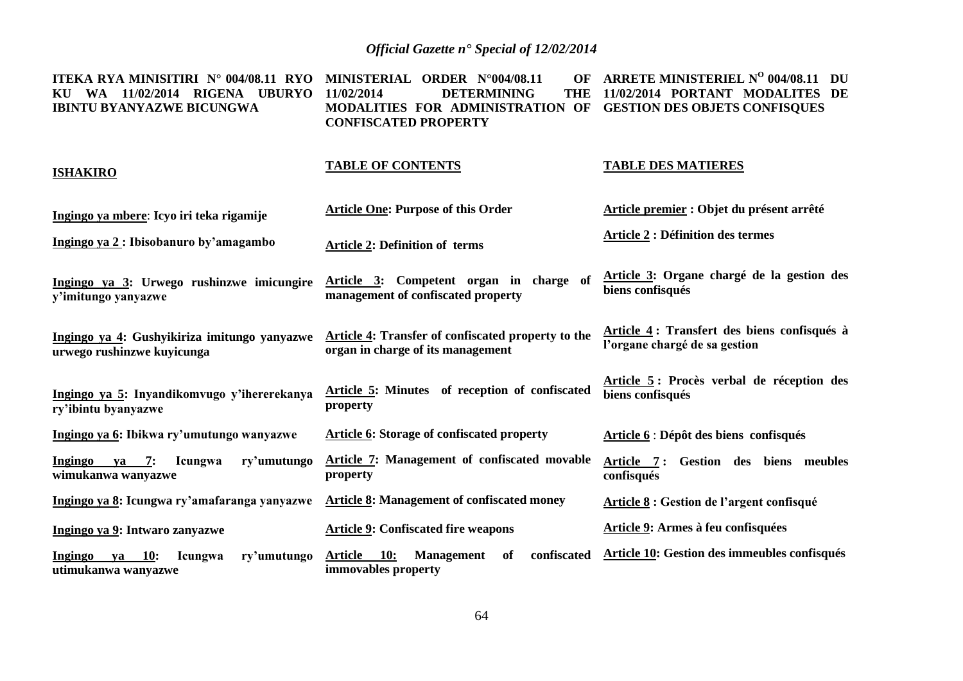**ITEKA RYA MINISITIRI N° 004/08.11 RYO MINISTERIAL ORDER N°004/08.11 OF KU WA 11/02/2014 RIGENA UBURYO IBINTU BYANYAZWE BICUNGWA DETERMINING MODALITIES FOR ADMINISTRATION OF GESTION DES OBJETS CONFISQUES CONFISCATED PROPERTY ARRETE MINISTERIEL N<sup>O</sup> 004/08.11 DU 11/02/2014 PORTANT MODALITES DE** 

#### **ISHAKIRO**

#### **TABLE OF CONTENTS**

#### **TABLE DES MATIERES**

| Ingingo ya mbere: Icyo iri teka rigamije                                     | <b>Article One: Purpose of this Order</b>                                                     | Article premier : Objet du présent arrêté                                    |
|------------------------------------------------------------------------------|-----------------------------------------------------------------------------------------------|------------------------------------------------------------------------------|
| Ingingo ya 2: Ibisobanuro by'amagambo                                        | <b>Article 2: Definition of terms</b>                                                         | <b>Article 2 : Définition des termes</b>                                     |
| Ingingo ya 3: Urwego rushinzwe imicungire<br>y'imitungo yanyazwe             | Article 3: Competent organ in charge of<br>management of confiscated property                 | Article 3: Organe chargé de la gestion des<br>biens confisqués               |
| Ingingo ya 4: Gushyikiriza imitungo yanyazwe<br>urwego rushinzwe kuyicunga   | Article 4: Transfer of confiscated property to the<br>organ in charge of its management       | Article 4: Transfert des biens confisqués à<br>l'organe chargé de sa gestion |
| Ingingo ya 5: Inyandikomvugo y'ihererekanya<br>ry'ibintu byanyazwe           | Article 5: Minutes of reception of confiscated<br>property                                    | Article 5: Procès verbal de réception des<br>biens confisqués                |
| Ingingo ya 6: Ibikwa ry'umutungo wanyazwe                                    | <b>Article 6: Storage of confiscated property</b>                                             | Article 6 : Dépôt des biens confisqués                                       |
| $ya$ 7:<br>Ingingo<br>Icungwa<br>ry'umutungo<br>wimukanwa wanyazwe           | <b>Article 7: Management of confiscated movable</b><br>property                               | Gestion des biens meubles<br>Article 7:<br>confisqués                        |
| Ingingo ya 8: Icungwa ry'amafaranga yanyazwe                                 | <b>Article 8: Management of confiscated money</b>                                             | <b>Article 8:</b> Gestion de l'argent confisqué                              |
| Ingingo ya 9: Intwaro zanyazwe                                               | <b>Article 9: Confiscated fire weapons</b>                                                    | Article 9: Armes à feu confisquées                                           |
| Ingingo<br>10:<br>ry'umutungo<br>va<br><b>Icungwa</b><br>utimukanwa wanyazwe | <b>10:</b><br>confiscated<br><b>Article</b><br><b>Management</b><br>of<br>immovables property | Article 10: Gestion des immeubles confisqués                                 |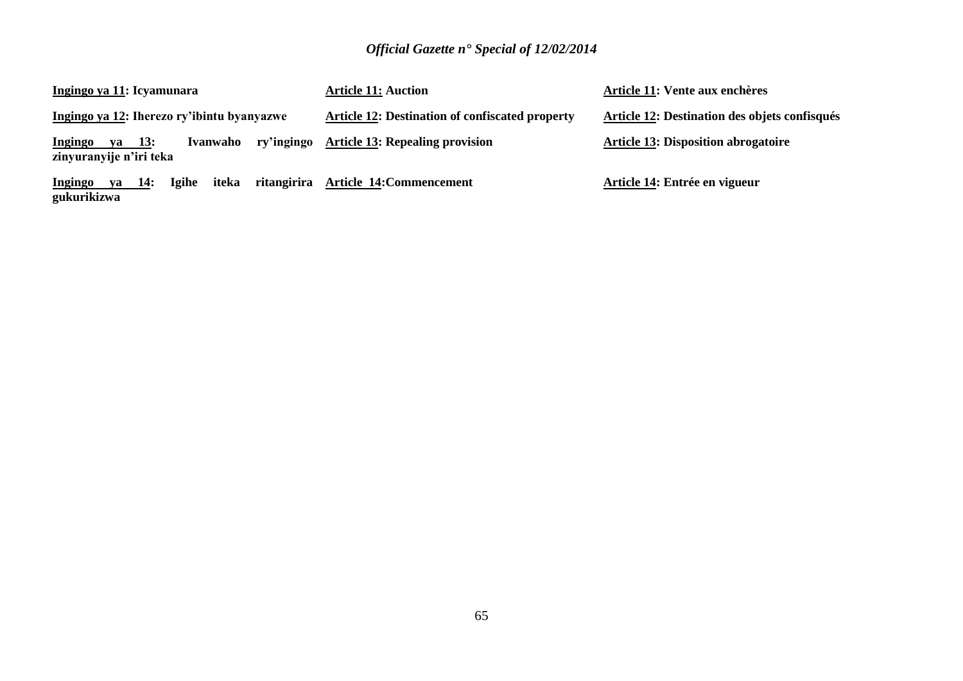| Ingingo ya 11: Icyamunara                                                     | <b>Article 11: Auction</b>                             | Article 11: Vente aux enchères                |
|-------------------------------------------------------------------------------|--------------------------------------------------------|-----------------------------------------------|
| Ingingo ya 12: Iherezo ry'ibintu byanyazwe                                    | <b>Article 12: Destination of confiscated property</b> | Article 12: Destination des objets confisqués |
| ry'ingingo<br>ya 13:<br>Ivanwaho<br><b>Ingingo</b><br>zinyuranyije n'iri teka | <b>Article 13: Repealing provision</b>                 | <b>Article 13: Disposition abrogatoire</b>    |
| ritangirira<br><b>Igihe</b><br>iteka<br>ya 14:<br>Ingingo<br>gukurikizwa      | <b>Article 14: Commencement</b>                        | Article 14: Entrée en vigueur                 |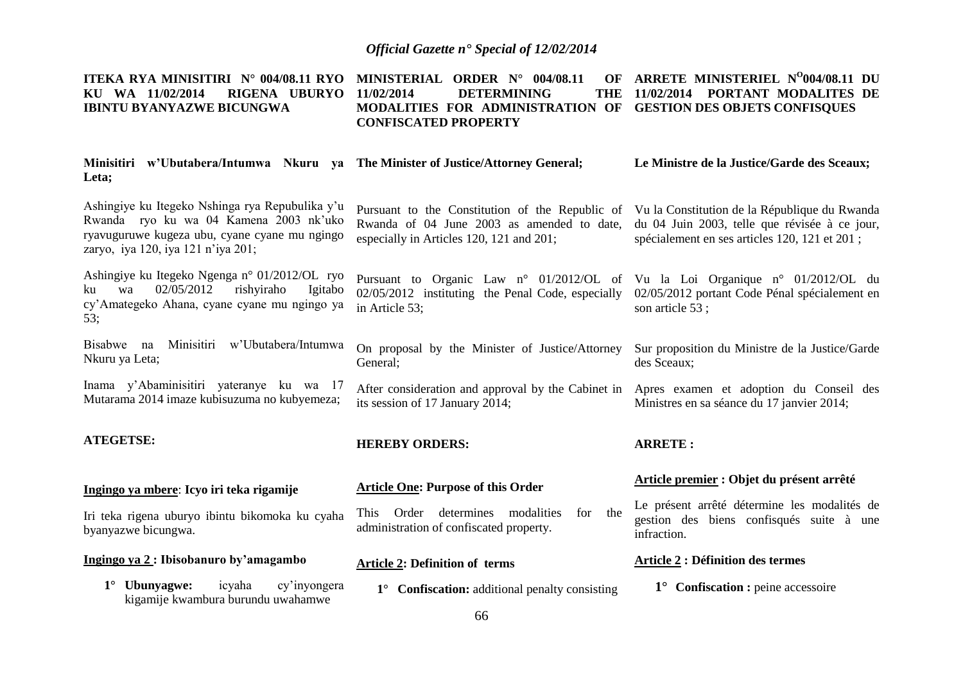#### **ITEKA RYA MINISITIRI N° 004/08.11 RYO MINISTERIAL ORDER N° 004/08.11 OF ARRETE MINISTERIEL N<sup>O</sup> 004/08.11 DU KU WA 11/02/2014 RIGENA UBURYO IBINTU BYANYAZWE BICUNGWA DETERMINING MODALITIES FOR ADMINISTRATION OF GESTION DES OBJETS CONFISQUES CONFISCATED PROPERTY 11/02/2014 PORTANT MODALITES DE**

| Minisitiri w'Ubutabera/Intumwa Nkuru ya The Minister of Justice/Attorney General;<br>Leta;                                                                                       |                                                                                                                                                                                         | Le Ministre de la Justice/Garde des Sceaux;                                                             |
|----------------------------------------------------------------------------------------------------------------------------------------------------------------------------------|-----------------------------------------------------------------------------------------------------------------------------------------------------------------------------------------|---------------------------------------------------------------------------------------------------------|
| Ashingiye ku Itegeko Nshinga rya Repubulika y'u<br>Rwanda ryo ku wa 04 Kamena 2003 nk'uko<br>ryavuguruwe kugeza ubu, cyane cyane mu ngingo<br>zaryo, iya 120, iya 121 n'iya 201; | Pursuant to the Constitution of the Republic of Vu la Constitution de la République du Rwanda<br>Rwanda of 04 June 2003 as amended to date,<br>especially in Articles 120, 121 and 201; | du 04 Juin 2003, telle que révisée à ce jour,<br>spécialement en ses articles 120, 121 et 201;          |
| Ashingiye ku Itegeko Ngenga n° 01/2012/OL ryo<br>02/05/2012<br>rishyiraho<br>Igitabo<br>wa<br>ku<br>cy'Amategeko Ahana, cyane cyane mu ngingo ya<br>53;                          | Pursuant to Organic Law nº 01/2012/OL of Vu la Loi Organique nº 01/2012/OL du<br>02/05/2012 instituting the Penal Code, especially<br>in Article 53;                                    | 02/05/2012 portant Code Pénal spécialement en<br>son article 53;                                        |
| Bisabwe na Minisitiri w'Ubutabera/Intumwa<br>Nkuru ya Leta;                                                                                                                      | On proposal by the Minister of Justice/Attorney<br>General;                                                                                                                             | Sur proposition du Ministre de la Justice/Garde<br>des Sceaux;                                          |
| Inama y'Abaminisitiri yateranye ku wa 17<br>Mutarama 2014 imaze kubisuzuma no kubyemeza;                                                                                         | After consideration and approval by the Cabinet in Apres examen et adoption du Conseil des<br>its session of 17 January 2014;                                                           | Ministres en sa séance du 17 janvier 2014;                                                              |
| <b>ATEGETSE:</b>                                                                                                                                                                 | <b>HEREBY ORDERS:</b>                                                                                                                                                                   | <b>ARRETE:</b>                                                                                          |
| Ingingo ya mbere: Icyo iri teka rigamije                                                                                                                                         | <b>Article One: Purpose of this Order</b>                                                                                                                                               | Article premier : Objet du présent arrêté                                                               |
| Iri teka rigena uburyo ibintu bikomoka ku cyaha<br>byanyazwe bicungwa.                                                                                                           | the<br>This Order determines<br>modalities<br>for<br>administration of confiscated property.                                                                                            | Le présent arrêté détermine les modalités de<br>gestion des biens confisqués suite à une<br>infraction. |
| Ingingo ya 2: Ibisobanuro by'amagambo                                                                                                                                            | <b>Article 2: Definition of terms</b>                                                                                                                                                   | <b>Article 2 : Définition des termes</b>                                                                |
| $1^\circ$ Ubunyagwe:<br>icyaha<br>cy'inyongera<br>kigamije kwambura burundu uwahamwe                                                                                             | <b>Confiscation:</b> additional penalty consisting<br>$1^{\circ}$                                                                                                                       | $1^{\circ}$ Confiscation : peine accessoire                                                             |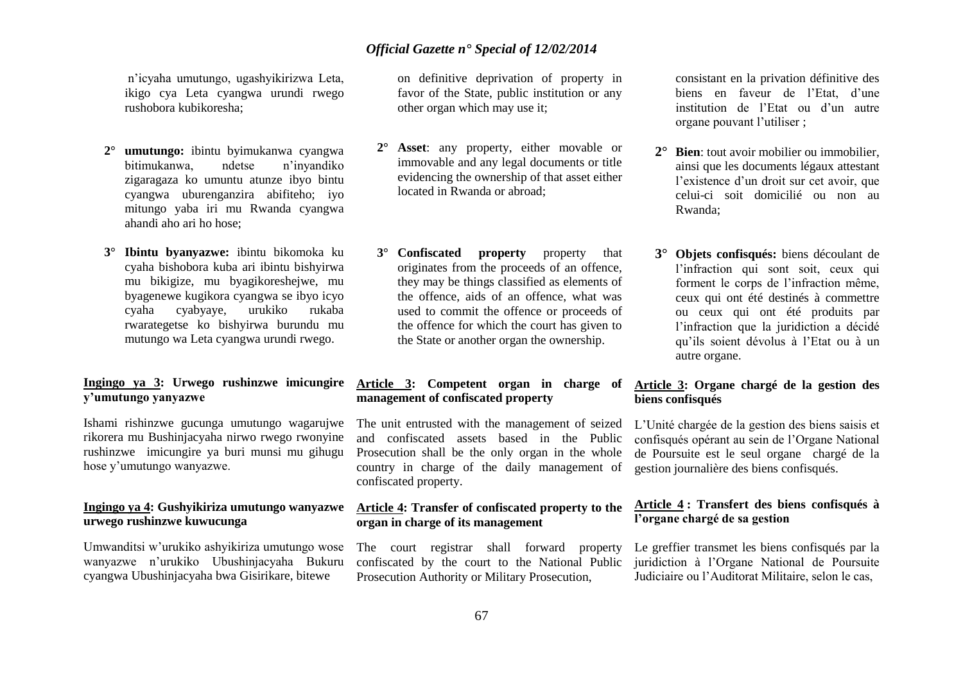n'icyaha umutungo, ugashyikirizwa Leta, ikigo cya Leta cyangwa urundi rwego rushobora kubikoresha;

- **2° umutungo:** ibintu byimukanwa cyangwa bitimukanwa, ndetse n'inyandiko zigaragaza ko umuntu atunze ibyo bintu cyangwa uburenganzira abifiteho; iyo mitungo yaba iri mu Rwanda cyangwa ahandi aho ari ho hose;
- **3° Ibintu byanyazwe:** ibintu bikomoka ku cyaha bishobora kuba ari ibintu bishyirwa mu bikigize, mu byagikoreshejwe, mu byagenewe kugikora cyangwa se ibyo icyo cyaha cyabyaye, urukiko rukaba rwarategetse ko bishyirwa burundu mu mutungo wa Leta cyangwa urundi rwego.

#### **Ingingo ya 3: Urwego rushinzwe imicungire y'umutungo yanyazwe**

Ishami rishinzwe gucunga umutungo wagarujwe rikorera mu Bushinjacyaha nirwo rwego rwonyine rushinzwe imicungire ya buri munsi mu gihugu hose y'umutungo wanyazwe.

#### **Ingingo ya 4: Gushyikiriza umutungo wanyazwe urwego rushinzwe kuwucunga**

Umwanditsi w'urukiko ashyikiriza umutungo wose wanyazwe n'urukiko Ubushinjacyaha Bukuru cyangwa Ubushinjacyaha bwa Gisirikare, bitewe

on definitive deprivation of property in favor of the State, public institution or any other organ which may use it;

- **Asset:** any property, either movable or immovable and any legal documents or title evidencing the ownership of that asset either located in Rwanda or abroad;
- **3° Confiscated property** property that originates from the proceeds of an offence, they may be things classified as elements of the offence, aids of an offence, what was used to commit the offence or proceeds of the offence for which the court has given to the State or another organ the ownership.

#### **Article 3: Competent organ in charge of management of confiscated property**

The unit entrusted with the management of seized and confiscated assets based in the Public Prosecution shall be the only organ in the whole country in charge of the daily management of confiscated property.

#### **Article 4: Transfer of confiscated property to the organ in charge of its management**

The court registrar shall forward property confiscated by the court to the National Public Prosecution Authority or Military Prosecution,

consistant en la privation définitive des biens en faveur de l'Etat, d'une institution de l'Etat ou d'un autre organe pouvant l'utiliser ;

- **2° Bien**: tout avoir mobilier ou immobilier, ainsi que les documents légaux attestant l'existence d'un droit sur cet avoir, que celui-ci soit domicilié ou non au Rwanda;
- **3° Objets confisqués:** biens découlant de l'infraction qui sont soit, ceux qui forment le corps de l'infraction même, ceux qui ont été destinés à commettre ou ceux qui ont été produits par l'infraction que la juridiction a décidé qu'ils soient dévolus à l'Etat ou à un autre organe.

#### **Article 3: Organe chargé de la gestion des biens confisqués**

L'Unité chargée de la gestion des biens saisis et confisqués opérant au sein de l'Organe National de Poursuite est le seul organe chargé de la gestion journalière des biens confisqués.

#### **Article 4 : Transfert des biens confisqués à l'organe chargé de sa gestion**

Le greffier transmet les biens confisqués par la juridiction à l'Organe National de Poursuite Judiciaire ou l'Auditorat Militaire, selon le cas,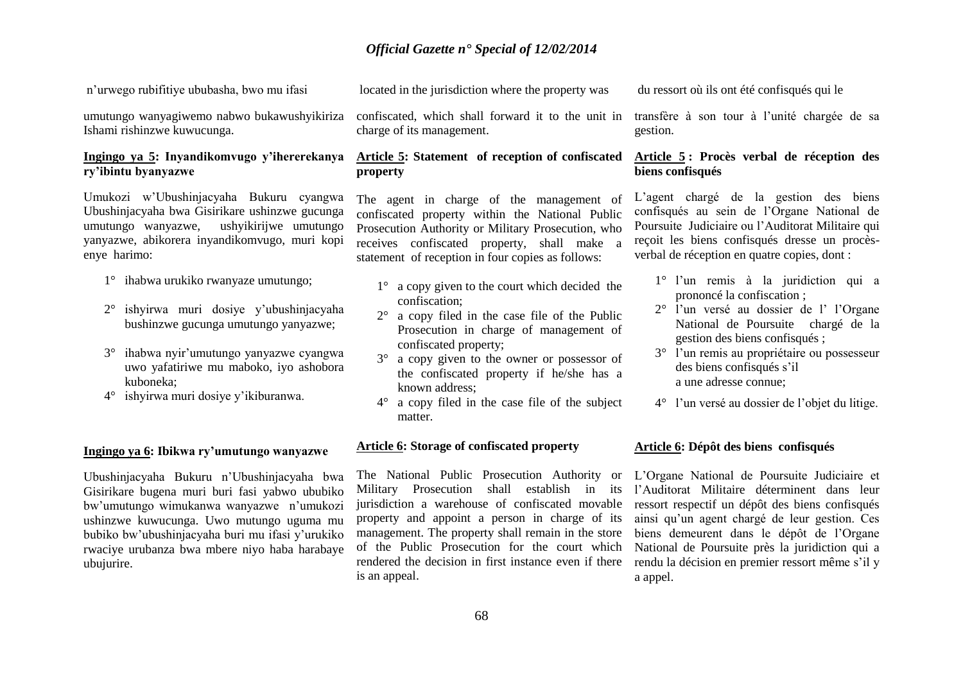n'urwego rubifitiye ububasha, bwo mu ifasi

umutungo wanyagiwemo nabwo bukawushyikiriza Ishami rishinzwe kuwucunga.

#### **Ingingo ya 5: Inyandikomvugo y'ihererekanya ry'ibintu byanyazwe**

Umukozi w'Ubushinjacyaha Bukuru cyangwa Ubushinjacyaha bwa Gisirikare ushinzwe gucunga umutungo wanyazwe, ushyikirijwe umutungo yanyazwe, abikorera inyandikomvugo, muri kopi enye harimo:

- 1° ihabwa urukiko rwanyaze umutungo;
- 2° ishyirwa muri dosiye y'ubushinjacyaha bushinzwe gucunga umutungo yanyazwe;
- 3° ihabwa nyir'umutungo yanyazwe cyangwa uwo yafatiriwe mu maboko, iyo ashobora kuboneka;
- 4° ishyirwa muri dosiye y'ikiburanwa.

#### **Ingingo ya 6: Ibikwa ry'umutungo wanyazwe**

Ubushinjacyaha Bukuru n'Ubushinjacyaha bwa Gisirikare bugena muri buri fasi yabwo ububiko bw'umutungo wimukanwa wanyazwe n'umukozi ushinzwe kuwucunga. Uwo mutungo uguma mu bubiko bw'ubushinjacyaha buri mu ifasi y'urukiko rwaciye urubanza bwa mbere niyo haba harabaye ubujurire.

located in the jurisdiction where the property was

confiscated, which shall forward it to the unit in transfère à son tour à l'unité chargée de sa charge of its management.

#### **Article 5: Statement of reception of confiscated property**

The agent in charge of the management of confiscated property within the National Public Prosecution Authority or Military Prosecution, who receives confiscated property, shall make a statement of reception in four copies as follows:

- 1° a copy given to the court which decided the confiscation;
- 2° a copy filed in the case file of the Public Prosecution in charge of management of confiscated property;
- 3° a copy given to the owner or possessor of the confiscated property if he/she has a known address;
- 4° a copy filed in the case file of the subject matter.

#### **Article 6: Storage of confiscated property**

The National Public Prosecution Authority or Military Prosecution shall establish in its jurisdiction a warehouse of confiscated movable ressort respectif un dépôt des biens confisqués property and appoint a person in charge of its management. The property shall remain in the store of the Public Prosecution for the court which rendered the decision in first instance even if there is an appeal.

du ressort où ils ont été confisqués qui le

gestion.

#### **Article 5 : Procès verbal de réception des biens confisqués**

L'agent chargé de la gestion des biens confisqués au sein de l'Organe National de Poursuite Judiciaire ou l'Auditorat Militaire qui reçoit les biens confisqués dresse un procèsverbal de réception en quatre copies, dont :

- 1° l'un remis à la juridiction qui a prononcé la confiscation ;
- 2° l'un versé au dossier de l' l'Organe National de Poursuite chargé de la gestion des biens confisqués ;
- 3° l'un remis au propriétaire ou possesseur des biens confisqués s'il a une adresse connue;
- 4° l'un versé au dossier de l'objet du litige.

#### **Article 6: Dépôt des biens confisqués**

L'Organe National de Poursuite Judiciaire et l'Auditorat Militaire déterminent dans leur ainsi qu'un agent chargé de leur gestion. Ces biens demeurent dans le dépôt de l'Organe National de Poursuite près la juridiction qui a rendu la décision en premier ressort même s'il y a appel.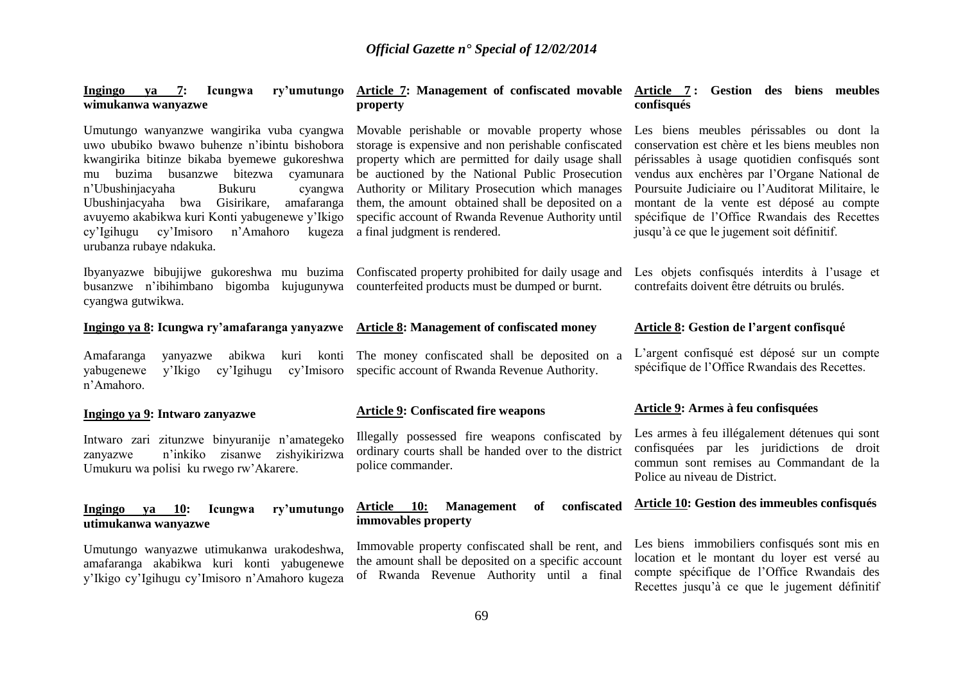| Icungwa<br>Ingingo<br>ry'umutungo<br>7:<br>va<br>wimukanwa wanyazwe                                                                                                                                                                                                                                                                                                                                                         | Article 7: Management of confiscated movable Article 7: Gestion des biens meubles<br>property                                                                                                                                                                                                                                                                                                               | confisqués                                                                                                                                                                                                                                                                                                                                                                                  |
|-----------------------------------------------------------------------------------------------------------------------------------------------------------------------------------------------------------------------------------------------------------------------------------------------------------------------------------------------------------------------------------------------------------------------------|-------------------------------------------------------------------------------------------------------------------------------------------------------------------------------------------------------------------------------------------------------------------------------------------------------------------------------------------------------------------------------------------------------------|---------------------------------------------------------------------------------------------------------------------------------------------------------------------------------------------------------------------------------------------------------------------------------------------------------------------------------------------------------------------------------------------|
| Umutungo wanyanzwe wangirika vuba cyangwa<br>uwo ububiko bwawo buhenze n'ibintu bishobora<br>kwangirika bitinze bikaba byemewe gukoreshwa<br>buzima busanzwe<br>bitezwa<br>cyamunara<br>mu<br>n'Ubushinjacyaha<br><b>Bukuru</b><br>cyangwa<br>Ubushinjacyaha bwa Gisirikare,<br>amafaranga<br>avuyemo akabikwa kuri Konti yabugenewe y'Ikigo<br>cy'Imisoro<br>n'Amahoro<br>cy'Igihugu<br>kugeza<br>urubanza rubaye ndakuka. | Movable perishable or movable property whose<br>storage is expensive and non perishable confiscated<br>property which are permitted for daily usage shall<br>be auctioned by the National Public Prosecution<br>Authority or Military Prosecution which manages<br>them, the amount obtained shall be deposited on a<br>specific account of Rwanda Revenue Authority until<br>a final judgment is rendered. | Les biens meubles périssables ou dont la<br>conservation est chère et les biens meubles non<br>périssables à usage quotidien confisqués sont<br>vendus aux enchères par l'Organe National de<br>Poursuite Judiciaire ou l'Auditorat Militaire, le<br>montant de la vente est déposé au compte<br>spécifique de l'Office Rwandais des Recettes<br>jusqu'à ce que le jugement soit définitif. |
| Ibyanyazwe bibujijwe gukoreshwa mu buzima<br>busanzwe n'ibihimbano<br>bigomba kujugunywa<br>cyangwa gutwikwa.                                                                                                                                                                                                                                                                                                               | Confiscated property prohibited for daily usage and<br>counterfeited products must be dumped or burnt.                                                                                                                                                                                                                                                                                                      | Les objets confisqués interdits à l'usage et<br>contrefaits doivent être détruits ou brulés.                                                                                                                                                                                                                                                                                                |
| Ingingo ya 8: Icungwa ry'amafaranga yanyazwe Article 8: Management of confiscated money                                                                                                                                                                                                                                                                                                                                     |                                                                                                                                                                                                                                                                                                                                                                                                             | Article 8: Gestion de l'argent confisqué                                                                                                                                                                                                                                                                                                                                                    |
| Amafaranga<br>abikwa<br>kuri<br>konti<br>yanyazwe<br>yabugenewe<br>cy'Imisoro<br>y'Ikigo<br>cy'Igihugu<br>n'Amahoro.                                                                                                                                                                                                                                                                                                        | The money confiscated shall be deposited on a<br>specific account of Rwanda Revenue Authority.                                                                                                                                                                                                                                                                                                              | L'argent confisqué est déposé sur un compte<br>spécifique de l'Office Rwandais des Recettes.                                                                                                                                                                                                                                                                                                |
| Ingingo ya 9: Intwaro zanyazwe                                                                                                                                                                                                                                                                                                                                                                                              | <b>Article 9: Confiscated fire weapons</b>                                                                                                                                                                                                                                                                                                                                                                  | Article 9: Armes à feu confisquées                                                                                                                                                                                                                                                                                                                                                          |
| Intwaro zari zitunzwe binyuranije n'amategeko<br>n'inkiko zisanwe zishyikirizwa<br>zanyazwe<br>Umukuru wa polisi ku rwego rw'Akarere.                                                                                                                                                                                                                                                                                       | Illegally possessed fire weapons confiscated by<br>ordinary courts shall be handed over to the district<br>police commander.                                                                                                                                                                                                                                                                                | Les armes à feu illégalement détenues qui sont<br>confisquées par les juridictions de droit<br>commun sont remises au Commandant de la<br>Police au niveau de District.                                                                                                                                                                                                                     |
| 10:<br>Icungwa<br>ry'umutungo<br>Ingingo<br>ya<br>utimukanwa wanyazwe                                                                                                                                                                                                                                                                                                                                                       | confiscated<br>Article 10:<br><b>Management</b><br>of<br>immovables property                                                                                                                                                                                                                                                                                                                                | Article 10: Gestion des immeubles confisqués                                                                                                                                                                                                                                                                                                                                                |
| Umutungo wanyazwe utimukanwa urakodeshwa,<br>amafaranga akabikwa kuri konti yabugenewe<br>y'Ikigo cy'Igihugu cy'Imisoro n'Amahoro kugeza                                                                                                                                                                                                                                                                                    | Immovable property confiscated shall be rent, and<br>the amount shall be deposited on a specific account<br>of Rwanda Revenue Authority until a final                                                                                                                                                                                                                                                       | Les biens immobiliers confisqués sont mis en<br>location et le montant du loyer est versé au<br>compte spécifique de l'Office Rwandais des<br>Recettes jusqu'à ce que le jugement définitif                                                                                                                                                                                                 |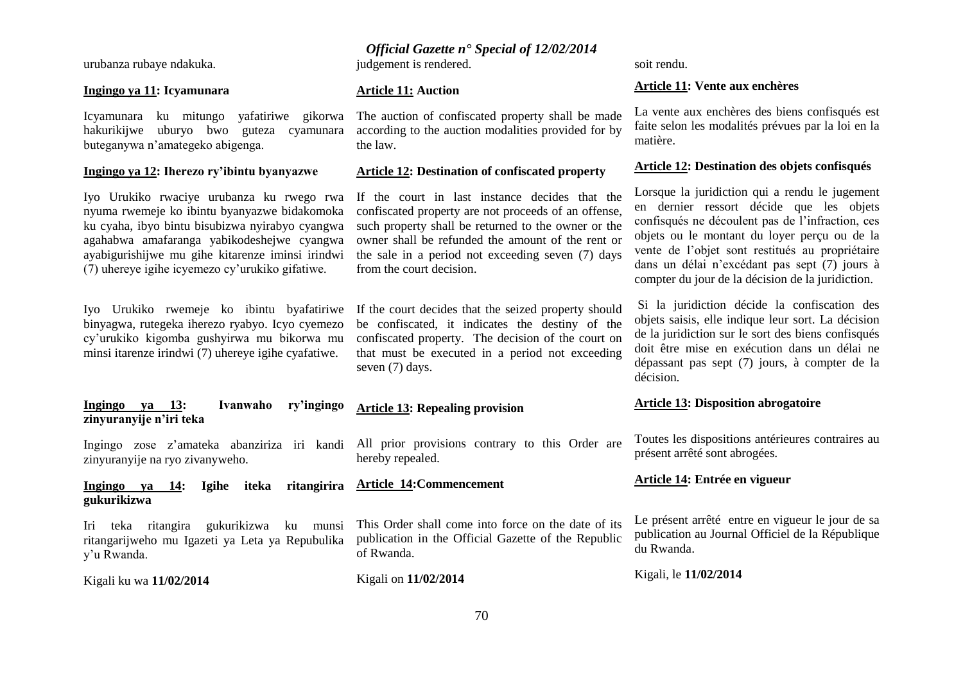urubanza rubaye ndakuka.

#### **Ingingo ya 11: Icyamunara**

Icyamunara ku mitungo yafatiriwe gikorwa The auction of confiscated property shall be made hakurikijwe uburyo bwo guteza cyamunara buteganywa n'amategeko abigenga.

#### **Ingingo ya 12: Iherezo ry'ibintu byanyazwe**

Iyo Urukiko rwaciye urubanza ku rwego rwa nyuma rwemeje ko ibintu byanyazwe bidakomoka ku cyaha, ibyo bintu bisubizwa nyirabyo cyangwa agahabwa amafaranga yabikodeshejwe cyangwa ayabigurishijwe mu gihe kitarenze iminsi irindwi (7) uhereye igihe icyemezo cy'urukiko gifatiwe.

Iyo Urukiko rwemeje ko ibintu byafatiriwe binyagwa, rutegeka iherezo ryabyo. Icyo cyemezo cy'urukiko kigomba gushyirwa mu bikorwa mu minsi itarenze irindwi (7) uhereye igihe cyafatiwe.

#### **Ingingo ya 13: Ivanwaho ry'ingingo zinyuranyije n'iri teka**

zinyuranyije na ryo zivanyweho.

#### **Ingingo ya 14: Igihe iteka gukurikizwa Article 14:Commencement**

Iri teka ritangira gukurikizwa ku munsi ritangarijweho mu Igazeti ya Leta ya Repubulika y'u Rwanda.

Kigali ku wa **11/02/2014** 

### *Official Gazette n° Special of 12/02/2014*

judgement is rendered.

#### **Article 11: Auction**

according to the auction modalities provided for by the law.

#### **Article 12: Destination of confiscated property**

If the court in last instance decides that the confiscated property are not proceeds of an offense, such property shall be returned to the owner or the owner shall be refunded the amount of the rent or the sale in a period not exceeding seven (7) days from the court decision.

If the court decides that the seized property should be confiscated, it indicates the destiny of the confiscated property. The decision of the court on that must be executed in a period not exceeding seven (7) days.

### **Article 13: Repealing provision**

Ingingo zose z'amateka abanziriza iri kandi All prior provisions contrary to this Order are hereby repealed.

> This Order shall come into force on the date of its publication in the Official Gazette of the Republic of Rwanda.

Kigali on **11/02/2014**

soit rendu.

#### **Article 11: Vente aux enchères**

La vente aux enchères des biens confisqués est faite selon les modalités prévues par la loi en la matière.

#### **Article 12: Destination des objets confisqués**

Lorsque la juridiction qui a rendu le jugement en dernier ressort décide que les objets confisqués ne découlent pas de l'infraction, ces objets ou le montant du loyer perçu ou de la vente de l'objet sont restitués au propriétaire dans un délai n'excédant pas sept (7) jours à compter du jour de la décision de la juridiction.

Si la juridiction décide la confiscation des objets saisis, elle indique leur sort. La décision de la juridiction sur le sort des biens confisqués doit être mise en exécution dans un délai ne dépassant pas sept (7) jours, à compter de la décision.

#### **Article 13: Disposition abrogatoire**

Toutes les dispositions antérieures contraires au présent arrêté sont abrogées.

#### **Article 14: Entrée en vigueur**

Le présent arrêté entre en vigueur le jour de sa publication au Journal Officiel de la République du Rwanda.

Kigali, le **11/02/2014**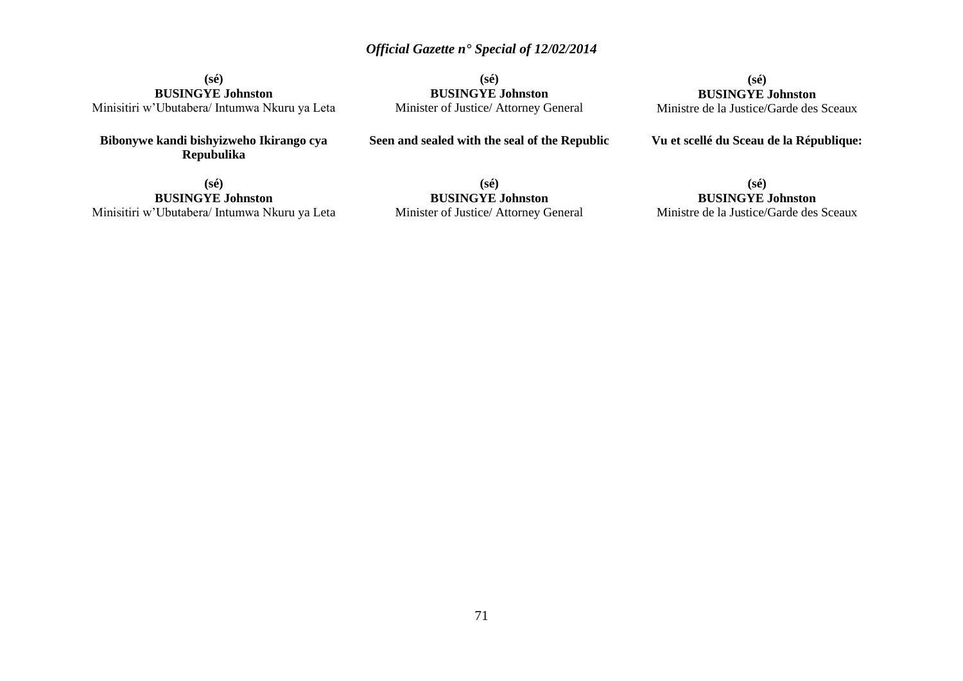**(sé) BUSINGYE Johnston** Minisitiri w'Ubutabera/ Intumwa Nkuru ya Leta

**Bibonywe kandi bishyizweho Ikirango cya Repubulika**

**(sé) BUSINGYE Johnston** Minister of Justice/ Attorney General

**Seen and sealed with the seal of the Republic**

**(sé) BUSINGYE Johnston** Ministre de la Justice/Garde des Sceaux

**Vu et scellé du Sceau de la République:**

**(sé) BUSINGYE Johnston** Minisitiri w'Ubutabera/ Intumwa Nkuru ya Leta

**(sé) BUSINGYE Johnston** Minister of Justice/ Attorney General

**(sé) BUSINGYE Johnston**

Ministre de la Justice/Garde des Sceaux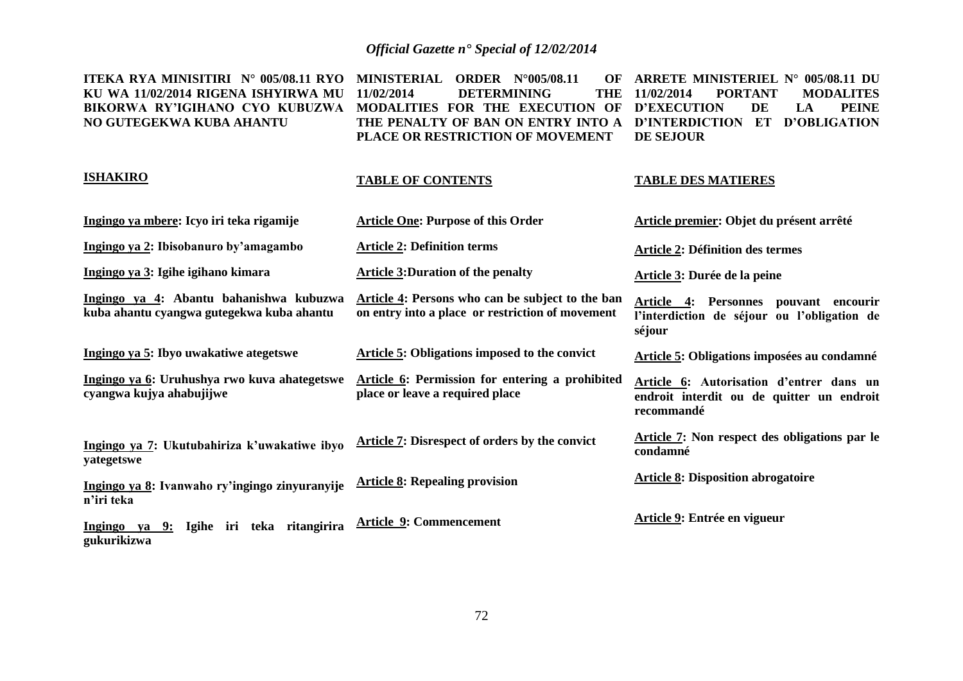**ITEKA RYA MINISITIRI N° 005/08.11 RYO MINISTERIAL ORDER N°005/08.11 OF KU WA 11/02/2014 RIGENA ISHYIRWA MU BIKORWA RY'IGIHANO CYO KUBUZWA MODALITIES FOR THE EXECUTION OF D'EXECUTION DE LA PEINE NO GUTEGEKWA KUBA AHANTU 11/02/2014 DETERMINING THE THE PENALTY OF BAN ON ENTRY INTO A D'INTERDICTION ET D'OBLIGATION PLACE OR RESTRICTION OF MOVEMENT ARRETE MINISTERIEL N° 005/08.11 DU 11/02/2014 PORTANT MODALITES DE SEJOUR** 

#### **ISHAKIRO**

#### **TABLE OF CONTENTS**

#### **TABLE DES MATIERES**

| Ingingo ya mbere: Icyo iri teka rigamije                                             | <b>Article One: Purpose of this Order</b>                                                            | Article premier: Objet du présent arrêté                                                                           |
|--------------------------------------------------------------------------------------|------------------------------------------------------------------------------------------------------|--------------------------------------------------------------------------------------------------------------------|
| Ingingo ya 2: Ibisobanuro by'amagambo                                                | <b>Article 2: Definition terms</b>                                                                   | <b>Article 2: Définition des termes</b>                                                                            |
| Ingingo ya 3: Igihe igihano kimara                                                   | <b>Article 3: Duration of the penalty</b>                                                            | Article 3: Durée de la peine                                                                                       |
| Ingingo ya 4: Abantu bahanishwa kubuzwa<br>kuba ahantu cyangwa gutegekwa kuba ahantu | Article 4: Persons who can be subject to the ban<br>on entry into a place or restriction of movement | <b>Personnes</b><br><b>Article 4:</b><br>pouvant encourir<br>l'interdiction de séjour ou l'obligation de<br>séjour |
| Ingingo ya 5: Ibyo uwakatiwe ategetswe                                               | Article 5: Obligations imposed to the convict                                                        | Article 5: Obligations imposées au condamné                                                                        |
| Ingingo ya 6: Uruhushya rwo kuva ahategetswe<br>cyangwa kujya ahabujijwe             | Article 6: Permission for entering a prohibited<br>place or leave a required place                   | Article 6: Autorisation d'entrer dans un<br>endroit interdit ou de quitter un endroit<br>recommandé                |
| Ingingo ya 7: Ukutubahiriza k'uwakatiwe ibyo<br>yategetswe                           | <b>Article 7: Disrespect of orders by the convict</b>                                                | Article 7: Non respect des obligations par le<br>condamné                                                          |
| Ingingo ya 8: Ivanwaho ry'ingingo zinyuranyije<br>n'iri teka                         | <b>Article 8: Repealing provision</b>                                                                | <b>Article 8: Disposition abrogatoire</b>                                                                          |
| Ingingo ya 9: Igihe iri teka ritangirira<br>gukurikizwa                              | <b>Article 9: Commencement</b>                                                                       | Article 9: Entrée en vigueur                                                                                       |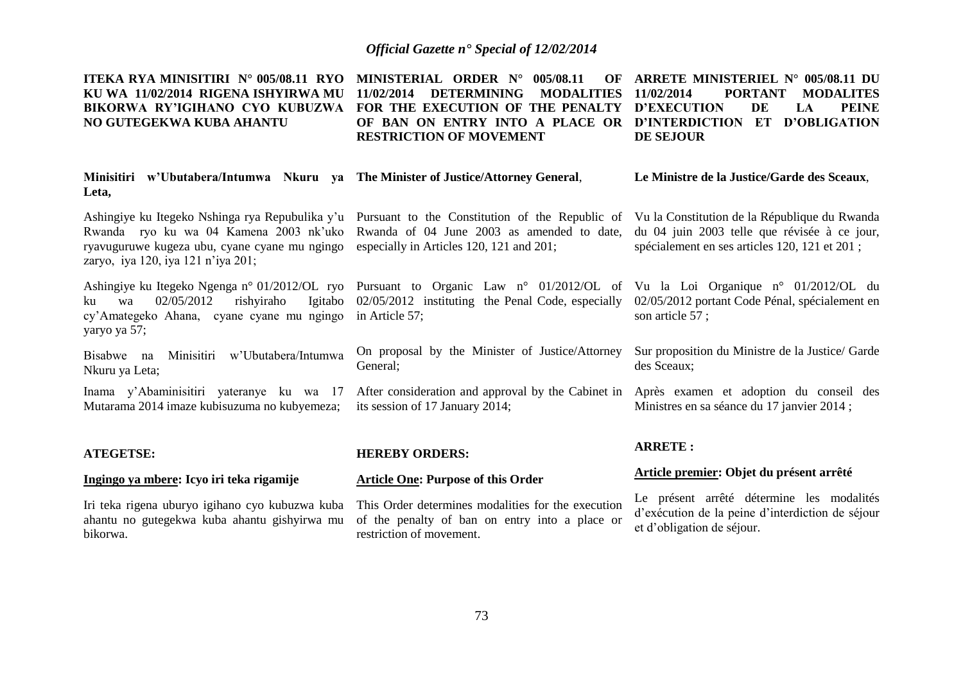**ITEKA RYA MINISITIRI N° 005/08.11 RYO MINISTERIAL ORDER N° 005/08.11 OF KU WA 11/02/2014 RIGENA ISHYIRWA MU 11/02/2014 DETERMINING MODALITIES BIKORWA RY'IGIHANO CYO KUBUZWA FOR THE EXECUTION OF THE PENALTY D'EXECUTION DE LA PEINE NO GUTEGEKWA KUBA AHANTU OF BAN ON ENTRY INTO A PLACE OR D'INTERDICTION ET D'OBLIGATION RESTRICTION OF MOVEMENT ARRETE MINISTERIEL N° 005/08.11 DU 11/02/2014 PORTANT MODALITES DE SEJOUR** 

| Minisitiri w'Ubutabera/Intumwa Nkuru ya The Minister of Justice/Attorney General,<br>Leta,                                   |                                                                                                                                                                                                                                                                                 | Le Ministre de la Justice/Garde des Sceaux,   |
|------------------------------------------------------------------------------------------------------------------------------|---------------------------------------------------------------------------------------------------------------------------------------------------------------------------------------------------------------------------------------------------------------------------------|-----------------------------------------------|
| ryavuguruwe kugeza ubu, cyane cyane mu ngingo especially in Articles 120, 121 and 201;<br>zaryo, iya 120, iya 121 n'iya 201; | Ashingiye ku Itegeko Nshinga rya Repubulika y'u Pursuant to the Constitution of the Republic of Vu la Constitution de la République du Rwanda<br>Rwanda ryo ku wa 04 Kamena 2003 nk'uko Rwanda of 04 June 2003 as amended to date, du 04 juin 2003 telle que révisée à ce jour, | spécialement en ses articles 120, 121 et 201; |

ku wa  $02/05/2012$  rishviraho cy'Amategeko Ahana, cyane cyane mu ngingo in Article 57; yaryo ya 57;

Bisabwe na Minisitiri w'Ubutabera/Intumwa Nkuru ya Leta;

Inama y'Abaminisitiri yateranye ku wa 17 Mutarama 2014 imaze kubisuzuma no kubyemeza;

Ashingiye ku Itegeko Ngenga n° 01/2012/OL ryo Pursuant to Organic Law n° 01/2012/OL of Vu la Loi Organique n° 01/2012/OL du 02/05/2012 instituting the Penal Code, especially 02/05/2012 portant Code Pénal, spécialement en

> On proposal by the Minister of Justice/Attorney General;

After consideration and approval by the Cabinet in Après examen et adoption du conseil des its session of 17 January 2014;

son article 57 ;

Sur proposition du Ministre de la Justice/ Garde des Sceaux;

Ministres en sa séance du 17 janvier 2014 ;

#### **ATEGETSE:**

#### **Ingingo ya mbere: Icyo iri teka rigamije**

Iri teka rigena uburyo igihano cyo kubuzwa kuba ahantu no gutegekwa kuba ahantu gishyirwa mu bikorwa.

#### **HEREBY ORDERS:**

#### **Article One: Purpose of this Order**

This Order determines modalities for the execution of the penalty of ban on entry into a place or restriction of movement.

#### **ARRETE :**

#### **Article premier: Objet du présent arrêté**

Le présent arrêté détermine les modalités d'exécution de la peine d'interdiction de séjour et d'obligation de séjour.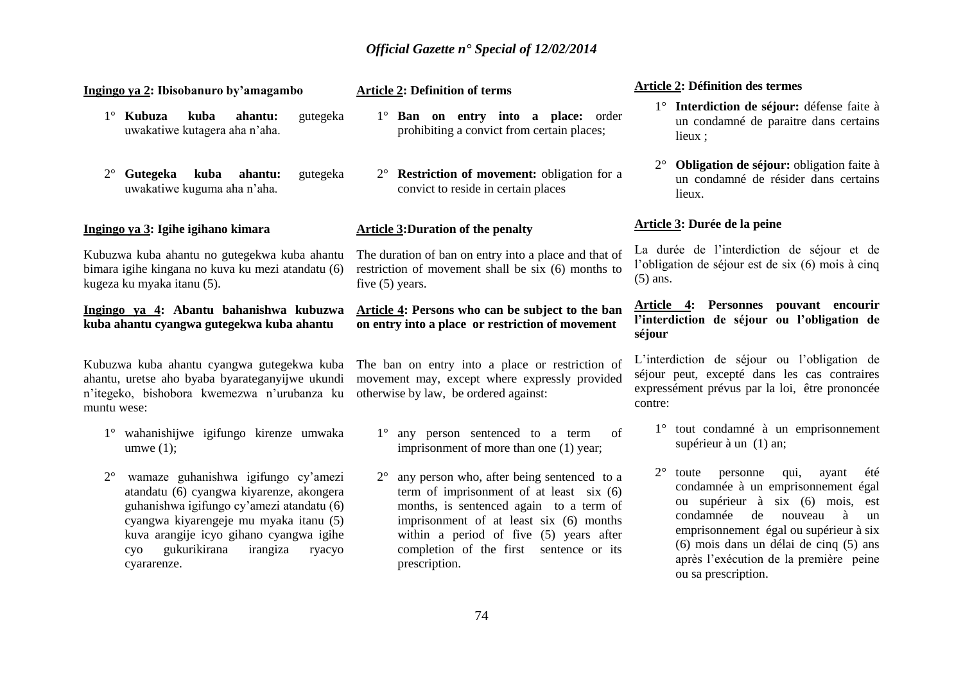| Ingingo ya 2: Ibisobanuro by'amagambo                                                                                                                                                                                                                                                        | <b>Article 2: Definition of terms</b>                                                                                                                                                                                                                                                               | <b>Article 2: Définition des termes</b>                                                                                                                                                                                                                                                                                          |
|----------------------------------------------------------------------------------------------------------------------------------------------------------------------------------------------------------------------------------------------------------------------------------------------|-----------------------------------------------------------------------------------------------------------------------------------------------------------------------------------------------------------------------------------------------------------------------------------------------------|----------------------------------------------------------------------------------------------------------------------------------------------------------------------------------------------------------------------------------------------------------------------------------------------------------------------------------|
| $1^\circ$ Kubuza<br>kuba<br>gutegeka<br>ahantu:<br>uwakatiwe kutagera aha n'aha.                                                                                                                                                                                                             | 1° Ban on entry into a place: order<br>prohibiting a convict from certain places;                                                                                                                                                                                                                   | 1° Interdiction de séjour: défense faite à<br>un condamné de paraitre dans certains<br>lieux;                                                                                                                                                                                                                                    |
| Gutegeka<br>$2^{\circ}$<br>kuba<br>ahantu:<br>gutegeka<br>uwakatiwe kuguma aha n'aha.                                                                                                                                                                                                        | 2° <b>Restriction of movement:</b> obligation for a<br>convict to reside in certain places                                                                                                                                                                                                          | Obligation de séjour: obligation faite à<br>un condamné de résider dans certains<br>lieux.                                                                                                                                                                                                                                       |
| <u>Ingingo ya 3</u> : Igihe igihano kimara                                                                                                                                                                                                                                                   | <b>Article 3: Duration of the penalty</b>                                                                                                                                                                                                                                                           | Article 3: Durée de la peine                                                                                                                                                                                                                                                                                                     |
| Kubuzwa kuba ahantu no gutegekwa kuba ahantu<br>bimara igihe kingana no kuva ku mezi atandatu (6)<br>kugeza ku myaka itanu (5).                                                                                                                                                              | The duration of ban on entry into a place and that of<br>restriction of movement shall be six (6) months to<br>five $(5)$ years.                                                                                                                                                                    | La durée de l'interdiction de séjour et de<br>l'obligation de séjour est de six (6) mois à cinq<br>$(5)$ ans.                                                                                                                                                                                                                    |
| Ingingo ya 4: Abantu bahanishwa kubuzwa<br>kuba ahantu cyangwa gutegekwa kuba ahantu                                                                                                                                                                                                         | Article 4: Persons who can be subject to the ban<br>on entry into a place or restriction of movement                                                                                                                                                                                                | Article 4: Personnes pouvant encourir<br>l'interdiction de séjour ou l'obligation de<br>séjour                                                                                                                                                                                                                                   |
| ahantu, uretse aho byaba byarateganyijwe ukundi<br>n'itegeko, bishobora kwemezwa n'urubanza ku otherwise by law, be ordered against:<br>muntu wese:                                                                                                                                          | Kubuzwa kuba ahantu cyangwa gutegekwa kuba The ban on entry into a place or restriction of<br>movement may, except where expressly provided                                                                                                                                                         | L'interdiction de séjour ou l'obligation de<br>séjour peut, excepté dans les cas contraires<br>expressément prévus par la loi, être prononcée<br>contre:                                                                                                                                                                         |
| 1° wahanishijwe igifungo kirenze umwaka<br>umwe $(1)$ ;                                                                                                                                                                                                                                      | 1° any person sentenced to a term<br>of<br>imprisonment of more than one (1) year;                                                                                                                                                                                                                  | 1° tout condamné à un emprisonnement<br>supérieur à un (1) an;                                                                                                                                                                                                                                                                   |
| $2^{\circ}$<br>wamaze guhanishwa igifungo cy'amezi<br>atandatu (6) cyangwa kiyarenze, akongera<br>guhanishwa igifungo cy'amezi atandatu (6)<br>cyangwa kiyarengeje mu myaka itanu (5)<br>kuva arangije icyo gihano cyangwa igihe<br>gukurikirana<br>irangiza<br>ryacyo<br>cyo<br>cyararenze. | any person who, after being sentenced to a<br>$2^{\circ}$<br>term of imprisonment of at least $six(6)$<br>months, is sentenced again to a term of<br>imprisonment of at least six (6) months<br>within a period of five (5) years after<br>completion of the first sentence or its<br>prescription. | $2^{\circ}$<br>qui,<br>toute<br>personne<br>ayant<br>été<br>condamnée à un emprisonnement égal<br>ou supérieur à six (6) mois, est<br>condamnée<br>de<br>nouveau<br>à<br>un<br>emprisonnement égal ou supérieur à six<br>(6) mois dans un délai de cinq (5) ans<br>après l'exécution de la première peine<br>ou sa prescription. |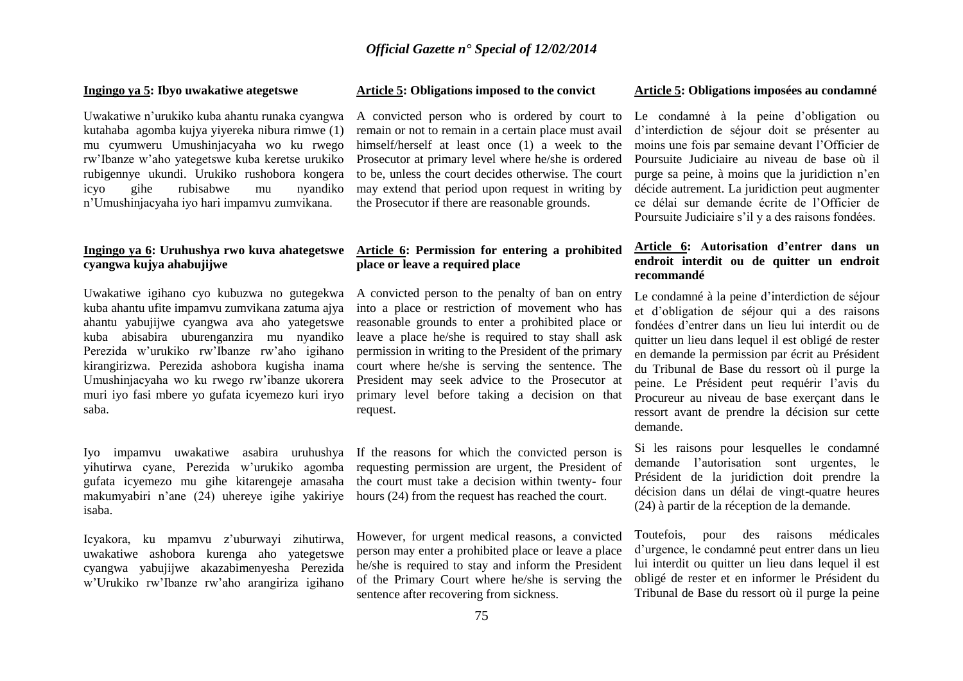#### **Ingingo ya 5: Ibyo uwakatiwe ategetswe**

Uwakatiwe n'urukiko kuba ahantu runaka cyangwa kutahaba agomba kujya yiyereka nibura rimwe (1) mu cyumweru Umushinjacyaha wo ku rwego rw'Ibanze w'aho yategetswe kuba keretse urukiko rubigennye ukundi. Urukiko rushobora kongera icyo gihe rubisabwe mu nyandiko n'Umushinjacyaha iyo hari impamvu zumvikana.

## **Ingingo ya 6: Uruhushya rwo kuva ahategetswe cyangwa kujya ahabujijwe**

Uwakatiwe igihano cyo kubuzwa no gutegekwa kuba ahantu ufite impamvu zumvikana zatuma ajya ahantu yabujijwe cyangwa ava aho yategetswe kuba abisabira uburenganzira mu nyandiko Perezida w'urukiko rw'Ibanze rw'aho igihano kirangirizwa. Perezida ashobora kugisha inama Umushinjacyaha wo ku rwego rw'ibanze ukorera muri iyo fasi mbere yo gufata icyemezo kuri iryo saba.

makumyabiri n'ane (24) uhereye igihe yakiriye hours (24) from the request has reached the court. isaba.

Icyakora, ku mpamvu z'uburwayi zihutirwa, uwakatiwe ashobora kurenga aho yategetswe cyangwa yabujijwe akazabimenyesha Perezida w'Urukiko rw'Ibanze rw'aho arangiriza igihano

#### **Article 5: Obligations imposed to the convict**

A convicted person who is ordered by court to Le condamné à la peine d'obligation ou remain or not to remain in a certain place must avail himself/herself at least once (1) a week to the Prosecutor at primary level where he/she is ordered to be, unless the court decides otherwise. The court may extend that period upon request in writing by the Prosecutor if there are reasonable grounds.

## **Article 6: Permission for entering a prohibited place or leave a required place**

A convicted person to the penalty of ban on entry into a place or restriction of movement who has reasonable grounds to enter a prohibited place or leave a place he/she is required to stay shall ask permission in writing to the President of the primary court where he/she is serving the sentence. The President may seek advice to the Prosecutor at primary level before taking a decision on that request.

Iyo impamvu uwakatiwe asabira uruhushya If the reasons for which the convicted person is yihutirwa cyane, Perezida w'urukiko agomba requesting permission are urgent, the President of gufata icyemezo mu gihe kitarengeje amasaha the court must take a decision within twenty- four

> However, for urgent medical reasons, a convicted person may enter a prohibited place or leave a place he/she is required to stay and inform the President of the Primary Court where he/she is serving the sentence after recovering from sickness.

#### **Article 5: Obligations imposées au condamné**

d'interdiction de séjour doit se présenter au moins une fois par semaine devant l'Officier de Poursuite Judiciaire au niveau de base où il purge sa peine, à moins que la juridiction n'en décide autrement. La juridiction peut augmenter ce délai sur demande écrite de l'Officier de Poursuite Judiciaire s'il y a des raisons fondées.

## **Article 6: Autorisation d'entrer dans un endroit interdit ou de quitter un endroit recommandé**

Le condamné à la peine d'interdiction de séjour et d'obligation de séjour qui a des raisons fondées d'entrer dans un lieu lui interdit ou de quitter un lieu dans lequel il est obligé de rester en demande la permission par écrit au Président du Tribunal de Base du ressort où il purge la peine. Le Président peut requérir l'avis du Procureur au niveau de base exerçant dans le ressort avant de prendre la décision sur cette demande.

Si les raisons pour lesquelles le condamné demande l'autorisation sont urgentes, le Président de la juridiction doit prendre la décision dans un délai de vingt-quatre heures (24) à partir de la réception de la demande.

Toutefois, pour des raisons médicales d'urgence, le condamné peut entrer dans un lieu lui interdit ou quitter un lieu dans lequel il est obligé de rester et en informer le Président du Tribunal de Base du ressort où il purge la peine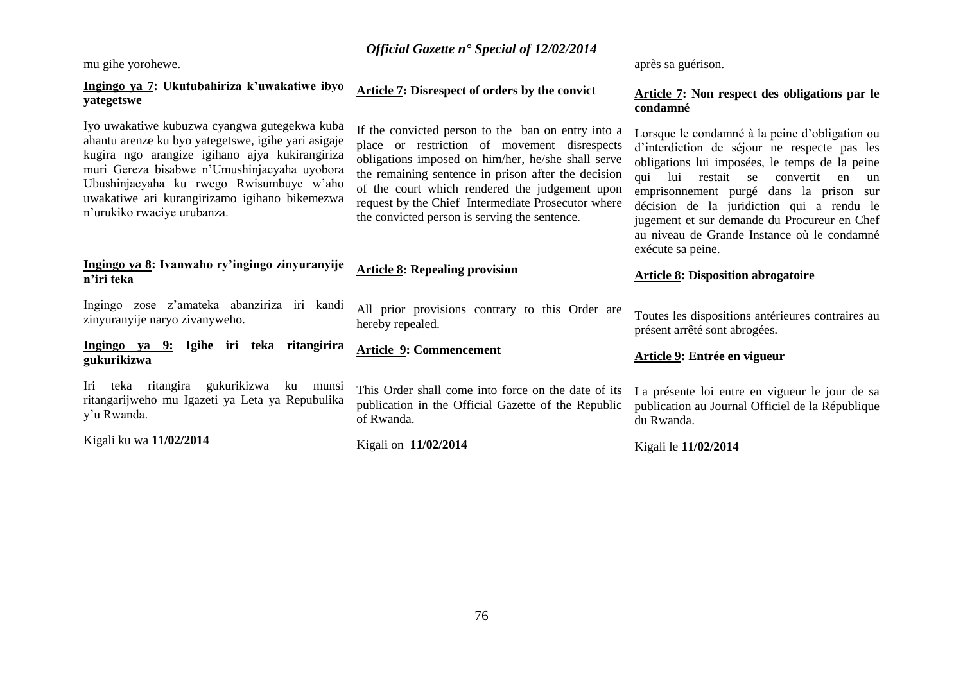mu gihe yorohewe.

## **Ingingo ya 7: Ukutubahiriza k'uwakatiwe ibyo yategetswe**

Iyo uwakatiwe kubuzwa cyangwa gutegekwa kuba ahantu arenze ku byo yategetswe, igihe yari asigaje kugira ngo arangize igihano ajya kukirangiriza muri Gereza bisabwe n'Umushinjacyaha uyobora Ubushinjacyaha ku rwego Rwisumbuye w'aho uwakatiwe ari kurangirizamo igihano bikemezwa n'urukiko rwaciye urubanza.

## **Ingingo ya 8: Ivanwaho ry'ingingo zinyuranyije n'iri teka**

Ingingo zose z'amateka abanziriza iri kandi zinyuranyije naryo zivanyweho.

**Ingingo ya 9: Igihe iri teka ritangirira gukurikizwa**

Iri teka ritangira gukurikizwa ku munsi ritangarijweho mu Igazeti ya Leta ya Repubulika y'u Rwanda.

Kigali ku wa **11/02/2014**

## **Article 7: Disrespect of orders by the convict**

**Article 8: Repealing provision**

**Article 9: Commencement**

hereby repealed.

of Rwanda.

Kigali on **11/02/2014**

If the convicted person to the ban on entry into a place or restriction of movement disrespects obligations imposed on him/her, he/she shall serve the remaining sentence in prison after the decision of the court which rendered the judgement upon request by the Chief Intermediate Prosecutor where the convicted person is serving the sentence.

All prior provisions contrary to this Order are

This Order shall come into force on the date of its publication in the Official Gazette of the Republic après sa guérison.

## **Article 7: Non respect des obligations par le condamné**

Lorsque le condamné à la peine d'obligation ou d'interdiction de séjour ne respecte pas les obligations lui imposées, le temps de la peine qui lui restait se convertit en un emprisonnement purgé dans la prison sur décision de la juridiction qui a rendu le jugement et sur demande du Procureur en Chef au niveau de Grande Instance où le condamné exécute sa peine.

## **Article 8: Disposition abrogatoire**

Toutes les dispositions antérieures contraires au présent arrêté sont abrogées.

## **Article 9: Entrée en vigueur**

La présente loi entre en vigueur le jour de sa publication au Journal Officiel de la République du Rwanda.

Kigali le **11/02/2014**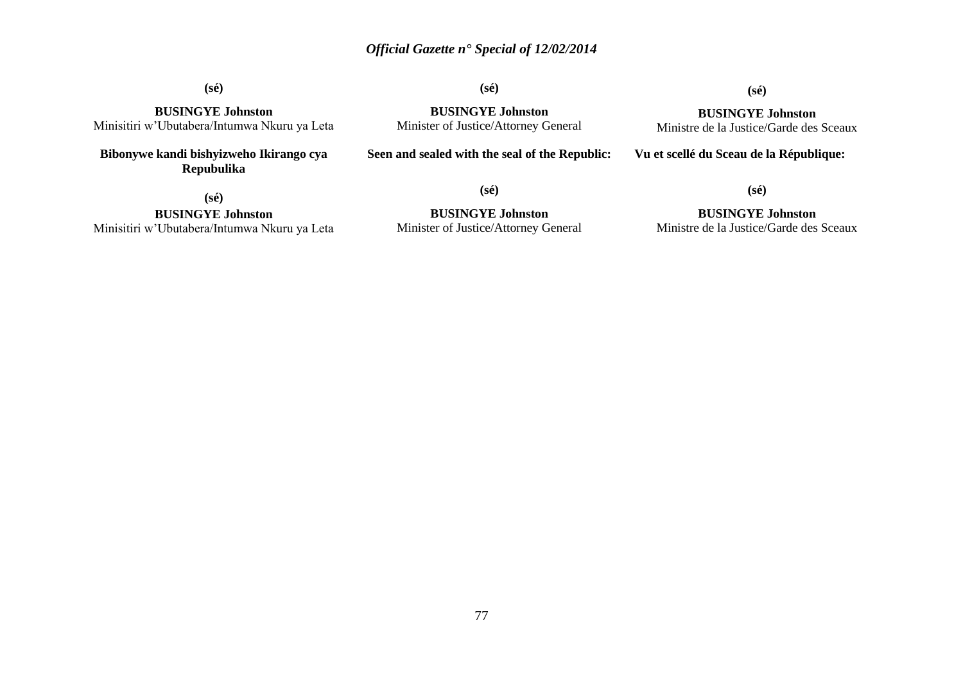**(sé)**

**(sé)**

# **(sé) BUSINGYE Johnston**

Ministre de la Justice/Garde des Sceaux

**BUSINGYE Johnston** Minisitiri w'Ubutabera/Intumwa Nkuru ya Leta

**Bibonywe kandi bishyizweho Ikirango cya Repubulika** 

**BUSINGYE Johnston** Minister of Justice/Attorney General

**Seen and sealed with the seal of the Republic:**

**Vu et scellé du Sceau de la République:**

**(sé)**

**BUSINGYE Johnston** Minisitiri w'Ubutabera/Intumwa Nkuru ya Leta **(sé)**

**BUSINGYE Johnston** Minister of Justice/Attorney General

**BUSINGYE Johnston** Ministre de la Justice/Garde des Sceaux

**(sé)**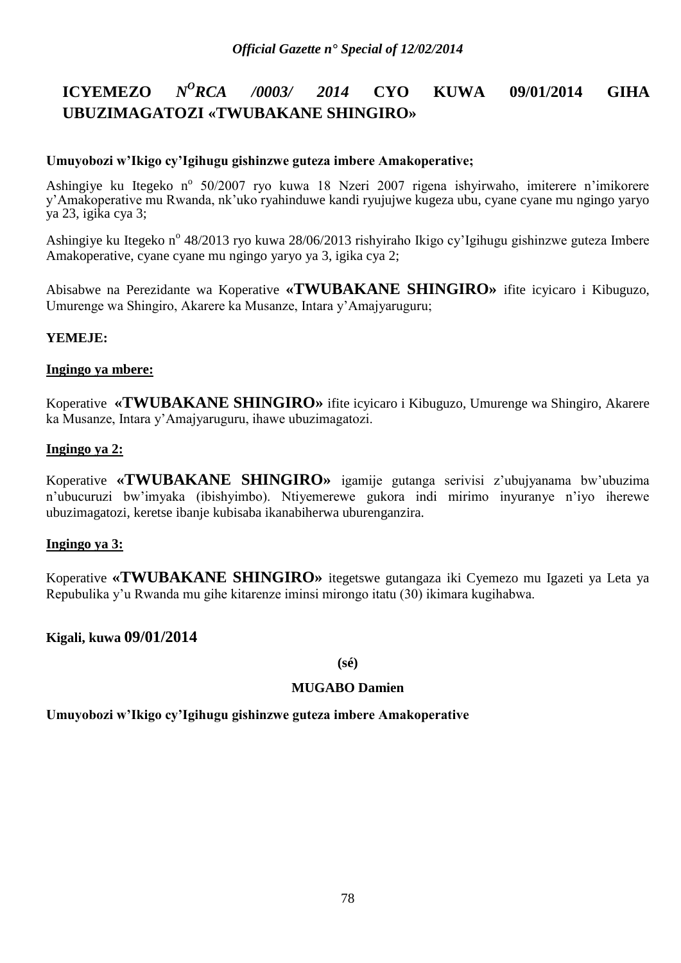### **ICYEMEZO** *N <sup>O</sup>RCA /0003/ 2014* **CYO KUWA 09/01/2014 GIHA UBUZIMAGATOZI «TWUBAKANE SHINGIRO»**

## **Umuyobozi w'Ikigo cy'Igihugu gishinzwe guteza imbere Amakoperative;**

Ashingiye ku Itegeko n<sup>o</sup> 50/2007 ryo kuwa 18 Nzeri 2007 rigena ishyirwaho, imiterere n'imikorere y'Amakoperative mu Rwanda, nk'uko ryahinduwe kandi ryujujwe kugeza ubu, cyane cyane mu ngingo yaryo ya 23, igika cya 3;

Ashingiye ku Itegeko n<sup>o</sup> 48/2013 ryo kuwa 28/06/2013 rishyiraho Ikigo cy'Igihugu gishinzwe guteza Imbere Amakoperative, cyane cyane mu ngingo yaryo ya 3, igika cya 2;

Abisabwe na Perezidante wa Koperative **«TWUBAKANE SHINGIRO»** ifite icyicaro i Kibuguzo, Umurenge wa Shingiro, Akarere ka Musanze, Intara y'Amajyaruguru;

## **YEMEJE:**

## **Ingingo ya mbere:**

Koperative **«TWUBAKANE SHINGIRO»** ifite icyicaro i Kibuguzo, Umurenge wa Shingiro, Akarere ka Musanze, Intara y'Amajyaruguru, ihawe ubuzimagatozi.

## **Ingingo ya 2:**

Koperative **«TWUBAKANE SHINGIRO»** igamije gutanga serivisi z'ubujyanama bw'ubuzima n'ubucuruzi bw'imyaka (ibishyimbo). Ntiyemerewe gukora indi mirimo inyuranye n'iyo iherewe ubuzimagatozi, keretse ibanje kubisaba ikanabiherwa uburenganzira.

# **Ingingo ya 3:**

Koperative **«TWUBAKANE SHINGIRO»** itegetswe gutangaza iki Cyemezo mu Igazeti ya Leta ya Repubulika y'u Rwanda mu gihe kitarenze iminsi mirongo itatu (30) ikimara kugihabwa.

# **Kigali, kuwa 09/01/2014**

## **(sé)**

# **MUGABO Damien**

**Umuyobozi w'Ikigo cy'Igihugu gishinzwe guteza imbere Amakoperative**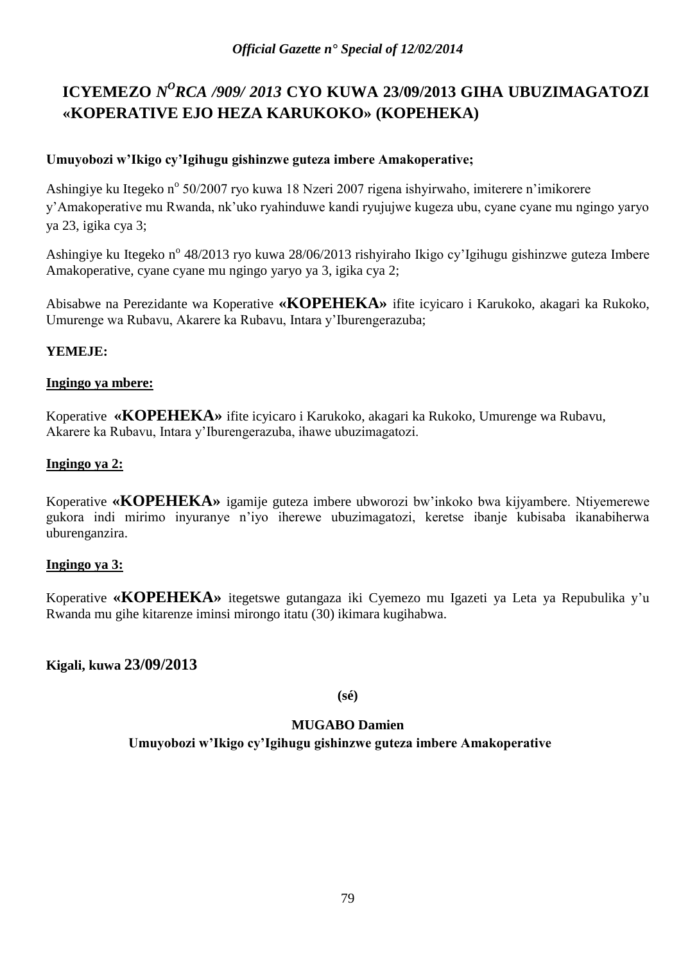# ICYEMEZO *N<sup>O</sup>RCA /909/ 2013* CYO KUWA 23/09/2013 GIHA UBUZIMAGATOZI **«KOPERATIVE EJO HEZA KARUKOKO» (KOPEHEKA)**

# **Umuyobozi w'Ikigo cy'Igihugu gishinzwe guteza imbere Amakoperative;**

Ashingiye ku Itegeko nº 50/2007 ryo kuwa 18 Nzeri 2007 rigena ishyirwaho, imiterere n'imikorere y'Amakoperative mu Rwanda, nk'uko ryahinduwe kandi ryujujwe kugeza ubu, cyane cyane mu ngingo yaryo ya 23, igika cya 3;

Ashingiye ku Itegeko n<sup>o</sup> 48/2013 ryo kuwa 28/06/2013 rishyiraho Ikigo cy'Igihugu gishinzwe guteza Imbere Amakoperative, cyane cyane mu ngingo yaryo ya 3, igika cya 2;

Abisabwe na Perezidante wa Koperative **«KOPEHEKA»** ifite icyicaro i Karukoko, akagari ka Rukoko, Umurenge wa Rubavu, Akarere ka Rubavu, Intara y'Iburengerazuba;

# **YEMEJE:**

# **Ingingo ya mbere:**

Koperative **«KOPEHEKA»** ifite icyicaro i Karukoko, akagari ka Rukoko, Umurenge wa Rubavu, Akarere ka Rubavu, Intara y'Iburengerazuba, ihawe ubuzimagatozi.

# **Ingingo ya 2:**

Koperative **«KOPEHEKA»** igamije guteza imbere ubworozi bw'inkoko bwa kijyambere. Ntiyemerewe gukora indi mirimo inyuranye n'iyo iherewe ubuzimagatozi, keretse ibanje kubisaba ikanabiherwa uburenganzira.

# **Ingingo ya 3:**

Koperative **«KOPEHEKA»** itegetswe gutangaza iki Cyemezo mu Igazeti ya Leta ya Repubulika y'u Rwanda mu gihe kitarenze iminsi mirongo itatu (30) ikimara kugihabwa.

# **Kigali, kuwa 23/09/2013**

**(sé)**

# **MUGABO Damien**

**Umuyobozi w'Ikigo cy'Igihugu gishinzwe guteza imbere Amakoperative**